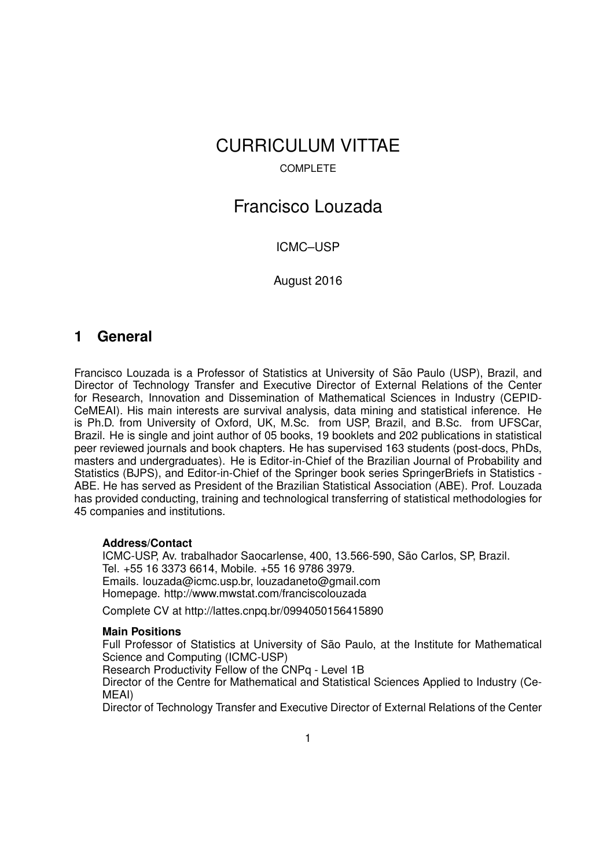# CURRICULUM VITTAE

# COMPLETE

# Francisco Louzada

# ICMC–USP

August 2016

# **1 General**

Francisco Louzada is a Professor of Statistics at University of São Paulo (USP), Brazil, and Director of Technology Transfer and Executive Director of External Relations of the Center for Research, Innovation and Dissemination of Mathematical Sciences in Industry (CEPID-CeMEAI). His main interests are survival analysis, data mining and statistical inference. He is Ph.D. from University of Oxford, UK, M.Sc. from USP, Brazil, and B.Sc. from UFSCar, Brazil. He is single and joint author of 05 books, 19 booklets and 202 publications in statistical peer reviewed journals and book chapters. He has supervised 163 students (post-docs, PhDs, masters and undergraduates). He is Editor-in-Chief of the Brazilian Journal of Probability and Statistics (BJPS), and Editor-in-Chief of the Springer book series SpringerBriefs in Statistics - ABE. He has served as President of the Brazilian Statistical Association (ABE). Prof. Louzada has provided conducting, training and technological transferring of statistical methodologies for 45 companies and institutions.

## **Address/Contact**

ICMC-USP, Av. trabalhador Saocarlense, 400, 13.566-590, São Carlos, SP, Brazil. Tel. +55 16 3373 6614, Mobile. +55 16 9786 3979. Emails. louzada@icmc.usp.br, louzadaneto@gmail.com Homepage. http://www.mwstat.com/franciscolouzada

Complete CV at http://lattes.cnpq.br/0994050156415890

## **Main Positions**

Full Professor of Statistics at University of São Paulo, at the Institute for Mathematical Science and Computing (ICMC-USP)

Research Productivity Fellow of the CNPq - Level 1B

Director of the Centre for Mathematical and Statistical Sciences Applied to Industry (Ce-MEAI)

Director of Technology Transfer and Executive Director of External Relations of the Center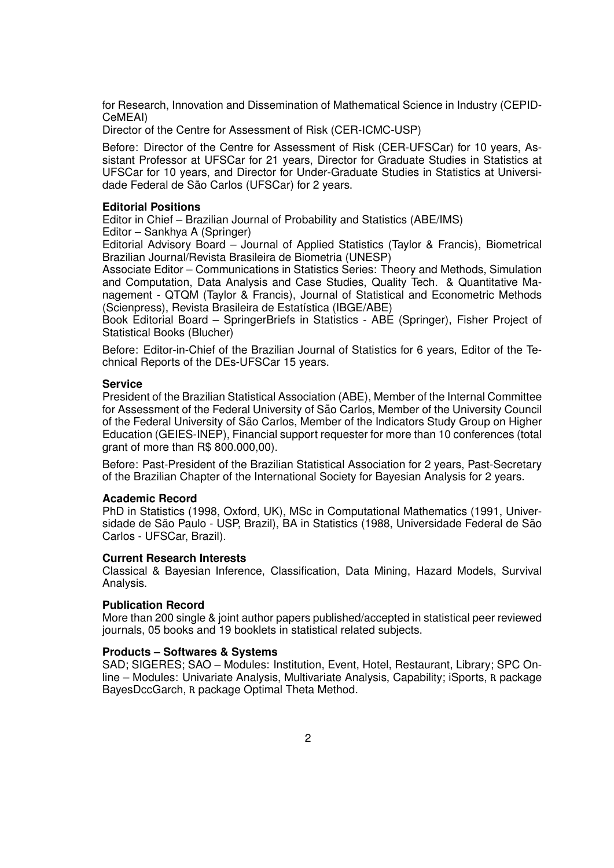for Research, Innovation and Dissemination of Mathematical Science in Industry (CEPID-CeMEAI)

Director of the Centre for Assessment of Risk (CER-ICMC-USP)

Before: Director of the Centre for Assessment of Risk (CER-UFSCar) for 10 years, Assistant Professor at UFSCar for 21 years, Director for Graduate Studies in Statistics at UFSCar for 10 years, and Director for Under-Graduate Studies in Statistics at Universidade Federal de São Carlos (UFSCar) for 2 years.

## **Editorial Positions**

Editor in Chief – Brazilian Journal of Probability and Statistics (ABE/IMS) Editor – Sankhya A (Springer)

Editorial Advisory Board – Journal of Applied Statistics (Taylor & Francis), Biometrical Brazilian Journal/Revista Brasileira de Biometria (UNESP)

Associate Editor – Communications in Statistics Series: Theory and Methods, Simulation and Computation, Data Analysis and Case Studies, Quality Tech. & Quantitative Management - QTQM (Taylor & Francis), Journal of Statistical and Econometric Methods (Scienpress), Revista Brasileira de Estatística (IBGE/ABE)

Book Editorial Board – SpringerBriefs in Statistics - ABE (Springer), Fisher Project of Statistical Books (Blucher)

Before: Editor-in-Chief of the Brazilian Journal of Statistics for 6 years, Editor of the Technical Reports of the DEs-UFSCar 15 years.

### **Service**

President of the Brazilian Statistical Association (ABE), Member of the Internal Committee for Assessment of the Federal University of São Carlos, Member of the University Council of the Federal University of Sao Carlos, Member of the Indicators Study Group on Higher ˜ Education (GEIES-INEP), Financial support requester for more than 10 conferences (total grant of more than R\$ 800.000,00).

Before: Past-President of the Brazilian Statistical Association for 2 years, Past-Secretary of the Brazilian Chapter of the International Society for Bayesian Analysis for 2 years.

## **Academic Record**

PhD in Statistics (1998, Oxford, UK), MSc in Computational Mathematics (1991, Universidade de São Paulo - USP, Brazil), BA in Statistics (1988, Universidade Federal de São Carlos - UFSCar, Brazil).

## **Current Research Interests**

Classical & Bayesian Inference, Classification, Data Mining, Hazard Models, Survival Analysis.

## **Publication Record**

More than 200 single & joint author papers published/accepted in statistical peer reviewed journals, 05 books and 19 booklets in statistical related subjects.

## **Products – Softwares & Systems**

SAD; SIGERES; SAO – Modules: Institution, Event, Hotel, Restaurant, Library; SPC Online – Modules: Univariate Analysis, Multivariate Analysis, Capability; iSports, R package BayesDccGarch, R package Optimal Theta Method.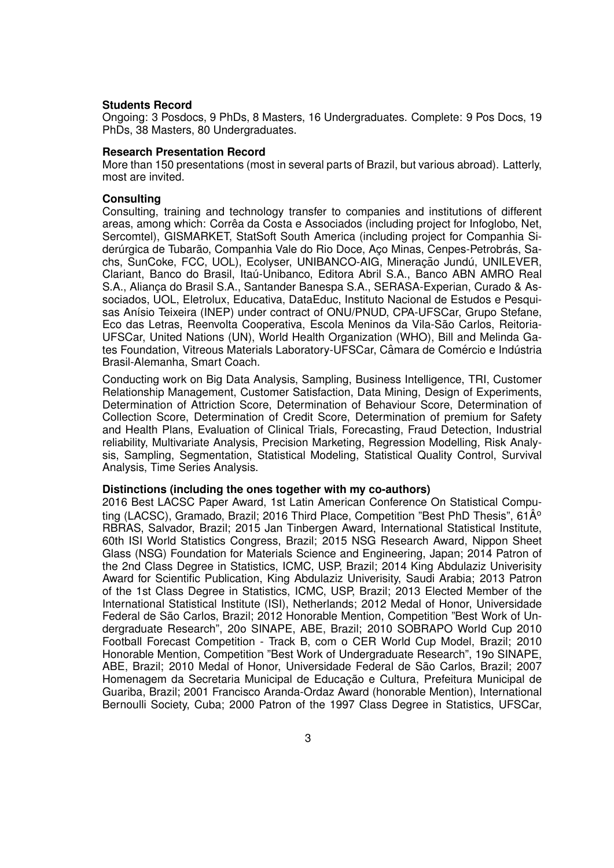#### **Students Record**

Ongoing: 3 Posdocs, 9 PhDs, 8 Masters, 16 Undergraduates. Complete: 9 Pos Docs, 19 PhDs, 38 Masters, 80 Undergraduates.

#### **Research Presentation Record**

More than 150 presentations (most in several parts of Brazil, but various abroad). Latterly, most are invited.

#### **Consulting**

Consulting, training and technology transfer to companies and institutions of different areas, among which: Correa da Costa e Associados (including project for Infoglobo, Net, ˆ Sercomtel), GISMARKET, StatSoft South America (including project for Companhia Siderúrgica de Tubarão, Companhia Vale do Rio Doce, Aço Minas, Cenpes-Petrobrás, Sachs, SunCoke, FCC, UOL), Ecolyser, UNIBANCO-AIG, Mineração Jundú, UNILEVER, Clariant, Banco do Brasil, Itaú-Unibanco, Editora Abril S.A., Banco ABN AMRO Real S.A., Aliança do Brasil S.A., Santander Banespa S.A., SERASA-Experian, Curado & Associados, UOL, Eletrolux, Educativa, DataEduc, Instituto Nacional de Estudos e Pesquisas Anísio Teixeira (INEP) under contract of ONU/PNUD, CPA-UFSCar, Grupo Stefane, Eco das Letras, Reenvolta Cooperativa, Escola Meninos da Vila-São Carlos, Reitoria-UFSCar, United Nations (UN), World Health Organization (WHO), Bill and Melinda Gates Foundation, Vitreous Materials Laboratory-UFSCar, Câmara de Comércio e Indústria Brasil-Alemanha, Smart Coach.

Conducting work on Big Data Analysis, Sampling, Business Intelligence, TRI, Customer Relationship Management, Customer Satisfaction, Data Mining, Design of Experiments, Determination of Attriction Score, Determination of Behaviour Score, Determination of Collection Score, Determination of Credit Score, Determination of premium for Safety and Health Plans, Evaluation of Clinical Trials, Forecasting, Fraud Detection, Industrial reliability, Multivariate Analysis, Precision Marketing, Regression Modelling, Risk Analysis, Sampling, Segmentation, Statistical Modeling, Statistical Quality Control, Survival Analysis, Time Series Analysis.

#### **Distinctions (including the ones together with my co-authors)**

2016 Best LACSC Paper Award, 1st Latin American Conference On Statistical Computing (LACSC), Gramado, Brazil; 2016 Third Place, Competition "Best PhD Thesis", 61 $\hat{A}^{\circ}$ RBRAS, Salvador, Brazil; 2015 Jan Tinbergen Award, International Statistical Institute, 60th ISI World Statistics Congress, Brazil; 2015 NSG Research Award, Nippon Sheet Glass (NSG) Foundation for Materials Science and Engineering, Japan; 2014 Patron of the 2nd Class Degree in Statistics, ICMC, USP, Brazil; 2014 King Abdulaziz Univerisity Award for Scientific Publication, King Abdulaziz Univerisity, Saudi Arabia; 2013 Patron of the 1st Class Degree in Statistics, ICMC, USP, Brazil; 2013 Elected Member of the International Statistical Institute (ISI), Netherlands; 2012 Medal of Honor, Universidade Federal de São Carlos, Brazil: 2012 Honorable Mention, Competition "Best Work of Undergraduate Research", 20o SINAPE, ABE, Brazil; 2010 SOBRAPO World Cup 2010 Football Forecast Competition - Track B, com o CER World Cup Model, Brazil; 2010 Honorable Mention, Competition "Best Work of Undergraduate Research", 19o SINAPE, ABE, Brazil; 2010 Medal of Honor, Universidade Federal de São Carlos, Brazil; 2007 Homenagem da Secretaria Municipal de Educação e Cultura, Prefeitura Municipal de Guariba, Brazil; 2001 Francisco Aranda-Ordaz Award (honorable Mention), International Bernoulli Society, Cuba; 2000 Patron of the 1997 Class Degree in Statistics, UFSCar,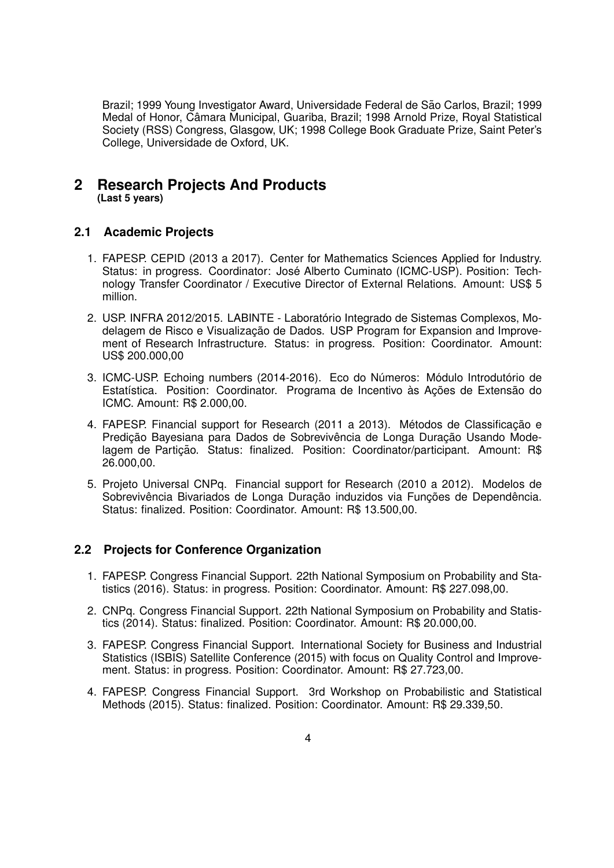Brazil; 1999 Young Investigator Award, Universidade Federal de São Carlos, Brazil; 1999 Medal of Honor, Câmara Municipal, Guariba, Brazil; 1998 Arnold Prize, Royal Statistical Society (RSS) Congress, Glasgow, UK; 1998 College Book Graduate Prize, Saint Peter's College, Universidade de Oxford, UK.

# **2 Research Projects And Products (Last 5 years)**

# **2.1 Academic Projects**

- 1. FAPESP. CEPID (2013 a 2017). Center for Mathematics Sciences Applied for Industry. Status: in progress. Coordinator: Jose Alberto Cuminato (ICMC-USP). Position: Tech- ´ nology Transfer Coordinator / Executive Director of External Relations. Amount: US\$ 5 million.
- 2. USP. INFRA 2012/2015. LABINTE Laboratorio Integrado de Sistemas Complexos, Mo- ´ delagem de Risco e Visualização de Dados. USP Program for Expansion and Improvement of Research Infrastructure. Status: in progress. Position: Coordinator. Amount: US\$ 200.000,00
- 3. ICMC-USP. Echoing numbers (2014-2016). Eco do Números: Módulo Introdutório de Estatística. Position: Coordinator. Programa de Incentivo às Ações de Extensão do ICMC. Amount: R\$ 2.000,00.
- 4. FAPESP. Financial support for Research (2011 a 2013). Métodos de Classificação e Predição Bayesiana para Dados de Sobrevivência de Longa Duração Usando Modelagem de Partição. Status: finalized. Position: Coordinator/participant. Amount: R\$ 26.000,00.
- 5. Projeto Universal CNPq. Financial support for Research (2010 a 2012). Modelos de Sobrevivência Bivariados de Longa Duração induzidos via Funções de Dependência. Status: finalized. Position: Coordinator. Amount: R\$ 13.500,00.

# **2.2 Projects for Conference Organization**

- 1. FAPESP. Congress Financial Support. 22th National Symposium on Probability and Statistics (2016). Status: in progress. Position: Coordinator. Amount: R\$ 227.098,00.
- 2. CNPq. Congress Financial Support. 22th National Symposium on Probability and Statistics (2014). Status: finalized. Position: Coordinator. Amount: R\$ 20.000,00.
- 3. FAPESP. Congress Financial Support. International Society for Business and Industrial Statistics (ISBIS) Satellite Conference (2015) with focus on Quality Control and Improvement. Status: in progress. Position: Coordinator. Amount: R\$ 27.723,00.
- 4. FAPESP. Congress Financial Support. 3rd Workshop on Probabilistic and Statistical Methods (2015). Status: finalized. Position: Coordinator. Amount: R\$ 29.339,50.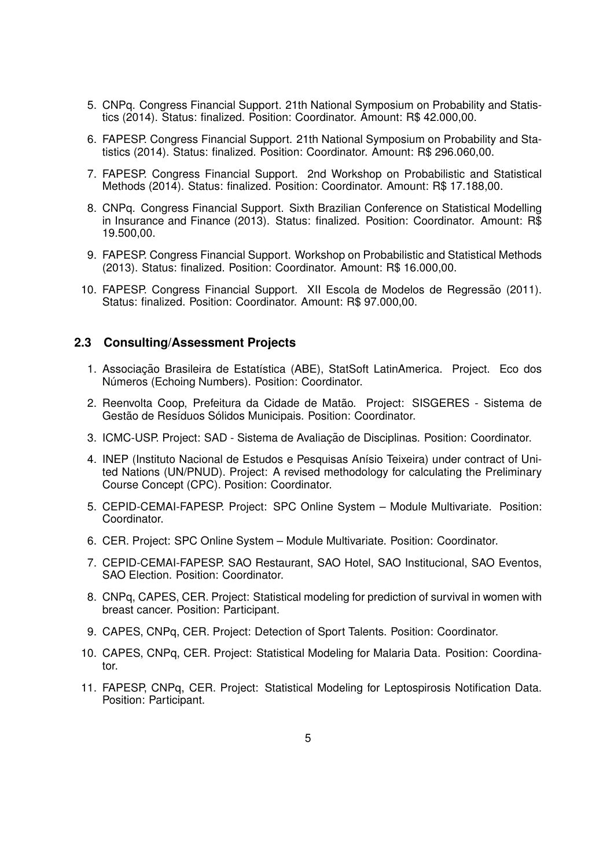- 5. CNPq. Congress Financial Support. 21th National Symposium on Probability and Statistics (2014). Status: finalized. Position: Coordinator. Amount: R\$ 42.000,00.
- 6. FAPESP. Congress Financial Support. 21th National Symposium on Probability and Statistics (2014). Status: finalized. Position: Coordinator. Amount: R\$ 296.060,00.
- 7. FAPESP. Congress Financial Support. 2nd Workshop on Probabilistic and Statistical Methods (2014). Status: finalized. Position: Coordinator. Amount: R\$ 17.188,00.
- 8. CNPq. Congress Financial Support. Sixth Brazilian Conference on Statistical Modelling in Insurance and Finance (2013). Status: finalized. Position: Coordinator. Amount: R\$ 19.500,00.
- 9. FAPESP. Congress Financial Support. Workshop on Probabilistic and Statistical Methods (2013). Status: finalized. Position: Coordinator. Amount: R\$ 16.000,00.
- 10. FAPESP. Congress Financial Support. XII Escola de Modelos de Regressão (2011). Status: finalized. Position: Coordinator. Amount: R\$ 97.000,00.

## **2.3 Consulting/Assessment Projects**

- 1. Associação Brasileira de Estatística (ABE), StatSoft LatinAmerica. Project. Eco dos Números (Echoing Numbers). Position: Coordinator.
- 2. Reenvolta Coop, Prefeitura da Cidade de Matão. Project: SISGERES Sistema de Gestão de Resíduos Sólidos Municipais. Position: Coordinator.
- 3. ICMC-USP. Project: SAD Sistema de Avaliação de Disciplinas. Position: Coordinator.
- 4. INEP (Instituto Nacional de Estudos e Pesquisas Anísio Teixeira) under contract of United Nations (UN/PNUD). Project: A revised methodology for calculating the Preliminary Course Concept (CPC). Position: Coordinator.
- 5. CEPID-CEMAI-FAPESP. Project: SPC Online System Module Multivariate. Position: Coordinator.
- 6. CER. Project: SPC Online System Module Multivariate. Position: Coordinator.
- 7. CEPID-CEMAI-FAPESP. SAO Restaurant, SAO Hotel, SAO Institucional, SAO Eventos, SAO Election. Position: Coordinator.
- 8. CNPq, CAPES, CER. Project: Statistical modeling for prediction of survival in women with breast cancer. Position: Participant.
- 9. CAPES, CNPq, CER. Project: Detection of Sport Talents. Position: Coordinator.
- 10. CAPES, CNPq, CER. Project: Statistical Modeling for Malaria Data. Position: Coordinator.
- 11. FAPESP, CNPq, CER. Project: Statistical Modeling for Leptospirosis Notification Data. Position: Participant.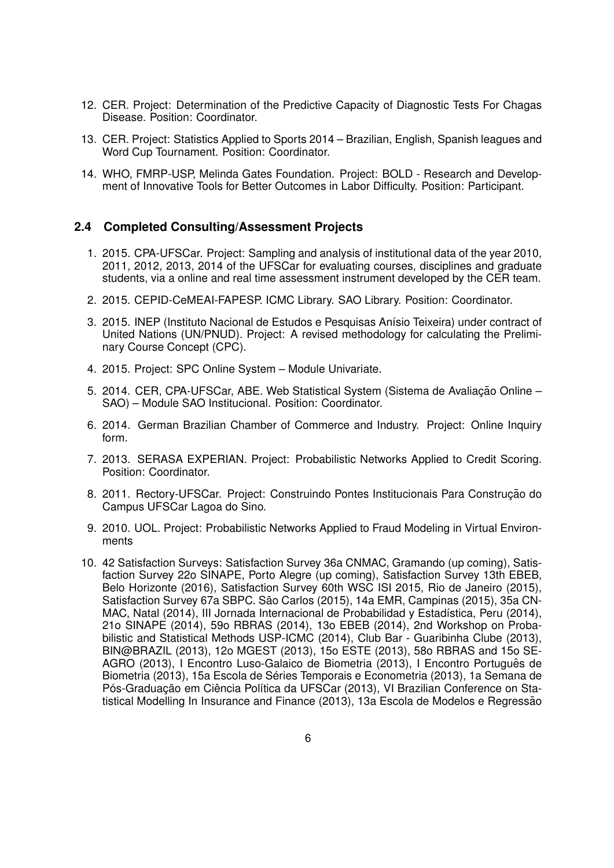- 12. CER. Project: Determination of the Predictive Capacity of Diagnostic Tests For Chagas Disease. Position: Coordinator.
- 13. CER. Project: Statistics Applied to Sports 2014 Brazilian, English, Spanish leagues and Word Cup Tournament. Position: Coordinator.
- 14. WHO, FMRP-USP, Melinda Gates Foundation. Project: BOLD Research and Development of Innovative Tools for Better Outcomes in Labor Difficulty. Position: Participant.

## **2.4 Completed Consulting/Assessment Projects**

- 1. 2015. CPA-UFSCar. Project: Sampling and analysis of institutional data of the year 2010, 2011, 2012, 2013, 2014 of the UFSCar for evaluating courses, disciplines and graduate students, via a online and real time assessment instrument developed by the CER team.
- 2. 2015. CEPID-CeMEAI-FAPESP. ICMC Library. SAO Library. Position: Coordinator.
- 3. 2015. INEP (Instituto Nacional de Estudos e Pesquisas Anísio Teixeira) under contract of United Nations (UN/PNUD). Project: A revised methodology for calculating the Preliminary Course Concept (CPC).
- 4. 2015. Project: SPC Online System Module Univariate.
- 5. 2014. CER, CPA-UFSCar, ABE. Web Statistical System (Sistema de Avaliação Online SAO) – Module SAO Institucional. Position: Coordinator.
- 6. 2014. German Brazilian Chamber of Commerce and Industry. Project: Online Inquiry form.
- 7. 2013. SERASA EXPERIAN. Project: Probabilistic Networks Applied to Credit Scoring. Position: Coordinator.
- 8. 2011. Rectory-UFSCar. Project: Construindo Pontes Institucionais Para Construção do Campus UFSCar Lagoa do Sino.
- 9. 2010. UOL. Project: Probabilistic Networks Applied to Fraud Modeling in Virtual Environments
- 10. 42 Satisfaction Surveys: Satisfaction Survey 36a CNMAC, Gramando (up coming), Satisfaction Survey 22o SINAPE, Porto Alegre (up coming), Satisfaction Survey 13th EBEB, Belo Horizonte (2016), Satisfaction Survey 60th WSC ISI 2015, Rio de Janeiro (2015), Satisfaction Survey 67a SBPC. São Carlos (2015), 14a EMR, Campinas (2015), 35a CN-MAC, Natal (2014), III Jornada Internacional de Probabilidad y Estadística, Peru (2014), 21o SINAPE (2014), 59o RBRAS (2014), 13o EBEB (2014), 2nd Workshop on Probabilistic and Statistical Methods USP-ICMC (2014), Club Bar - Guaribinha Clube (2013), BIN@BRAZIL (2013), 12o MGEST (2013), 15o ESTE (2013), 58o RBRAS and 15o SE-AGRO (2013), I Encontro Luso-Galaico de Biometria (2013), I Encontro Portugues de ˆ Biometria (2013), 15a Escola de Séries Temporais e Econometria (2013), 1a Semana de Pós-Graduação em Ciência Política da UFSCar (2013), VI Brazilian Conference on Statistical Modelling In Insurance and Finance (2013), 13a Escola de Modelos e Regressão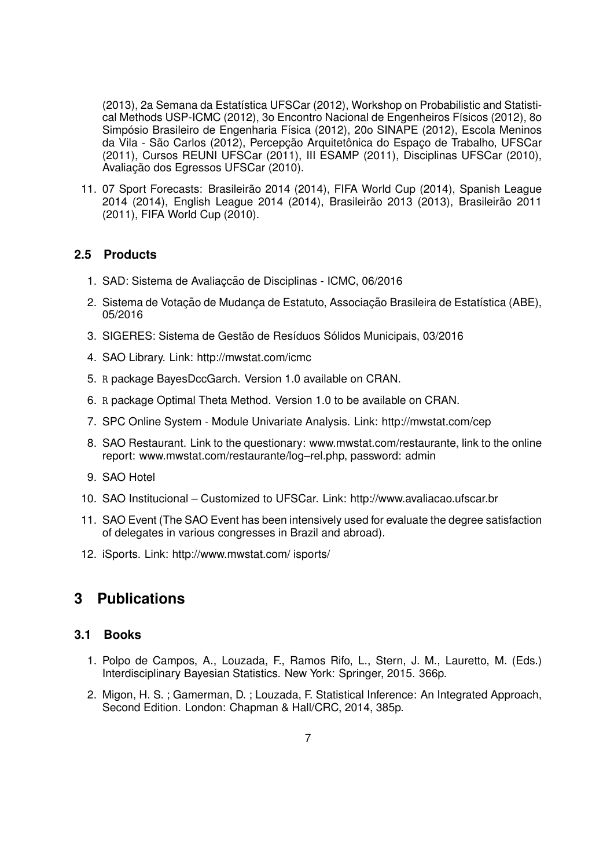(2013), 2a Semana da Estatística UFSCar (2012), Workshop on Probabilistic and Statistical Methods USP-ICMC (2012), 3o Encontro Nacional de Engenheiros Físicos (2012), 8o Simpósio Brasileiro de Engenharia Física (2012), 20o SINAPE (2012), Escola Meninos da Vila - São Carlos (2012), Percepção Arquitetônica do Espaço de Trabalho, UFSCar (2011), Cursos REUNI UFSCar (2011), III ESAMP (2011), Disciplinas UFSCar (2010), Avaliação dos Egressos UFSCar (2010).

11. 07 Sport Forecasts: Brasileirão 2014 (2014), FIFA World Cup (2014), Spanish League 2014 (2014), English League 2014 (2014), Brasileirão 2013 (2013), Brasileirão 2011 (2011), FIFA World Cup (2010).

# **2.5 Products**

- 1. SAD: Sistema de Avaliacção de Disciplinas ICMC, 06/2016
- 2. Sistema de Votação de Mudança de Estatuto, Associação Brasileira de Estatística (ABE), 05/2016
- 3. SIGERES: Sistema de Gestão de Resíduos Sólidos Municipais, 03/2016
- 4. SAO Library. Link: http://mwstat.com/icmc
- 5. R package BayesDccGarch. Version 1.0 available on CRAN.
- 6. R package Optimal Theta Method. Version 1.0 to be available on CRAN.
- 7. SPC Online System Module Univariate Analysis. Link: http://mwstat.com/cep
- 8. SAO Restaurant. Link to the questionary: www.mwstat.com/restaurante, link to the online report: www.mwstat.com/restaurante/log–rel.php, password: admin
- 9. SAO Hotel
- 10. SAO Institucional Customized to UFSCar. Link: http://www.avaliacao.ufscar.br
- 11. SAO Event (The SAO Event has been intensively used for evaluate the degree satisfaction of delegates in various congresses in Brazil and abroad).
- 12. iSports. Link: http://www.mwstat.com/ isports/

# **3 Publications**

# **3.1 Books**

- 1. Polpo de Campos, A., Louzada, F., Ramos Rifo, L., Stern, J. M., Lauretto, M. (Eds.) Interdisciplinary Bayesian Statistics. New York: Springer, 2015. 366p.
- 2. Migon, H. S. ; Gamerman, D. ; Louzada, F. Statistical Inference: An Integrated Approach, Second Edition. London: Chapman & Hall/CRC, 2014, 385p.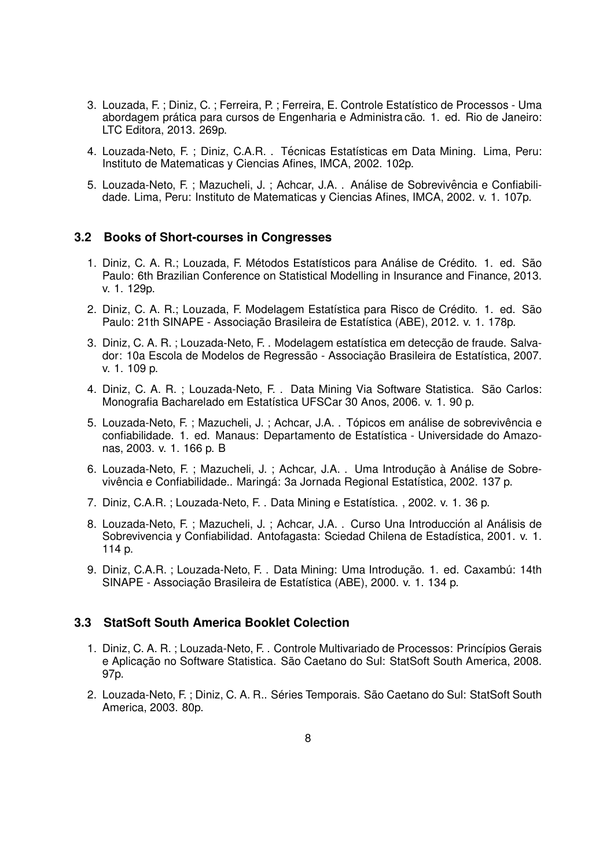- 3. Louzada, F. ; Diniz, C. ; Ferreira, P. ; Ferreira, E. Controle Estatístico de Processos Uma abordagem prática para cursos de Engenharia e Administra cão. 1. ed. Rio de Janeiro: LTC Editora, 2013. 269p.
- 4. Louzada-Neto, F. ; Diniz, C.A.R. . Técnicas Estatísticas em Data Mining. Lima, Peru: Instituto de Matematicas y Ciencias Afines, IMCA, 2002. 102p.
- 5. Louzada-Neto, F. ; Mazucheli, J. ; Achcar, J.A. . Análise de Sobrevivência e Confiabilidade. Lima, Peru: Instituto de Matematicas y Ciencias Afines, IMCA, 2002. v. 1. 107p.

## **3.2 Books of Short-courses in Congresses**

- 1. Diniz, C. A. R.; Louzada, F. Métodos Estatísticos para Análise de Crédito. 1. ed. São Paulo: 6th Brazilian Conference on Statistical Modelling in Insurance and Finance, 2013. v. 1. 129p.
- 2. Diniz, C. A. R.; Louzada, F. Modelagem Estatística para Risco de Crédito. 1. ed. São Paulo: 21th SINAPE - Associacão Brasileira de Estatística (ABE), 2012. v. 1. 178p.
- 3. Diniz, C. A. R.; Louzada-Neto, F. . Modelagem estatística em detecção de fraude. Salvador: 10a Escola de Modelos de Regressão - Associação Brasileira de Estatística, 2007. v. 1. 109 p.
- 4. Diniz, C. A. R. ; Louzada-Neto, F. . Data Mining Via Software Statistica. São Carlos: Monografia Bacharelado em Estatística UFSCar 30 Anos, 2006. v. 1. 90 p.
- 5. Louzada-Neto, F.; Mazucheli, J.; Achcar, J.A. . Tópicos em análise de sobrevivência e confiabilidade. 1. ed. Manaus: Departamento de Estatística - Universidade do Amazonas, 2003. v. 1. 166 p. B
- 6. Louzada-Neto, F. ; Mazucheli, J. ; Achcar, J.A. . Uma Introdução à Análise de Sobrevivência e Confiabilidade.. Maringá: 3a Jornada Regional Estatística, 2002. 137 p.
- 7. Diniz, C.A.R. ; Louzada-Neto, F. . Data Mining e Estatística. , 2002. v. 1. 36 p.
- 8. Louzada-Neto, F.; Mazucheli, J.; Achcar, J.A. . Curso Una Introducción al Análisis de Sobrevivencia y Confiabilidad. Antofagasta: Sciedad Chilena de Estadística, 2001. v. 1. 114 p.
- 9. Diniz, C.A.R. ; Louzada-Neto, F. . Data Mining: Uma Introdução. 1. ed. Caxambú: 14th SINAPE - Associação Brasileira de Estatística (ABE), 2000. v. 1. 134 p.

### **3.3 StatSoft South America Booklet Colection**

- 1. Diniz, C. A. R. : Louzada-Neto, F. . Controle Multivariado de Processos: Princípios Gerais e Aplicação no Software Statistica. São Caetano do Sul: StatSoft South America, 2008. 97p.
- 2. Louzada-Neto, F.; Diniz, C. A. R.. Séries Temporais. São Caetano do Sul: StatSoft South America, 2003. 80p.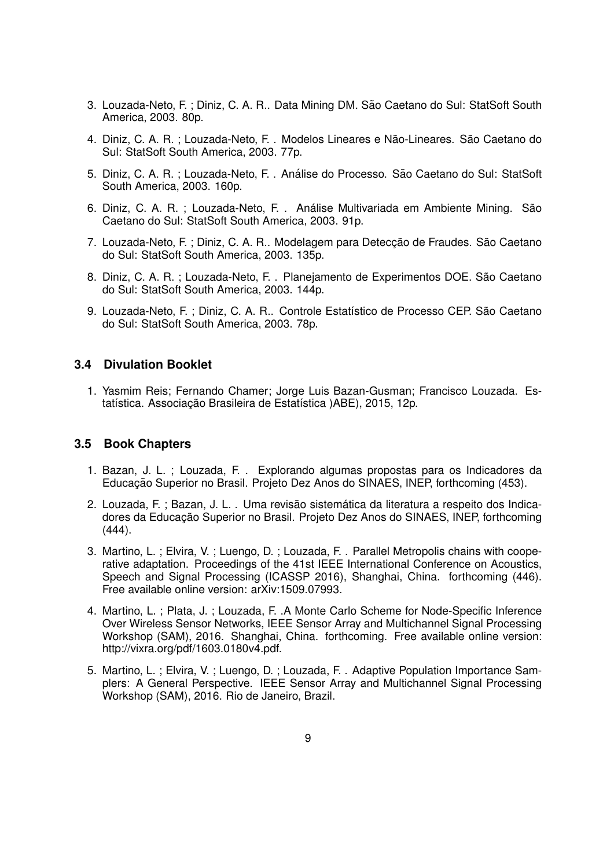- 3. Louzada-Neto, F.; Diniz, C. A. R.. Data Mining DM. São Caetano do Sul: StatSoft South America, 2003. 80p.
- 4. Diniz, C. A. R. ; Louzada-Neto, F. . Modelos Lineares e Não-Lineares. São Caetano do Sul: StatSoft South America, 2003. 77p.
- 5. Diniz, C. A. R. ; Louzada-Neto, F. . Análise do Processo. São Caetano do Sul: StatSoft South America, 2003. 160p.
- 6. Diniz, C. A. R. ; Louzada-Neto, F. . Análise Multivariada em Ambiente Mining. São Caetano do Sul: StatSoft South America, 2003. 91p.
- 7. Louzada-Neto, F.; Diniz, C. A. R., Modelagem para Deteccão de Fraudes. São Caetano do Sul: StatSoft South America, 2003. 135p.
- 8. Diniz, C. A. R. ; Louzada-Neto, F. . Planejamento de Experimentos DOE. São Caetano do Sul: StatSoft South America, 2003. 144p.
- 9. Louzada-Neto, F. ; Diniz, C. A. R.. Controle Estatístico de Processo CEP. São Caetano do Sul: StatSoft South America, 2003. 78p.

## **3.4 Divulation Booklet**

1. Yasmim Reis; Fernando Chamer; Jorge Luis Bazan-Gusman; Francisco Louzada. Estatística. Associação Brasileira de Estatística )ABE), 2015, 12p.

### **3.5 Book Chapters**

- 1. Bazan, J. L. ; Louzada, F. . Explorando algumas propostas para os Indicadores da Educação Superior no Brasil. Projeto Dez Anos do SINAES, INEP, forthcoming (453).
- 2. Louzada, F.; Bazan, J. L., Uma revisão sistemática da literatura a respeito dos Indicadores da Educação Superior no Brasil. Projeto Dez Anos do SINAES, INEP, forthcoming  $(444)$ .
- 3. Martino, L. ; Elvira, V. ; Luengo, D. ; Louzada, F. . Parallel Metropolis chains with cooperative adaptation. Proceedings of the 41st IEEE International Conference on Acoustics, Speech and Signal Processing (ICASSP 2016), Shanghai, China. forthcoming (446). Free available online version: arXiv:1509.07993.
- 4. Martino, L. ; Plata, J. ; Louzada, F. .A Monte Carlo Scheme for Node-Specific Inference Over Wireless Sensor Networks, IEEE Sensor Array and Multichannel Signal Processing Workshop (SAM), 2016. Shanghai, China. forthcoming. Free available online version: http://vixra.org/pdf/1603.0180v4.pdf.
- 5. Martino, L. ; Elvira, V. ; Luengo, D. ; Louzada, F. . Adaptive Population Importance Samplers: A General Perspective. IEEE Sensor Array and Multichannel Signal Processing Workshop (SAM), 2016. Rio de Janeiro, Brazil.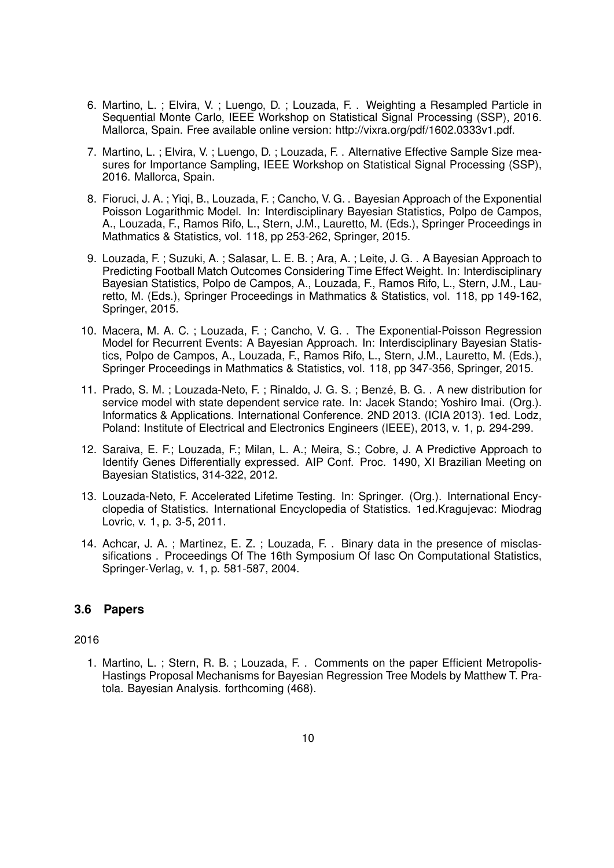- 6. Martino, L. ; Elvira, V. ; Luengo, D. ; Louzada, F. . Weighting a Resampled Particle in Sequential Monte Carlo, IEEE Workshop on Statistical Signal Processing (SSP), 2016. Mallorca, Spain. Free available online version: http://vixra.org/pdf/1602.0333v1.pdf.
- 7. Martino, L. ; Elvira, V. ; Luengo, D. ; Louzada, F. . Alternative Effective Sample Size measures for Importance Sampling, IEEE Workshop on Statistical Signal Processing (SSP), 2016. Mallorca, Spain.
- 8. Fioruci, J. A. ; Yiqi, B., Louzada, F. ; Cancho, V. G. . Bayesian Approach of the Exponential Poisson Logarithmic Model. In: Interdisciplinary Bayesian Statistics, Polpo de Campos, A., Louzada, F., Ramos Rifo, L., Stern, J.M., Lauretto, M. (Eds.), Springer Proceedings in Mathmatics & Statistics, vol. 118, pp 253-262, Springer, 2015.
- 9. Louzada, F. ; Suzuki, A. ; Salasar, L. E. B. ; Ara, A. ; Leite, J. G. . A Bayesian Approach to Predicting Football Match Outcomes Considering Time Effect Weight. In: Interdisciplinary Bayesian Statistics, Polpo de Campos, A., Louzada, F., Ramos Rifo, L., Stern, J.M., Lauretto, M. (Eds.), Springer Proceedings in Mathmatics & Statistics, vol. 118, pp 149-162, Springer, 2015.
- 10. Macera, M. A. C. ; Louzada, F. ; Cancho, V. G. . The Exponential-Poisson Regression Model for Recurrent Events: A Bayesian Approach. In: Interdisciplinary Bayesian Statistics, Polpo de Campos, A., Louzada, F., Ramos Rifo, L., Stern, J.M., Lauretto, M. (Eds.), Springer Proceedings in Mathmatics & Statistics, vol. 118, pp 347-356, Springer, 2015.
- 11. Prado, S. M. ; Louzada-Neto, F. ; Rinaldo, J. G. S. ; Benze, B. G. . A new distribution for ´ service model with state dependent service rate. In: Jacek Stando; Yoshiro Imai. (Org.). Informatics & Applications. International Conference. 2ND 2013. (ICIA 2013). 1ed. Lodz, Poland: Institute of Electrical and Electronics Engineers (IEEE), 2013, v. 1, p. 294-299.
- 12. Saraiva, E. F.; Louzada, F.; Milan, L. A.; Meira, S.; Cobre, J. A Predictive Approach to Identify Genes Differentially expressed. AIP Conf. Proc. 1490, XI Brazilian Meeting on Bayesian Statistics, 314-322, 2012.
- 13. Louzada-Neto, F. Accelerated Lifetime Testing. In: Springer. (Org.). International Encyclopedia of Statistics. International Encyclopedia of Statistics. 1ed.Kragujevac: Miodrag Lovric, v. 1, p. 3-5, 2011.
- 14. Achcar, J. A. ; Martinez, E. Z. ; Louzada, F. . Binary data in the presence of misclassifications . Proceedings Of The 16th Symposium Of Iasc On Computational Statistics, Springer-Verlag, v. 1, p. 581-587, 2004.

# **3.6 Papers**

## 2016

1. Martino, L. ; Stern, R. B. ; Louzada, F. . Comments on the paper Efficient Metropolis-Hastings Proposal Mechanisms for Bayesian Regression Tree Models by Matthew T. Pratola. Bayesian Analysis. forthcoming (468).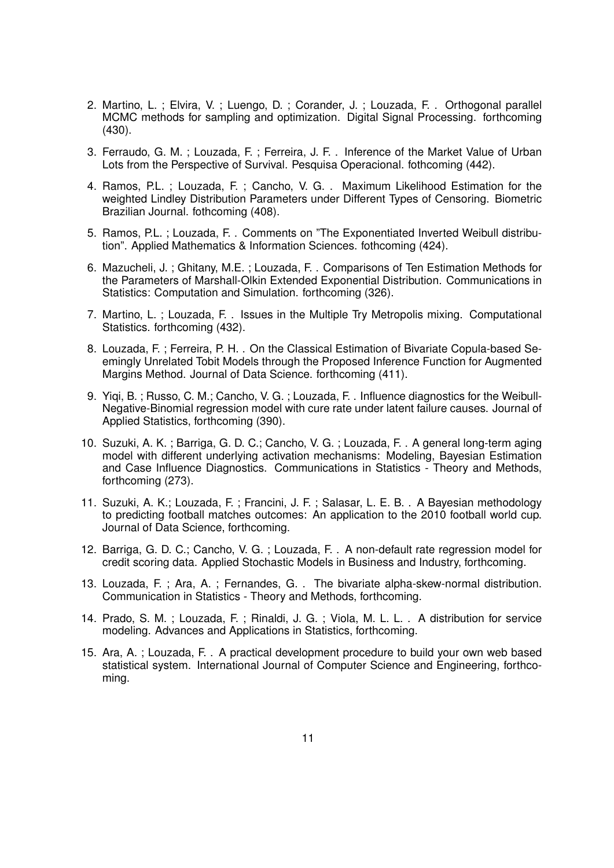- 2. Martino, L. ; Elvira, V. ; Luengo, D. ; Corander, J. ; Louzada, F. . Orthogonal parallel MCMC methods for sampling and optimization. Digital Signal Processing. forthcoming (430).
- 3. Ferraudo, G. M. ; Louzada, F. ; Ferreira, J. F. . Inference of the Market Value of Urban Lots from the Perspective of Survival. Pesquisa Operacional. fothcoming (442).
- 4. Ramos, P.L. ; Louzada, F. ; Cancho, V. G. . Maximum Likelihood Estimation for the weighted Lindley Distribution Parameters under Different Types of Censoring. Biometric Brazilian Journal. fothcoming (408).
- 5. Ramos, P.L. ; Louzada, F. . Comments on "The Exponentiated Inverted Weibull distribution". Applied Mathematics & Information Sciences. fothcoming (424).
- 6. Mazucheli, J. ; Ghitany, M.E. ; Louzada, F. . Comparisons of Ten Estimation Methods for the Parameters of Marshall-Olkin Extended Exponential Distribution. Communications in Statistics: Computation and Simulation. forthcoming (326).
- 7. Martino, L. ; Louzada, F. . Issues in the Multiple Try Metropolis mixing. Computational Statistics. forthcoming (432).
- 8. Louzada, F. ; Ferreira, P. H. . On the Classical Estimation of Bivariate Copula-based Seemingly Unrelated Tobit Models through the Proposed Inference Function for Augmented Margins Method. Journal of Data Science. forthcoming (411).
- 9. Yiqi, B. ; Russo, C. M.; Cancho, V. G. ; Louzada, F. . Influence diagnostics for the Weibull-Negative-Binomial regression model with cure rate under latent failure causes. Journal of Applied Statistics, forthcoming (390).
- 10. Suzuki, A. K. ; Barriga, G. D. C.; Cancho, V. G. ; Louzada, F. . A general long-term aging model with different underlying activation mechanisms: Modeling, Bayesian Estimation and Case Influence Diagnostics. Communications in Statistics - Theory and Methods, forthcoming (273).
- 11. Suzuki, A. K.; Louzada, F. ; Francini, J. F. ; Salasar, L. E. B. . A Bayesian methodology to predicting football matches outcomes: An application to the 2010 football world cup. Journal of Data Science, forthcoming.
- 12. Barriga, G. D. C.; Cancho, V. G. ; Louzada, F. . A non-default rate regression model for credit scoring data. Applied Stochastic Models in Business and Industry, forthcoming.
- 13. Louzada, F. ; Ara, A. ; Fernandes, G. . The bivariate alpha-skew-normal distribution. Communication in Statistics - Theory and Methods, forthcoming.
- 14. Prado, S. M. ; Louzada, F. ; Rinaldi, J. G. ; Viola, M. L. L. . A distribution for service modeling. Advances and Applications in Statistics, forthcoming.
- 15. Ara, A. ; Louzada, F. . A practical development procedure to build your own web based statistical system. International Journal of Computer Science and Engineering, forthcoming.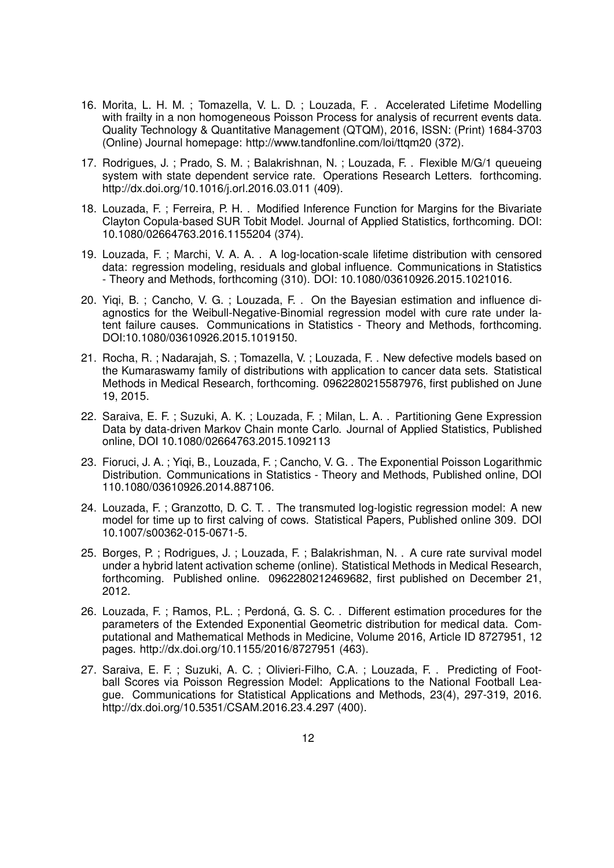- 16. Morita, L. H. M. ; Tomazella, V. L. D. ; Louzada, F. . Accelerated Lifetime Modelling with frailty in a non homogeneous Poisson Process for analysis of recurrent events data. Quality Technology & Quantitative Management (QTQM), 2016, ISSN: (Print) 1684-3703 (Online) Journal homepage: http://www.tandfonline.com/loi/ttqm20 (372).
- 17. Rodrigues, J. ; Prado, S. M. ; Balakrishnan, N. ; Louzada, F. . Flexible M/G/1 queueing system with state dependent service rate. Operations Research Letters. forthcoming. http://dx.doi.org/10.1016/j.orl.2016.03.011 (409).
- 18. Louzada, F. ; Ferreira, P. H. . Modified Inference Function for Margins for the Bivariate Clayton Copula-based SUR Tobit Model. Journal of Applied Statistics, forthcoming. DOI: 10.1080/02664763.2016.1155204 (374).
- 19. Louzada, F. ; Marchi, V. A. A. . A log-location-scale lifetime distribution with censored data: regression modeling, residuals and global influence. Communications in Statistics - Theory and Methods, forthcoming (310). DOI: 10.1080/03610926.2015.1021016.
- 20. Yiqi, B. ; Cancho, V. G. ; Louzada, F. . On the Bayesian estimation and influence diagnostics for the Weibull-Negative-Binomial regression model with cure rate under latent failure causes. Communications in Statistics - Theory and Methods, forthcoming. DOI:10.1080/03610926.2015.1019150.
- 21. Rocha, R. ; Nadarajah, S. ; Tomazella, V. ; Louzada, F. . New defective models based on the Kumaraswamy family of distributions with application to cancer data sets. Statistical Methods in Medical Research, forthcoming. 0962280215587976, first published on June 19, 2015.
- 22. Saraiva, E. F. ; Suzuki, A. K. ; Louzada, F. ; Milan, L. A. . Partitioning Gene Expression Data by data-driven Markov Chain monte Carlo. Journal of Applied Statistics, Published online, DOI 10.1080/02664763.2015.1092113
- 23. Fioruci, J. A. ; Yiqi, B., Louzada, F. ; Cancho, V. G. . The Exponential Poisson Logarithmic Distribution. Communications in Statistics - Theory and Methods, Published online, DOI 110.1080/03610926.2014.887106.
- 24. Louzada, F. ; Granzotto, D. C. T. . The transmuted log-logistic regression model: A new model for time up to first calving of cows. Statistical Papers, Published online 309. DOI 10.1007/s00362-015-0671-5.
- 25. Borges, P. ; Rodrigues, J. ; Louzada, F. ; Balakrishman, N. . A cure rate survival model under a hybrid latent activation scheme (online). Statistical Methods in Medical Research, forthcoming. Published online. 0962280212469682, first published on December 21, 2012.
- 26. Louzada, F.; Ramos, P.L.; Perdoná, G. S. C. . Different estimation procedures for the parameters of the Extended Exponential Geometric distribution for medical data. Computational and Mathematical Methods in Medicine, Volume 2016, Article ID 8727951, 12 pages. http://dx.doi.org/10.1155/2016/8727951 (463).
- 27. Saraiva, E. F. ; Suzuki, A. C. ; Olivieri-Filho, C.A. ; Louzada, F. . Predicting of Football Scores via Poisson Regression Model: Applications to the National Football League. Communications for Statistical Applications and Methods, 23(4), 297-319, 2016. http://dx.doi.org/10.5351/CSAM.2016.23.4.297 (400).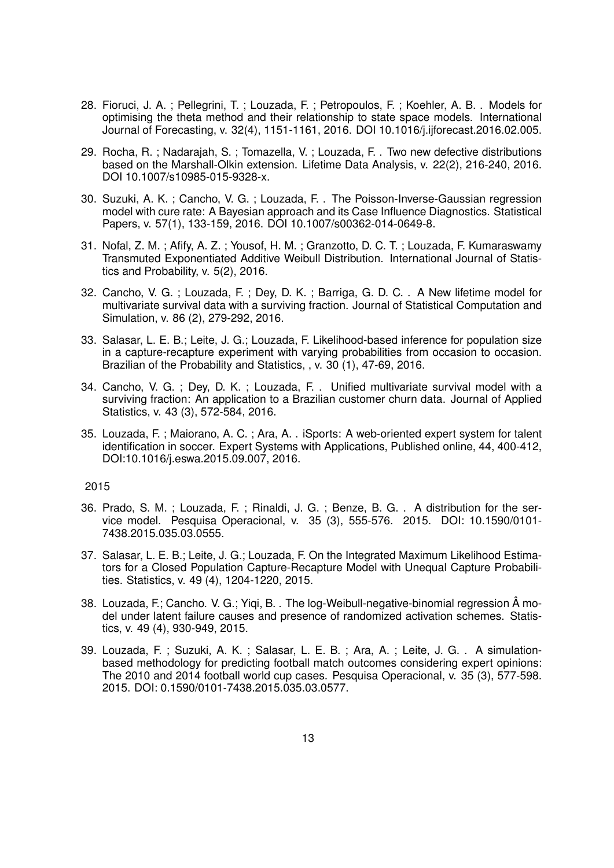- 28. Fioruci, J. A. ; Pellegrini, T. ; Louzada, F. ; Petropoulos, F. ; Koehler, A. B. . Models for optimising the theta method and their relationship to state space models. International Journal of Forecasting, v. 32(4), 1151-1161, 2016. DOI 10.1016/j.ijforecast.2016.02.005.
- 29. Rocha, R. ; Nadarajah, S. ; Tomazella, V. ; Louzada, F. . Two new defective distributions based on the Marshall-Olkin extension. Lifetime Data Analysis, v. 22(2), 216-240, 2016. DOI 10.1007/s10985-015-9328-x.
- 30. Suzuki, A. K. ; Cancho, V. G. ; Louzada, F. . The Poisson-Inverse-Gaussian regression model with cure rate: A Bayesian approach and its Case Influence Diagnostics. Statistical Papers, v. 57(1), 133-159, 2016. DOI 10.1007/s00362-014-0649-8.
- 31. Nofal, Z. M. ; Afify, A. Z. ; Yousof, H. M. ; Granzotto, D. C. T. ; Louzada, F. Kumaraswamy Transmuted Exponentiated Additive Weibull Distribution. International Journal of Statistics and Probability, v. 5(2), 2016.
- 32. Cancho, V. G. ; Louzada, F. ; Dey, D. K. ; Barriga, G. D. C. . A New lifetime model for multivariate survival data with a surviving fraction. Journal of Statistical Computation and Simulation, v. 86 (2), 279-292, 2016.
- 33. Salasar, L. E. B.; Leite, J. G.; Louzada, F. Likelihood-based inference for population size in a capture-recapture experiment with varying probabilities from occasion to occasion. Brazilian of the Probability and Statistics, , v. 30 (1), 47-69, 2016.
- 34. Cancho, V. G. ; Dey, D. K. ; Louzada, F. . Unified multivariate survival model with a surviving fraction: An application to a Brazilian customer churn data. Journal of Applied Statistics, v. 43 (3), 572-584, 2016.
- 35. Louzada, F. ; Maiorano, A. C. ; Ara, A. . iSports: A web-oriented expert system for talent identification in soccer. Expert Systems with Applications, Published online, 44, 400-412, DOI:10.1016/j.eswa.2015.09.007, 2016.

- 36. Prado, S. M. ; Louzada, F. ; Rinaldi, J. G. ; Benze, B. G. . A distribution for the service model. Pesquisa Operacional, v. 35 (3), 555-576. 2015. DOI: 10.1590/0101- 7438.2015.035.03.0555.
- 37. Salasar, L. E. B.; Leite, J. G.; Louzada, F. On the Integrated Maximum Likelihood Estimators for a Closed Population Capture-Recapture Model with Unequal Capture Probabilities. Statistics, v. 49 (4), 1204-1220, 2015.
- 38. Louzada, F.; Cancho. V. G.; Yigi, B. . The log-Weibull-negative-binomial regression  $\hat{A}$  model under latent failure causes and presence of randomized activation schemes. Statistics, v. 49 (4), 930-949, 2015.
- 39. Louzada, F. ; Suzuki, A. K. ; Salasar, L. E. B. ; Ara, A. ; Leite, J. G. . A simulationbased methodology for predicting football match outcomes considering expert opinions: The 2010 and 2014 football world cup cases. Pesquisa Operacional, v. 35 (3), 577-598. 2015. DOI: 0.1590/0101-7438.2015.035.03.0577.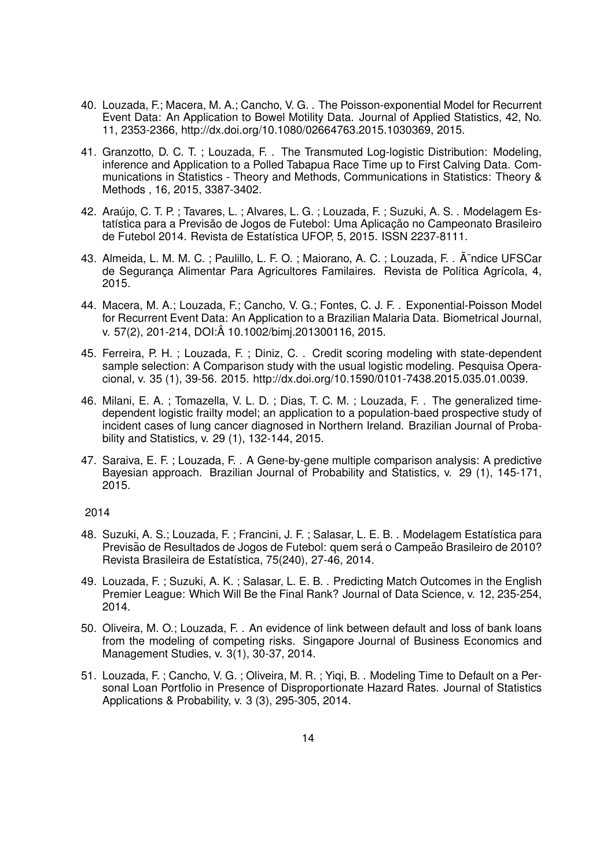- 40. Louzada, F.; Macera, M. A.; Cancho, V. G. . The Poisson-exponential Model for Recurrent Event Data: An Application to Bowel Motility Data. Journal of Applied Statistics, 42, No. 11, 2353-2366, http://dx.doi.org/10.1080/02664763.2015.1030369, 2015.
- 41. Granzotto, D. C. T. ; Louzada, F. . The Transmuted Log-logistic Distribution: Modeling, inference and Application to a Polled Tabapua Race Time up to First Calving Data. Communications in Statistics - Theory and Methods, Communications in Statistics: Theory & Methods , 16, 2015, 3387-3402.
- 42. Araújo, C. T. P. ; Tavares, L. ; Alvares, L. G. ; Louzada, F. ; Suzuki, A. S. . Modelagem Estatística para a Previsão de Jogos de Futebol: Uma Aplicação no Campeonato Brasileiro de Futebol 2014. Revista de Estatística UFOP, 5, 2015. ISSN 2237-8111.
- 43. Almeida, L. M. M. C. ; Paulillo, L. F. O. ; Maiorano, A. C. ; Louzada, F. . A⊤ndice UFSCar de Segurança Alimentar Para Agricultores Familaires. Revista de Política Agrícola, 4, 2015.
- 44. Macera, M. A.; Louzada, F.; Cancho, V. G.; Fontes, C. J. F. . Exponential-Poisson Model for Recurrent Event Data: An Application to a Brazilian Malaria Data. Biometrical Journal, v. 57(2), 201-214, DOI:A 10.1002/bimj.201300116, 2015. ˆ
- 45. Ferreira, P. H. ; Louzada, F. ; Diniz, C. . Credit scoring modeling with state-dependent sample selection: A Comparison study with the usual logistic modeling. Pesquisa Operacional, v. 35 (1), 39-56. 2015. http://dx.doi.org/10.1590/0101-7438.2015.035.01.0039.
- 46. Milani, E. A. ; Tomazella, V. L. D. ; Dias, T. C. M. ; Louzada, F. . The generalized timedependent logistic frailty model; an application to a population-baed prospective study of incident cases of lung cancer diagnosed in Northern Ireland. Brazilian Journal of Probability and Statistics, v. 29 (1), 132-144, 2015.
- 47. Saraiva, E. F. ; Louzada, F. . A Gene-by-gene multiple comparison analysis: A predictive Bayesian approach. Brazilian Journal of Probability and Statistics, v. 29 (1), 145-171, 2015.

- 48. Suzuki, A. S.; Louzada, F.; Francini, J. F.; Salasar, L. E. B. . Modelagem Estatística para Previsão de Resultados de Jogos de Futebol: quem será o Campeão Brasileiro de 2010? Revista Brasileira de Estatística, 75(240), 27-46, 2014.
- 49. Louzada, F. ; Suzuki, A. K. ; Salasar, L. E. B. . Predicting Match Outcomes in the English Premier League: Which Will Be the Final Rank? Journal of Data Science, v. 12, 235-254, 2014.
- 50. Oliveira, M. O.; Louzada, F. . An evidence of link between default and loss of bank loans from the modeling of competing risks. Singapore Journal of Business Economics and Management Studies, v. 3(1), 30-37, 2014.
- 51. Louzada, F. ; Cancho, V. G. ; Oliveira, M. R. ; Yiqi, B. . Modeling Time to Default on a Personal Loan Portfolio in Presence of Disproportionate Hazard Rates. Journal of Statistics Applications & Probability, v. 3 (3), 295-305, 2014.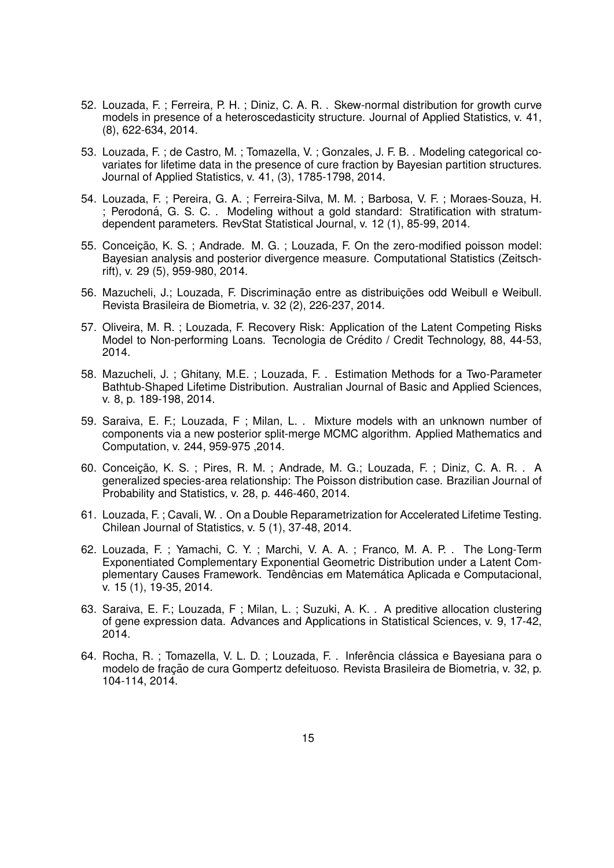- 52. Louzada, F. ; Ferreira, P. H. ; Diniz, C. A. R. . Skew-normal distribution for growth curve models in presence of a heteroscedasticity structure. Journal of Applied Statistics, v. 41, (8), 622-634, 2014.
- 53. Louzada, F. ; de Castro, M. ; Tomazella, V. ; Gonzales, J. F. B. . Modeling categorical covariates for lifetime data in the presence of cure fraction by Bayesian partition structures. Journal of Applied Statistics, v. 41, (3), 1785-1798, 2014.
- 54. Louzada, F. ; Pereira, G. A. ; Ferreira-Silva, M. M. ; Barbosa, V. F. ; Moraes-Souza, H. ; Perodoná, G. S. C. Modeling without a gold standard: Stratification with stratumdependent parameters. RevStat Statistical Journal, v. 12 (1), 85-99, 2014.
- 55. Conceicão, K. S. ; Andrade. M. G. ; Louzada, F. On the zero-modified poisson model: Bayesian analysis and posterior divergence measure. Computational Statistics (Zeitschrift), v. 29 (5), 959-980, 2014.
- 56. Mazucheli, J.; Louzada, F. Discriminação entre as distribuicões odd Weibull e Weibull. Revista Brasileira de Biometria, v. 32 (2), 226-237, 2014.
- 57. Oliveira, M. R. ; Louzada, F. Recovery Risk: Application of the Latent Competing Risks Model to Non-performing Loans. Tecnologia de Crédito / Credit Technology, 88, 44-53, 2014.
- 58. Mazucheli, J. ; Ghitany, M.E. ; Louzada, F. . Estimation Methods for a Two-Parameter Bathtub-Shaped Lifetime Distribution. Australian Journal of Basic and Applied Sciences, v. 8, p. 189-198, 2014.
- 59. Saraiva, E. F.; Louzada, F ; Milan, L. . Mixture models with an unknown number of components via a new posterior split-merge MCMC algorithm. Applied Mathematics and Computation, v. 244, 959-975 ,2014.
- 60. Conceição, K. S.; Pires, R. M.; Andrade, M. G.; Louzada, F.; Diniz, C. A. R.., A generalized species-area relationship: The Poisson distribution case. Brazilian Journal of Probability and Statistics, v. 28, p. 446-460, 2014.
- 61. Louzada, F. ; Cavali, W. . On a Double Reparametrization for Accelerated Lifetime Testing. Chilean Journal of Statistics, v. 5 (1), 37-48, 2014.
- 62. Louzada, F. ; Yamachi, C. Y. ; Marchi, V. A. A. ; Franco, M. A. P. . The Long-Term Exponentiated Complementary Exponential Geometric Distribution under a Latent Complementary Causes Framework. Tendências em Matemática Aplicada e Computacional, v. 15 (1), 19-35, 2014.
- 63. Saraiva, E. F.; Louzada, F ; Milan, L. ; Suzuki, A. K. . A preditive allocation clustering of gene expression data. Advances and Applications in Statistical Sciences, v. 9, 17-42, 2014.
- 64. Rocha, R. ; Tomazella, V. L. D. ; Louzada, F. . Inferência clássica e Bayesiana para o modelo de fração de cura Gompertz defeituoso. Revista Brasileira de Biometria, v. 32, p. 104-114, 2014.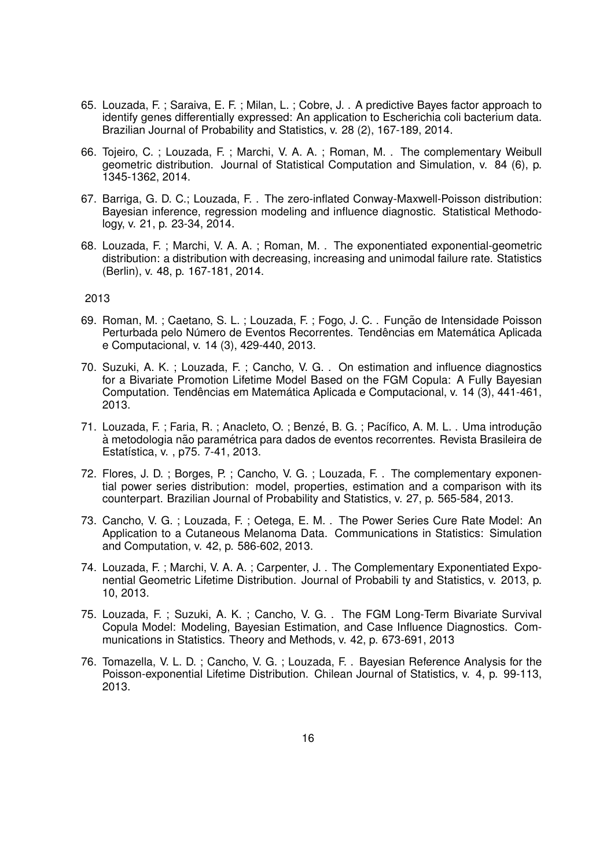- 65. Louzada, F. ; Saraiva, E. F. ; Milan, L. ; Cobre, J. . A predictive Bayes factor approach to identify genes differentially expressed: An application to Escherichia coli bacterium data. Brazilian Journal of Probability and Statistics, v. 28 (2), 167-189, 2014.
- 66. Tojeiro, C. ; Louzada, F. ; Marchi, V. A. A. ; Roman, M. . The complementary Weibull geometric distribution. Journal of Statistical Computation and Simulation, v. 84 (6), p. 1345-1362, 2014.
- 67. Barriga, G. D. C.; Louzada, F. . The zero-inflated Conway-Maxwell-Poisson distribution: Bayesian inference, regression modeling and influence diagnostic. Statistical Methodology, v. 21, p. 23-34, 2014.
- 68. Louzada, F. ; Marchi, V. A. A. ; Roman, M. . The exponentiated exponential-geometric distribution: a distribution with decreasing, increasing and unimodal failure rate. Statistics (Berlin), v. 48, p. 167-181, 2014.

- 69. Roman, M.; Caetano, S. L.; Louzada, F.; Fogo, J. C. . Função de Intensidade Poisson Perturbada pelo Número de Eventos Recorrentes. Tendências em Matemática Aplicada e Computacional, v. 14 (3), 429-440, 2013.
- 70. Suzuki, A. K. ; Louzada, F. ; Cancho, V. G. . On estimation and influence diagnostics for a Bivariate Promotion Lifetime Model Based on the FGM Copula: A Fully Bayesian Computation. Tendências em Matemática Aplicada e Computacional, v. 14 (3), 441-461, 2013.
- 71. Louzada, F.; Faria, R.; Anacleto, O.; Benzé, B. G.; Pacífico, A. M. L., Uma introducão à metodologia não paramétrica para dados de eventos recorrentes. Revista Brasileira de Estatística, v., p75. 7-41, 2013.
- 72. Flores, J. D. ; Borges, P. ; Cancho, V. G. ; Louzada, F. . The complementary exponential power series distribution: model, properties, estimation and a comparison with its counterpart. Brazilian Journal of Probability and Statistics, v. 27, p. 565-584, 2013.
- 73. Cancho, V. G. ; Louzada, F. ; Oetega, E. M. . The Power Series Cure Rate Model: An Application to a Cutaneous Melanoma Data. Communications in Statistics: Simulation and Computation, v. 42, p. 586-602, 2013.
- 74. Louzada, F. ; Marchi, V. A. A. ; Carpenter, J. . The Complementary Exponentiated Exponential Geometric Lifetime Distribution. Journal of Probabili ty and Statistics, v. 2013, p. 10, 2013.
- 75. Louzada, F. ; Suzuki, A. K. ; Cancho, V. G. . The FGM Long-Term Bivariate Survival Copula Model: Modeling, Bayesian Estimation, and Case Influence Diagnostics. Communications in Statistics. Theory and Methods, v. 42, p. 673-691, 2013
- 76. Tomazella, V. L. D. ; Cancho, V. G. ; Louzada, F. . Bayesian Reference Analysis for the Poisson-exponential Lifetime Distribution. Chilean Journal of Statistics, v. 4, p. 99-113, 2013.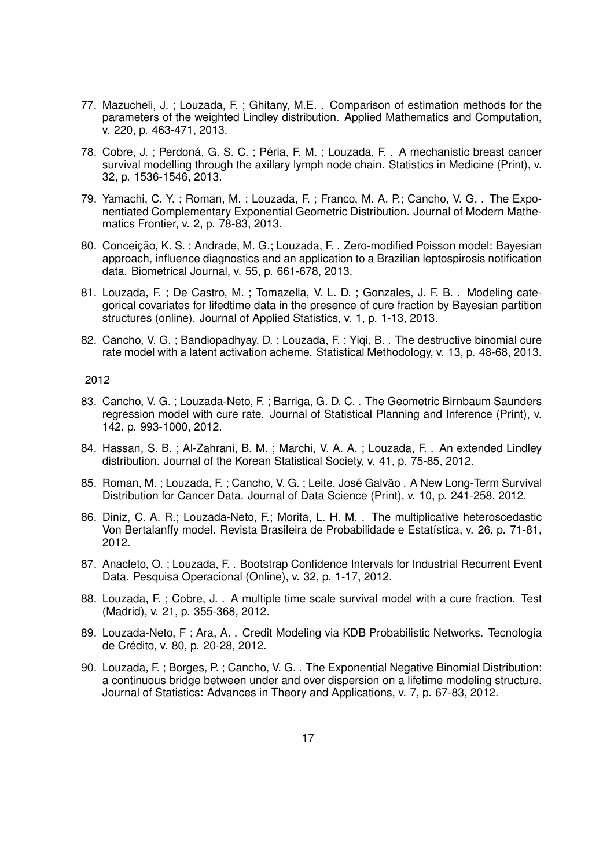- 77. Mazucheli, J. ; Louzada, F. ; Ghitany, M.E. . Comparison of estimation methods for the parameters of the weighted Lindley distribution. Applied Mathematics and Computation, v. 220, p. 463-471, 2013.
- 78. Cobre, J.; Perdoná, G. S. C.; Péria, F. M.; Louzada, F. . A mechanistic breast cancer survival modelling through the axillary lymph node chain. Statistics in Medicine (Print), v. 32, p. 1536-1546, 2013.
- 79. Yamachi, C. Y. ; Roman, M. ; Louzada, F. ; Franco, M. A. P.; Cancho, V. G. . The Exponentiated Complementary Exponential Geometric Distribution. Journal of Modern Mathematics Frontier, v. 2, p. 78-83, 2013.
- 80. Conceicão, K. S.; Andrade, M. G.; Louzada, F. . Zero-modified Poisson model: Bayesian approach, influence diagnostics and an application to a Brazilian leptospirosis notification data. Biometrical Journal, v. 55, p. 661-678, 2013.
- 81. Louzada, F. ; De Castro, M. ; Tomazella, V. L. D. ; Gonzales, J. F. B. . Modeling categorical covariates for lifedtime data in the presence of cure fraction by Bayesian partition structures (online). Journal of Applied Statistics, v. 1, p. 1-13, 2013.
- 82. Cancho, V. G.; Bandiopadhyay, D.; Louzada, F.; Yiqi, B.. The destructive binomial cure rate model with a latent activation acheme. Statistical Methodology, v. 13, p. 48-68, 2013.

- 83. Cancho, V. G. ; Louzada-Neto, F. ; Barriga, G. D. C. . The Geometric Birnbaum Saunders regression model with cure rate. Journal of Statistical Planning and Inference (Print), v. 142, p. 993-1000, 2012.
- 84. Hassan, S. B. ; Al-Zahrani, B. M. ; Marchi, V. A. A. ; Louzada, F. . An extended Lindley distribution. Journal of the Korean Statistical Society, v. 41, p. 75-85, 2012.
- 85. Roman, M. : Louzada, F. ; Cancho, V. G. ; Leite, José Galvão, A New Long-Term Survival Distribution for Cancer Data. Journal of Data Science (Print), v. 10, p. 241-258, 2012.
- 86. Diniz, C. A. R.; Louzada-Neto, F.; Morita, L. H. M. . The multiplicative heteroscedastic Von Bertalanffy model. Revista Brasileira de Probabilidade e Estatística, v. 26, p. 71-81, 2012.
- 87. Anacleto, O. ; Louzada, F. . Bootstrap Confidence Intervals for Industrial Recurrent Event Data. Pesquisa Operacional (Online), v. 32, p. 1-17, 2012.
- 88. Louzada, F. ; Cobre, J. . A multiple time scale survival model with a cure fraction. Test (Madrid), v. 21, p. 355-368, 2012.
- 89. Louzada-Neto, F ; Ara, A. . Credit Modeling via KDB Probabilistic Networks. Tecnologia de Crédito, v. 80, p. 20-28, 2012.
- 90. Louzada, F. ; Borges, P. ; Cancho, V. G. . The Exponential Negative Binomial Distribution: a continuous bridge between under and over dispersion on a lifetime modeling structure. Journal of Statistics: Advances in Theory and Applications, v. 7, p. 67-83, 2012.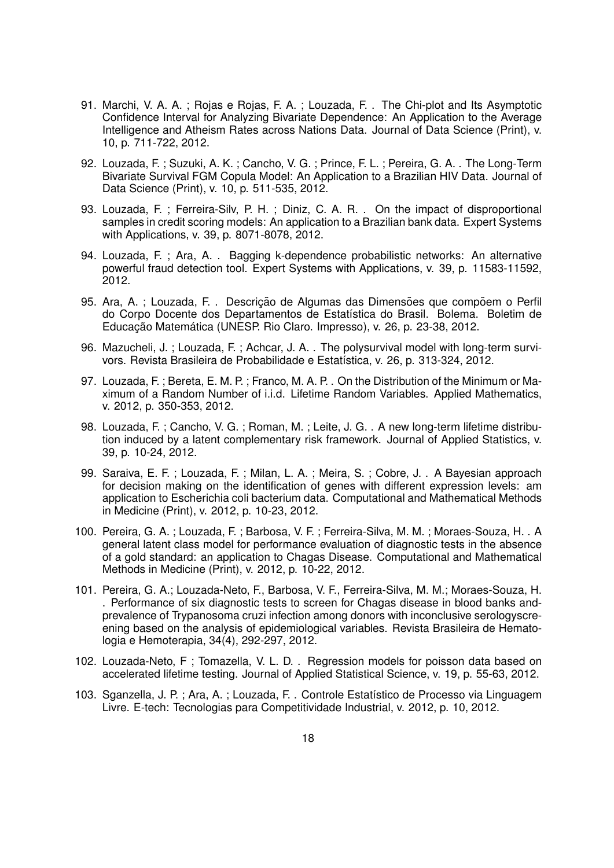- 91. Marchi, V. A. A. ; Rojas e Rojas, F. A. ; Louzada, F. . The Chi-plot and Its Asymptotic Confidence Interval for Analyzing Bivariate Dependence: An Application to the Average Intelligence and Atheism Rates across Nations Data. Journal of Data Science (Print), v. 10, p. 711-722, 2012.
- 92. Louzada, F. ; Suzuki, A. K. ; Cancho, V. G. ; Prince, F. L. ; Pereira, G. A. . The Long-Term Bivariate Survival FGM Copula Model: An Application to a Brazilian HIV Data. Journal of Data Science (Print), v. 10, p. 511-535, 2012.
- 93. Louzada, F. ; Ferreira-Silv, P. H. ; Diniz, C. A. R. . On the impact of disproportional samples in credit scoring models: An application to a Brazilian bank data. Expert Systems with Applications, v. 39, p. 8071-8078, 2012.
- 94. Louzada, F. ; Ara, A. . Bagging k-dependence probabilistic networks: An alternative powerful fraud detection tool. Expert Systems with Applications, v. 39, p. 11583-11592, 2012.
- 95. Ara, A. ; Louzada, F. . Descrição de Algumas das Dimensões que compõem o Perfil do Corpo Docente dos Departamentos de Estatística do Brasil. Bolema. Boletim de Educação Matemática (UNESP. Rio Claro. Impresso), v. 26, p. 23-38, 2012.
- 96. Mazucheli, J.; Louzada, F.; Achcar, J. A. . The polysurvival model with long-term survivors. Revista Brasileira de Probabilidade e Estatística, v. 26, p. 313-324, 2012.
- 97. Louzada, F. ; Bereta, E. M. P. ; Franco, M. A. P. . On the Distribution of the Minimum or Maximum of a Random Number of i.i.d. Lifetime Random Variables. Applied Mathematics, v. 2012, p. 350-353, 2012.
- 98. Louzada, F. ; Cancho, V. G. ; Roman, M. ; Leite, J. G. . A new long-term lifetime distribution induced by a latent complementary risk framework. Journal of Applied Statistics, v. 39, p. 10-24, 2012.
- 99. Saraiva, E. F. ; Louzada, F. ; Milan, L. A. ; Meira, S. ; Cobre, J. . A Bayesian approach for decision making on the identification of genes with different expression levels: am application to Escherichia coli bacterium data. Computational and Mathematical Methods in Medicine (Print), v. 2012, p. 10-23, 2012.
- 100. Pereira, G. A. ; Louzada, F. ; Barbosa, V. F. ; Ferreira-Silva, M. M. ; Moraes-Souza, H. . A general latent class model for performance evaluation of diagnostic tests in the absence of a gold standard: an application to Chagas Disease. Computational and Mathematical Methods in Medicine (Print), v. 2012, p. 10-22, 2012.
- 101. Pereira, G. A.; Louzada-Neto, F., Barbosa, V. F., Ferreira-Silva, M. M.; Moraes-Souza, H. . Performance of six diagnostic tests to screen for Chagas disease in blood banks andprevalence of Trypanosoma cruzi infection among donors with inconclusive serologyscreening based on the analysis of epidemiological variables. Revista Brasileira de Hematologia e Hemoterapia, 34(4), 292-297, 2012.
- 102. Louzada-Neto, F ; Tomazella, V. L. D. . Regression models for poisson data based on accelerated lifetime testing. Journal of Applied Statistical Science, v. 19, p. 55-63, 2012.
- 103. Sganzella, J. P.; Ara, A.; Louzada, F. . Controle Estatístico de Processo via Linguagem Livre. E-tech: Tecnologias para Competitividade Industrial, v. 2012, p. 10, 2012.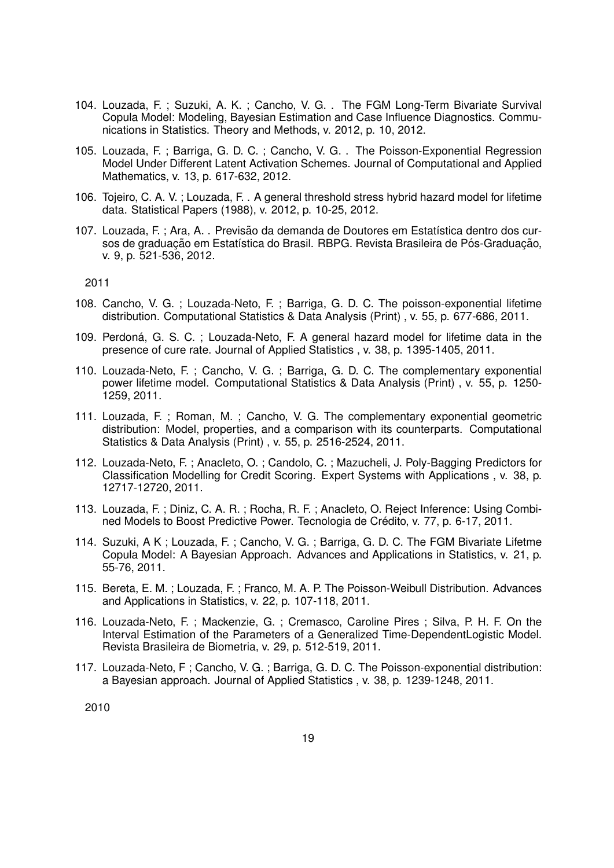- 104. Louzada, F. ; Suzuki, A. K. ; Cancho, V. G. . The FGM Long-Term Bivariate Survival Copula Model: Modeling, Bayesian Estimation and Case Influence Diagnostics. Communications in Statistics. Theory and Methods, v. 2012, p. 10, 2012.
- 105. Louzada, F. ; Barriga, G. D. C. ; Cancho, V. G. . The Poisson-Exponential Regression Model Under Different Latent Activation Schemes. Journal of Computational and Applied Mathematics, v. 13, p. 617-632, 2012.
- 106. Tojeiro, C. A. V. ; Louzada, F. . A general threshold stress hybrid hazard model for lifetime data. Statistical Papers (1988), v. 2012, p. 10-25, 2012.
- 107. Louzada, F.; Ara, A. . Previsão da demanda de Doutores em Estatística dentro dos cursos de graduação em Estatística do Brasil. RBPG. Revista Brasileira de Pós-Graduação. v. 9, p. 521-536, 2012.

- 108. Cancho, V. G. ; Louzada-Neto, F. ; Barriga, G. D. C. The poisson-exponential lifetime distribution. Computational Statistics & Data Analysis (Print) , v. 55, p. 677-686, 2011.
- 109. Perdoná, G. S. C. ; Louzada-Neto, F. A general hazard model for lifetime data in the presence of cure rate. Journal of Applied Statistics , v. 38, p. 1395-1405, 2011.
- 110. Louzada-Neto, F. ; Cancho, V. G. ; Barriga, G. D. C. The complementary exponential power lifetime model. Computational Statistics & Data Analysis (Print) , v. 55, p. 1250- 1259, 2011.
- 111. Louzada, F. ; Roman, M. ; Cancho, V. G. The complementary exponential geometric distribution: Model, properties, and a comparison with its counterparts. Computational Statistics & Data Analysis (Print) , v. 55, p. 2516-2524, 2011.
- 112. Louzada-Neto, F. ; Anacleto, O. ; Candolo, C. ; Mazucheli, J. Poly-Bagging Predictors for Classification Modelling for Credit Scoring. Expert Systems with Applications , v. 38, p. 12717-12720, 2011.
- 113. Louzada, F. ; Diniz, C. A. R. ; Rocha, R. F. ; Anacleto, O. Reject Inference: Using Combined Models to Boost Predictive Power. Tecnologia de Credito, v. 77, p. 6-17, 2011. ´
- 114. Suzuki, A K ; Louzada, F. ; Cancho, V. G. ; Barriga, G. D. C. The FGM Bivariate Lifetme Copula Model: A Bayesian Approach. Advances and Applications in Statistics, v. 21, p. 55-76, 2011.
- 115. Bereta, E. M. ; Louzada, F. ; Franco, M. A. P. The Poisson-Weibull Distribution. Advances and Applications in Statistics, v. 22, p. 107-118, 2011.
- 116. Louzada-Neto, F. ; Mackenzie, G. ; Cremasco, Caroline Pires ; Silva, P. H. F. On the Interval Estimation of the Parameters of a Generalized Time-DependentLogistic Model. Revista Brasileira de Biometria, v. 29, p. 512-519, 2011.
- 117. Louzada-Neto, F ; Cancho, V. G. ; Barriga, G. D. C. The Poisson-exponential distribution: a Bayesian approach. Journal of Applied Statistics , v. 38, p. 1239-1248, 2011.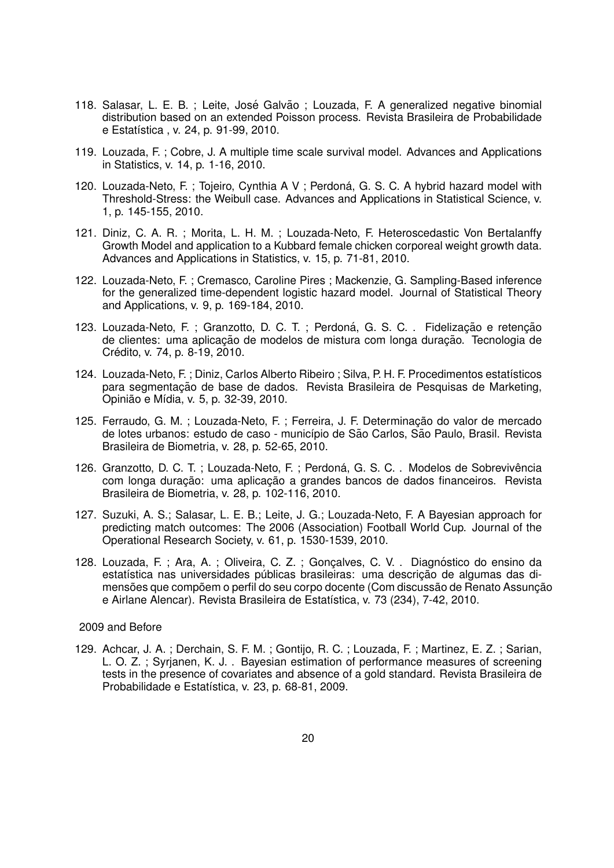- 118. Salasar, L. E. B. ; Leite, José Galvão ; Louzada, F. A generalized negative binomial distribution based on an extended Poisson process. Revista Brasileira de Probabilidade e Estatística , v. 24, p. 91-99, 2010.
- 119. Louzada, F. ; Cobre, J. A multiple time scale survival model. Advances and Applications in Statistics, v. 14, p. 1-16, 2010.
- 120. Louzada-Neto, F.; Tojeiro, Cynthia A V ; Perdoná, G. S. C. A hybrid hazard model with Threshold-Stress: the Weibull case. Advances and Applications in Statistical Science, v. 1, p. 145-155, 2010.
- 121. Diniz, C. A. R. ; Morita, L. H. M. ; Louzada-Neto, F. Heteroscedastic Von Bertalanffy Growth Model and application to a Kubbard female chicken corporeal weight growth data. Advances and Applications in Statistics, v. 15, p. 71-81, 2010.
- 122. Louzada-Neto, F. ; Cremasco, Caroline Pires ; Mackenzie, G. Sampling-Based inference for the generalized time-dependent logistic hazard model. Journal of Statistical Theory and Applications, v. 9, p. 169-184, 2010.
- 123. Louzada-Neto, F.; Granzotto, D. C. T.; Perdoná, G. S. C. . Fidelização e retenção de clientes: uma aplicação de modelos de mistura com longa duração. Tecnologia de Crédito, v. 74, p. 8-19, 2010.
- 124. Louzada-Neto, F.; Diniz, Carlos Alberto Ribeiro; Silva, P. H. F. Procedimentos estatísticos para segmentação de base de dados. Revista Brasileira de Pesquisas de Marketing, Opinião e Mídia, v. 5, p. 32-39, 2010.
- 125. Ferraudo, G. M. ; Louzada-Neto, F. ; Ferreira, J. F. Determinação do valor de mercado de lotes urbanos: estudo de caso - município de São Carlos, São Paulo, Brasil. Revista Brasileira de Biometria, v. 28, p. 52-65, 2010.
- 126. Granzotto, D. C. T. ; Louzada-Neto, F. ; Perdoná, G. S. C. . Modelos de Sobrevivência com longa duração: uma aplicação a grandes bancos de dados financeiros. Revista Brasileira de Biometria, v. 28, p. 102-116, 2010.
- 127. Suzuki, A. S.; Salasar, L. E. B.; Leite, J. G.; Louzada-Neto, F. A Bayesian approach for predicting match outcomes: The 2006 (Association) Football World Cup. Journal of the Operational Research Society, v. 61, p. 1530-1539, 2010.
- 128. Louzada, F.; Ara, A.; Oliveira, C. Z.; Gonçalves, C. V. . Diagnóstico do ensino da estatística nas universidades públicas brasileiras: uma descrição de algumas das dimensões que compõem o perfil do seu corpo docente (Com discussão de Renato Assunção e Airlane Alencar). Revista Brasileira de Estatística, v. 73 (234), 7-42, 2010.

## 2009 and Before

129. Achcar, J. A. ; Derchain, S. F. M. ; Gontijo, R. C. ; Louzada, F. ; Martinez, E. Z. ; Sarian, L. O. Z. ; Syrjanen, K. J. . Bayesian estimation of performance measures of screening tests in the presence of covariates and absence of a gold standard. Revista Brasileira de Probabilidade e Estatística, v. 23, p. 68-81, 2009.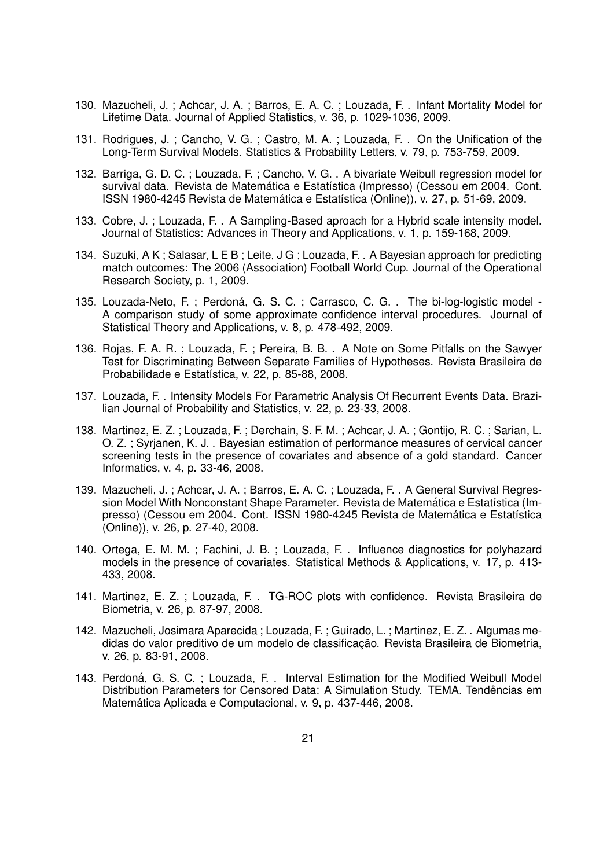- 130. Mazucheli, J. ; Achcar, J. A. ; Barros, E. A. C. ; Louzada, F. . Infant Mortality Model for Lifetime Data. Journal of Applied Statistics, v. 36, p. 1029-1036, 2009.
- 131. Rodrigues, J. ; Cancho, V. G. ; Castro, M. A. ; Louzada, F. . On the Unification of the Long-Term Survival Models. Statistics & Probability Letters, v. 79, p. 753-759, 2009.
- 132. Barriga, G. D. C. ; Louzada, F. ; Cancho, V. G. . A bivariate Weibull regression model for survival data. Revista de Matemática e Estatística (Impresso) (Cessou em 2004. Cont. ISSN 1980-4245 Revista de Matemática e Estatística (Online)), v. 27, p. 51-69, 2009.
- 133. Cobre, J. ; Louzada, F. . A Sampling-Based aproach for a Hybrid scale intensity model. Journal of Statistics: Advances in Theory and Applications, v. 1, p. 159-168, 2009.
- 134. Suzuki, A K ; Salasar, L E B ; Leite, J G ; Louzada, F. . A Bayesian approach for predicting match outcomes: The 2006 (Association) Football World Cup. Journal of the Operational Research Society, p. 1, 2009.
- 135. Louzada-Neto, F.; Perdoná, G. S. C.; Carrasco, C. G.. The bi-log-logistic model -A comparison study of some approximate confidence interval procedures. Journal of Statistical Theory and Applications, v. 8, p. 478-492, 2009.
- 136. Rojas, F. A. R. ; Louzada, F. ; Pereira, B. B. . A Note on Some Pitfalls on the Sawyer Test for Discriminating Between Separate Families of Hypotheses. Revista Brasileira de Probabilidade e Estatística, v. 22, p. 85-88, 2008.
- 137. Louzada, F. . Intensity Models For Parametric Analysis Of Recurrent Events Data. Brazilian Journal of Probability and Statistics, v. 22, p. 23-33, 2008.
- 138. Martinez, E. Z. ; Louzada, F. ; Derchain, S. F. M. ; Achcar, J. A. ; Gontijo, R. C. ; Sarian, L. O. Z. ; Syrjanen, K. J. . Bayesian estimation of performance measures of cervical cancer screening tests in the presence of covariates and absence of a gold standard. Cancer Informatics, v. 4, p. 33-46, 2008.
- 139. Mazucheli, J. ; Achcar, J. A. ; Barros, E. A. C. ; Louzada, F. . A General Survival Regression Model With Nonconstant Shape Parameter. Revista de Matemática e Estatística (Impresso) (Cessou em 2004. Cont. ISSN 1980-4245 Revista de Matemática e Estatística (Online)), v. 26, p. 27-40, 2008.
- 140. Ortega, E. M. M. ; Fachini, J. B. ; Louzada, F. . Influence diagnostics for polyhazard models in the presence of covariates. Statistical Methods & Applications, v. 17, p. 413- 433, 2008.
- 141. Martinez, E. Z. ; Louzada, F. . TG-ROC plots with confidence. Revista Brasileira de Biometria, v. 26, p. 87-97, 2008.
- 142. Mazucheli, Josimara Aparecida ; Louzada, F. ; Guirado, L. ; Martinez, E. Z. . Algumas medidas do valor preditivo de um modelo de classificação. Revista Brasileira de Biometria, v. 26, p. 83-91, 2008.
- 143. Perdoná, G. S. C. ; Louzada, F. . Interval Estimation for the Modified Weibull Model Distribution Parameters for Censored Data: A Simulation Study. TEMA. Tendências em Matemática Aplicada e Computacional, v. 9, p. 437-446, 2008.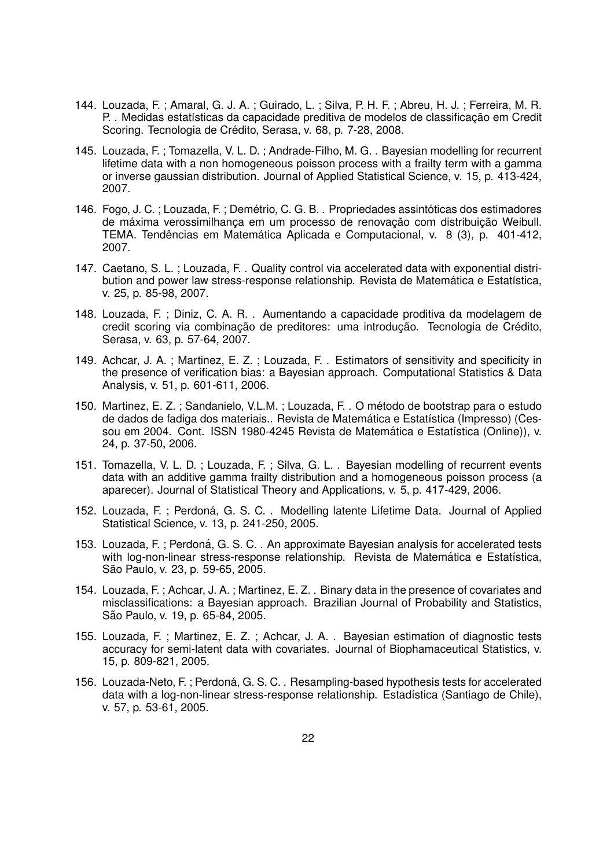- 144. Louzada, F. ; Amaral, G. J. A. ; Guirado, L. ; Silva, P. H. F. ; Abreu, H. J. ; Ferreira, M. R. P. . Medidas estatísticas da capacidade preditiva de modelos de classificação em Credit Scoring. Tecnologia de Crédito, Serasa, v. 68, p. 7-28, 2008.
- 145. Louzada, F. ; Tomazella, V. L. D. ; Andrade-Filho, M. G. . Bayesian modelling for recurrent lifetime data with a non homogeneous poisson process with a frailty term with a gamma or inverse gaussian distribution. Journal of Applied Statistical Science, v. 15, p. 413-424, 2007.
- 146. Fogo, J. C. ; Louzada, F. ; Demétrio, C. G. B. . Propriedades assintóticas dos estimadores de máxima verossimilhanca em um processo de renovação com distribuição Weibull. TEMA. Tendências em Matemática Aplicada e Computacional, v. 8 (3), p. 401-412, 2007.
- 147. Caetano, S. L. ; Louzada, F. . Quality control via accelerated data with exponential distribution and power law stress-response relationship. Revista de Matemática e Estatística, v. 25, p. 85-98, 2007.
- 148. Louzada, F. ; Diniz, C. A. R. . Aumentando a capacidade proditiva da modelagem de credit scoring via combinacão de preditores: uma introducão. Tecnologia de Crédito, Serasa, v. 63, p. 57-64, 2007.
- 149. Achcar, J. A. ; Martinez, E. Z. ; Louzada, F. . Estimators of sensitivity and specificity in the presence of verification bias: a Bayesian approach. Computational Statistics & Data Analysis, v. 51, p. 601-611, 2006.
- 150. Martinez, E. Z. ; Sandanielo, V.L.M. ; Louzada, F. . O metodo de bootstrap para o estudo ´ de dados de fadiga dos materiais.. Revista de Matemática e Estatística (Impresso) (Cessou em 2004. Cont. ISSN 1980-4245 Revista de Matemática e Estatística (Online)), v. 24, p. 37-50, 2006.
- 151. Tomazella, V. L. D. ; Louzada, F. ; Silva, G. L. . Bayesian modelling of recurrent events data with an additive gamma frailty distribution and a homogeneous poisson process (a aparecer). Journal of Statistical Theory and Applications, v. 5, p. 417-429, 2006.
- 152. Louzada, F.; Perdoná, G. S. C.. Modelling latente Lifetime Data. Journal of Applied Statistical Science, v. 13, p. 241-250, 2005.
- 153. Louzada, F.; Perdoná, G. S. C., An approximate Bayesian analysis for accelerated tests with log-non-linear stress-response relationship. Revista de Matemática e Estatística, São Paulo, v. 23, p. 59-65, 2005.
- 154. Louzada, F. ; Achcar, J. A. ; Martinez, E. Z. . Binary data in the presence of covariates and misclassifications: a Bayesian approach. Brazilian Journal of Probability and Statistics, São Paulo, v. 19, p. 65-84, 2005.
- 155. Louzada, F. ; Martinez, E. Z. ; Achcar, J. A. . Bayesian estimation of diagnostic tests accuracy for semi-latent data with covariates. Journal of Biophamaceutical Statistics, v. 15, p. 809-821, 2005.
- 156. Louzada-Neto, F.; Perdoná, G. S. C., Resampling-based hypothesis tests for accelerated data with a log-non-linear stress-response relationship. Estadística (Santiago de Chile), v. 57, p. 53-61, 2005.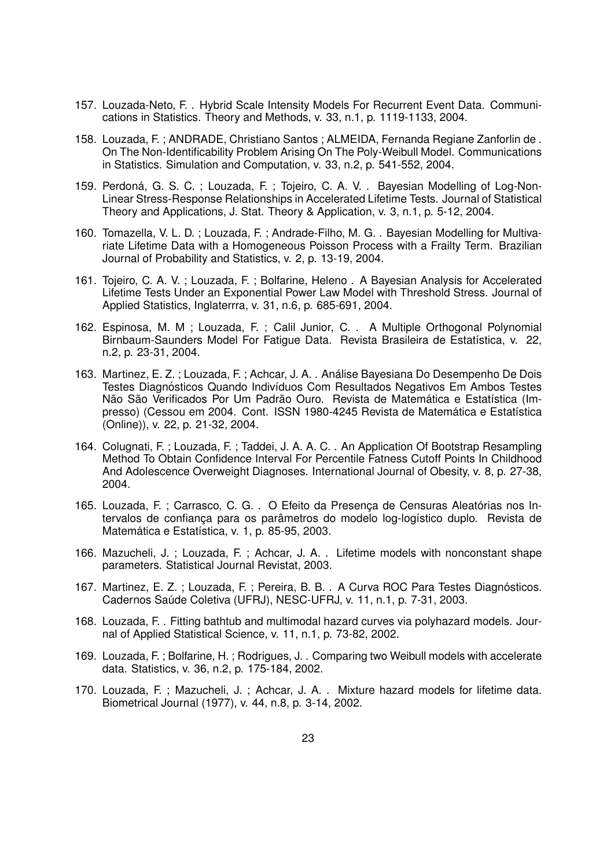- 157. Louzada-Neto, F. . Hybrid Scale Intensity Models For Recurrent Event Data. Communications in Statistics. Theory and Methods, v. 33, n.1, p. 1119-1133, 2004.
- 158. Louzada, F. ; ANDRADE, Christiano Santos ; ALMEIDA, Fernanda Regiane Zanforlin de . On The Non-Identificability Problem Arising On The Poly-Weibull Model. Communications in Statistics. Simulation and Computation, v. 33, n.2, p. 541-552, 2004.
- 159. Perdoná, G. S. C. ; Louzada, F. ; Tojeiro, C. A. V. . Bayesian Modelling of Log-Non-Linear Stress-Response Relationships in Accelerated Lifetime Tests. Journal of Statistical Theory and Applications, J. Stat. Theory & Application, v. 3, n.1, p. 5-12, 2004.
- 160. Tomazella, V. L. D. ; Louzada, F. ; Andrade-Filho, M. G. . Bayesian Modelling for Multivariate Lifetime Data with a Homogeneous Poisson Process with a Frailty Term. Brazilian Journal of Probability and Statistics, v. 2, p. 13-19, 2004.
- 161. Tojeiro, C. A. V. ; Louzada, F. ; Bolfarine, Heleno . A Bayesian Analysis for Accelerated Lifetime Tests Under an Exponential Power Law Model with Threshold Stress. Journal of Applied Statistics, Inglaterrra, v. 31, n.6, p. 685-691, 2004.
- 162. Espinosa, M. M ; Louzada, F. ; Calil Junior, C. . A Multiple Orthogonal Polynomial Birnbaum-Saunders Model For Fatigue Data. Revista Brasileira de Estatística, v. 22, n.2, p. 23-31, 2004.
- 163. Martinez, E. Z.; Louzada, F.; Achcar, J. A. . Análise Bayesiana Do Desempenho De Dois Testes Diagnósticos Quando Indivíduos Com Resultados Negativos Em Ambos Testes Não São Verificados Por Um Padrão Ouro. Revista de Matemática e Estatística (Impresso) (Cessou em 2004. Cont. ISSN 1980-4245 Revista de Matemática e Estatística (Online)), v. 22, p. 21-32, 2004.
- 164. Colugnati, F. ; Louzada, F. ; Taddei, J. A. A. C. . An Application Of Bootstrap Resampling Method To Obtain Confidence Interval For Percentile Fatness Cutoff Points In Childhood And Adolescence Overweight Diagnoses. International Journal of Obesity, v. 8, p. 27-38, 2004.
- 165. Louzada, F.; Carrasco, C. G. . O Efeito da Presença de Censuras Aleatórias nos Intervalos de confiança para os parâmetros do modelo log-logístico duplo. Revista de Matemática e Estatística, v. 1, p. 85-95, 2003.
- 166. Mazucheli, J. ; Louzada, F. ; Achcar, J. A. . Lifetime models with nonconstant shape parameters. Statistical Journal Revistat, 2003.
- 167. Martinez, E. Z. ; Louzada, F. ; Pereira, B. B. . A Curva ROC Para Testes Diagnósticos. Cadernos Saúde Coletiva (UFRJ), NESC-UFRJ, v. 11, n.1, p. 7-31, 2003.
- 168. Louzada, F. . Fitting bathtub and multimodal hazard curves via polyhazard models. Journal of Applied Statistical Science, v. 11, n.1, p. 73-82, 2002.
- 169. Louzada, F. ; Bolfarine, H. ; Rodrigues, J. . Comparing two Weibull models with accelerate data. Statistics, v. 36, n.2, p. 175-184, 2002.
- 170. Louzada, F. ; Mazucheli, J. ; Achcar, J. A. . Mixture hazard models for lifetime data. Biometrical Journal (1977), v. 44, n.8, p. 3-14, 2002.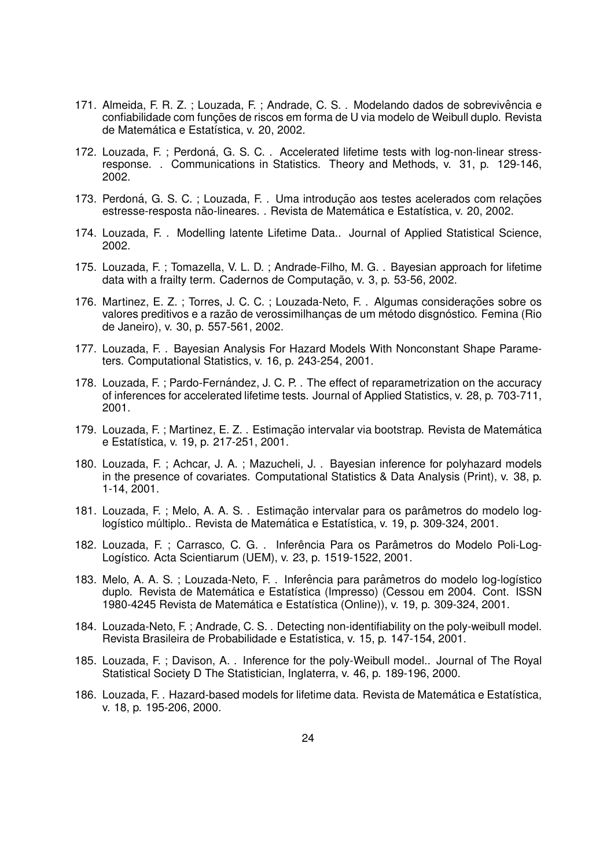- 171. Almeida, F. R. Z.; Louzada, F.; Andrade, C. S.. Modelando dados de sobrevivência e confiabilidade com funções de riscos em forma de U via modelo de Weibull duplo. Revista de Matemática e Estatística, v. 20, 2002.
- 172. Louzada, F.; Perdoná, G. S. C.. Accelerated lifetime tests with log-non-linear stressresponse. . Communications in Statistics. Theory and Methods, v. 31, p. 129-146, 2002.
- 173. Perdoná, G. S. C.; Louzada, F. . Uma introdução aos testes acelerados com relações estresse-resposta não-lineares. . Revista de Matemática e Estatística, v. 20, 2002.
- 174. Louzada, F. . Modelling latente Lifetime Data.. Journal of Applied Statistical Science, 2002.
- 175. Louzada, F. ; Tomazella, V. L. D. ; Andrade-Filho, M. G. . Bayesian approach for lifetime data with a frailty term. Cadernos de Computação, v. 3, p. 53-56, 2002.
- 176. Martinez, E. Z. ; Torres, J. C. C. ; Louzada-Neto, F. . Algumas considerações sobre os valores preditivos e a razão de verossimilhanças de um método disgnóstico. Femina (Rio de Janeiro), v. 30, p. 557-561, 2002.
- 177. Louzada, F. . Bayesian Analysis For Hazard Models With Nonconstant Shape Parameters. Computational Statistics, v. 16, p. 243-254, 2001.
- 178. Louzada, F.; Pardo-Fernández, J. C. P. . The effect of reparametrization on the accuracy of inferences for accelerated lifetime tests. Journal of Applied Statistics, v. 28, p. 703-711, 2001.
- 179. Louzada, F.; Martinez, E. Z.. Estimação intervalar via bootstrap. Revista de Matemática e Estatística, v. 19, p. 217-251, 2001.
- 180. Louzada, F. ; Achcar, J. A. ; Mazucheli, J. . Bayesian inference for polyhazard models in the presence of covariates. Computational Statistics & Data Analysis (Print), v. 38, p. 1-14, 2001.
- 181. Louzada, F.; Melo, A. A. S.. Estimação intervalar para os parâmetros do modelo loglogístico múltiplo.. Revista de Matemática e Estatística, v. 19, p. 309-324, 2001.
- 182. Louzada, F. ; Carrasco, C. G. . Inferência Para os Parâmetros do Modelo Poli-Log-Logístico. Acta Scientiarum (UEM), v. 23, p. 1519-1522, 2001.
- 183. Melo, A. A. S.; Louzada-Neto, F. . Inferência para parâmetros do modelo log-logístico duplo. Revista de Matemática e Estatística (Impresso) (Cessou em 2004. Cont. ISSN 1980-4245 Revista de Matemática e Estatística (Online)), v. 19, p. 309-324, 2001.
- 184. Louzada-Neto, F. ; Andrade, C. S. . Detecting non-identifiability on the poly-weibull model. Revista Brasileira de Probabilidade e Estatística, v. 15, p. 147-154, 2001.
- 185. Louzada, F. ; Davison, A. . Inference for the poly-Weibull model.. Journal of The Royal Statistical Society D The Statistician, Inglaterra, v. 46, p. 189-196, 2000.
- 186. Louzada, F. . Hazard-based models for lifetime data. Revista de Matemática e Estatística, v. 18, p. 195-206, 2000.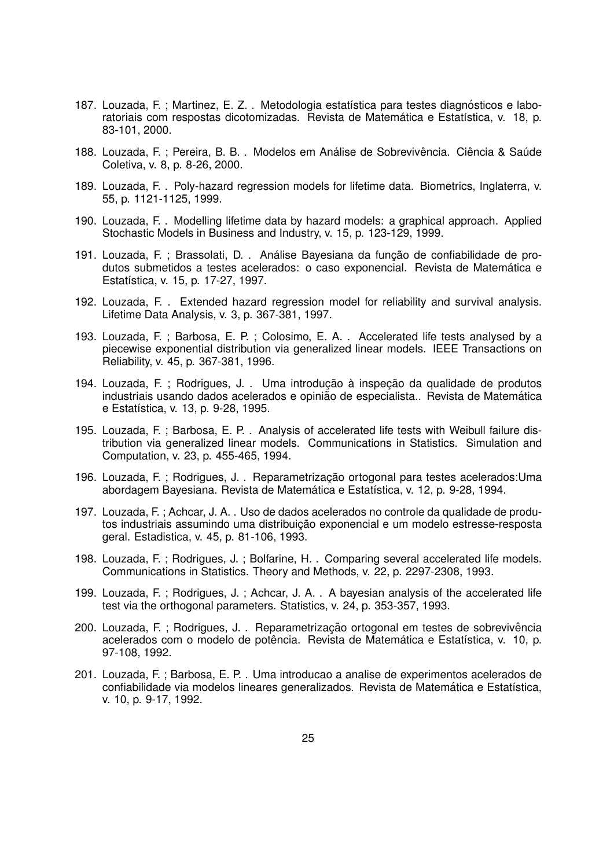- 187. Louzada, F.; Martinez, E. Z.. Metodologia estatística para testes diagnósticos e laboratoriais com respostas dicotomizadas. Revista de Matemática e Estatística, v. 18, p. 83-101, 2000.
- 188. Louzada, F. ; Pereira, B. B. . Modelos em Análise de Sobrevivência. Ciência & Saúde Coletiva, v. 8, p. 8-26, 2000.
- 189. Louzada, F. . Poly-hazard regression models for lifetime data. Biometrics, Inglaterra, v. 55, p. 1121-1125, 1999.
- 190. Louzada, F. . Modelling lifetime data by hazard models: a graphical approach. Applied Stochastic Models in Business and Industry, v. 15, p. 123-129, 1999.
- 191. Louzada, F. ; Brassolati, D. . Análise Bayesiana da função de confiabilidade de produtos submetidos a testes acelerados: o caso exponencial. Revista de Matematica e ´ Estatística, v. 15, p. 17-27, 1997.
- 192. Louzada, F. . Extended hazard regression model for reliability and survival analysis. Lifetime Data Analysis, v. 3, p. 367-381, 1997.
- 193. Louzada, F. ; Barbosa, E. P. ; Colosimo, E. A. . Accelerated life tests analysed by a piecewise exponential distribution via generalized linear models. IEEE Transactions on Reliability, v. 45, p. 367-381, 1996.
- 194. Louzada, F. ; Rodrigues, J. . Uma introdução à inspeção da qualidade de produtos industriais usando dados acelerados e opinião de especialista.. Revista de Matemática e Estatística, v. 13, p. 9-28, 1995.
- 195. Louzada, F. ; Barbosa, E. P. . Analysis of accelerated life tests with Weibull failure distribution via generalized linear models. Communications in Statistics. Simulation and Computation, v. 23, p. 455-465, 1994.
- 196. Louzada, F.; Rodrigues, J. . Reparametrização ortogonal para testes acelerados: Uma abordagem Bayesiana. Revista de Matemática e Estatística, v. 12, p. 9-28, 1994.
- 197. Louzada, F. ; Achcar, J. A. . Uso de dados acelerados no controle da qualidade de produtos industriais assumindo uma distribuição exponencial e um modelo estresse-resposta geral. Estadistica, v. 45, p. 81-106, 1993.
- 198. Louzada, F. ; Rodrigues, J. ; Bolfarine, H. . Comparing several accelerated life models. Communications in Statistics. Theory and Methods, v. 22, p. 2297-2308, 1993.
- 199. Louzada, F. ; Rodrigues, J. ; Achcar, J. A. . A bayesian analysis of the accelerated life test via the orthogonal parameters. Statistics, v. 24, p. 353-357, 1993.
- 200. Louzada, F. : Rodrigues, J. . Reparametrização ortogonal em testes de sobrevivência acelerados com o modelo de potência. Revista de Matemática e Estatística, v. 10, p. 97-108, 1992.
- 201. Louzada, F. ; Barbosa, E. P. . Uma introducao a analise de experimentos acelerados de confiabilidade via modelos lineares generalizados. Revista de Matemática e Estatística, v. 10, p. 9-17, 1992.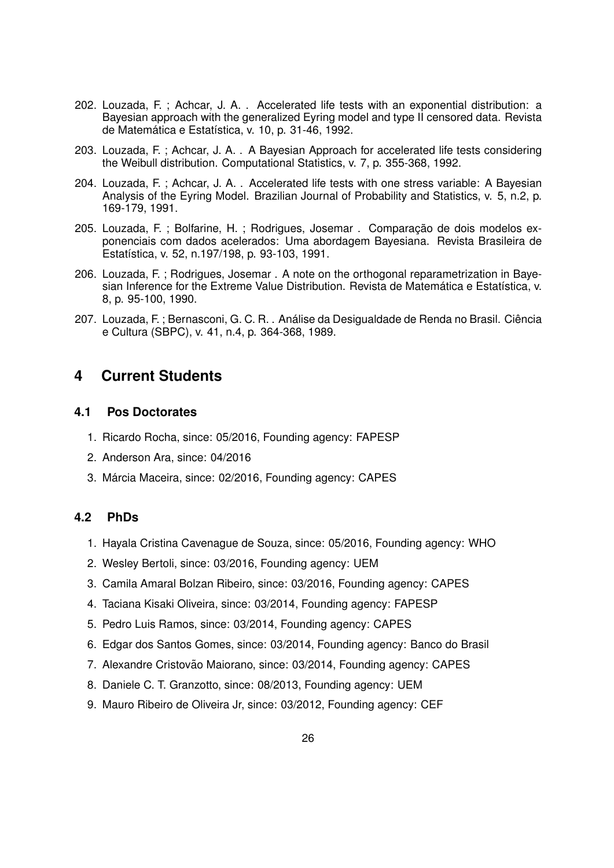- 202. Louzada, F. ; Achcar, J. A. . Accelerated life tests with an exponential distribution: a Bayesian approach with the generalized Eyring model and type II censored data. Revista de Matemática e Estatística, v. 10, p. 31-46, 1992.
- 203. Louzada, F. ; Achcar, J. A. . A Bayesian Approach for accelerated life tests considering the Weibull distribution. Computational Statistics, v. 7, p. 355-368, 1992.
- 204. Louzada, F. ; Achcar, J. A. . Accelerated life tests with one stress variable: A Bayesian Analysis of the Eyring Model. Brazilian Journal of Probability and Statistics, v. 5, n.2, p. 169-179, 1991.
- 205. Louzada, F.; Bolfarine, H.; Rodrigues, Josemar . Comparação de dois modelos exponenciais com dados acelerados: Uma abordagem Bayesiana. Revista Brasileira de Estatística, v. 52, n.197/198, p. 93-103, 1991.
- 206. Louzada, F. ; Rodrigues, Josemar . A note on the orthogonal reparametrization in Bayesian Inference for the Extreme Value Distribution. Revista de Matemática e Estatística, v. 8, p. 95-100, 1990.
- 207. Louzada, F.; Bernasconi, G. C. R. . Análise da Desigualdade de Renda no Brasil. Ciência e Cultura (SBPC), v. 41, n.4, p. 364-368, 1989.

# **4 Current Students**

# **4.1 Pos Doctorates**

- 1. Ricardo Rocha, since: 05/2016, Founding agency: FAPESP
- 2. Anderson Ara, since: 04/2016
- 3. Márcia Maceira, since: 02/2016, Founding agency: CAPES

# **4.2 PhDs**

- 1. Hayala Cristina Cavenague de Souza, since: 05/2016, Founding agency: WHO
- 2. Wesley Bertoli, since: 03/2016, Founding agency: UEM
- 3. Camila Amaral Bolzan Ribeiro, since: 03/2016, Founding agency: CAPES
- 4. Taciana Kisaki Oliveira, since: 03/2014, Founding agency: FAPESP
- 5. Pedro Luis Ramos, since: 03/2014, Founding agency: CAPES
- 6. Edgar dos Santos Gomes, since: 03/2014, Founding agency: Banco do Brasil
- 7. Alexandre Cristovão Maiorano, since: 03/2014, Founding agency: CAPES
- 8. Daniele C. T. Granzotto, since: 08/2013, Founding agency: UEM
- 9. Mauro Ribeiro de Oliveira Jr, since: 03/2012, Founding agency: CEF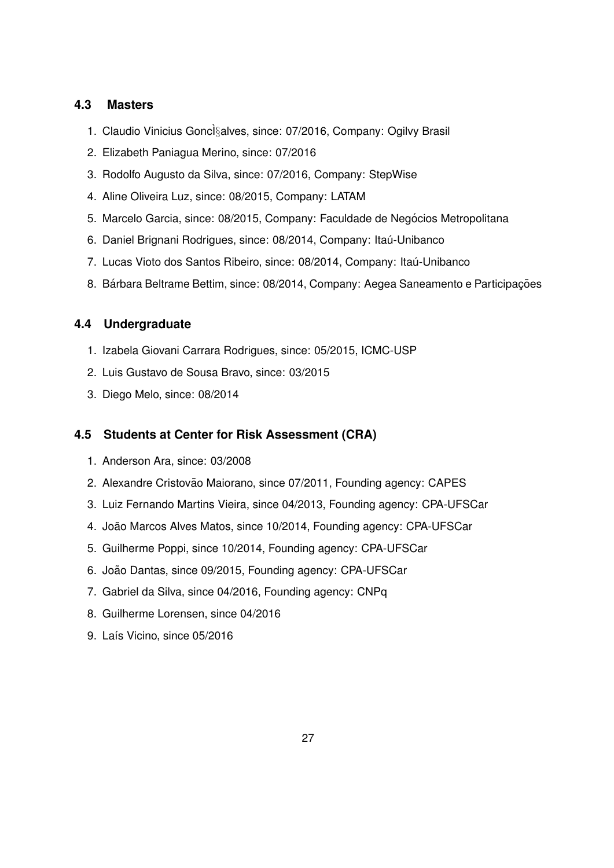# **4.3 Masters**

- 1. Claudio Vinicius Goncl§alves, since: 07/2016, Company: Ogilvy Brasil
- 2. Elizabeth Paniagua Merino, since: 07/2016
- 3. Rodolfo Augusto da Silva, since: 07/2016, Company: StepWise
- 4. Aline Oliveira Luz, since: 08/2015, Company: LATAM
- 5. Marcelo Garcia, since: 08/2015, Company: Faculdade de Negócios Metropolitana
- 6. Daniel Brignani Rodrigues, since: 08/2014, Company: Itaú-Unibanco
- 7. Lucas Vioto dos Santos Ribeiro, since: 08/2014, Company: Itaú-Unibanco
- 8. Bárbara Beltrame Bettim, since: 08/2014, Company: Aegea Saneamento e Participações

# **4.4 Undergraduate**

- 1. Izabela Giovani Carrara Rodrigues, since: 05/2015, ICMC-USP
- 2. Luis Gustavo de Sousa Bravo, since: 03/2015
- 3. Diego Melo, since: 08/2014

# **4.5 Students at Center for Risk Assessment (CRA)**

- 1. Anderson Ara, since: 03/2008
- 2. Alexandre Cristovão Maiorano, since 07/2011, Founding agency: CAPES
- 3. Luiz Fernando Martins Vieira, since 04/2013, Founding agency: CPA-UFSCar
- 4. João Marcos Alves Matos, since 10/2014, Founding agency: CPA-UFSCar
- 5. Guilherme Poppi, since 10/2014, Founding agency: CPA-UFSCar
- 6. João Dantas, since 09/2015, Founding agency: CPA-UFSCar
- 7. Gabriel da Silva, since 04/2016, Founding agency: CNPq
- 8. Guilherme Lorensen, since 04/2016
- 9. Laís Vicino, since 05/2016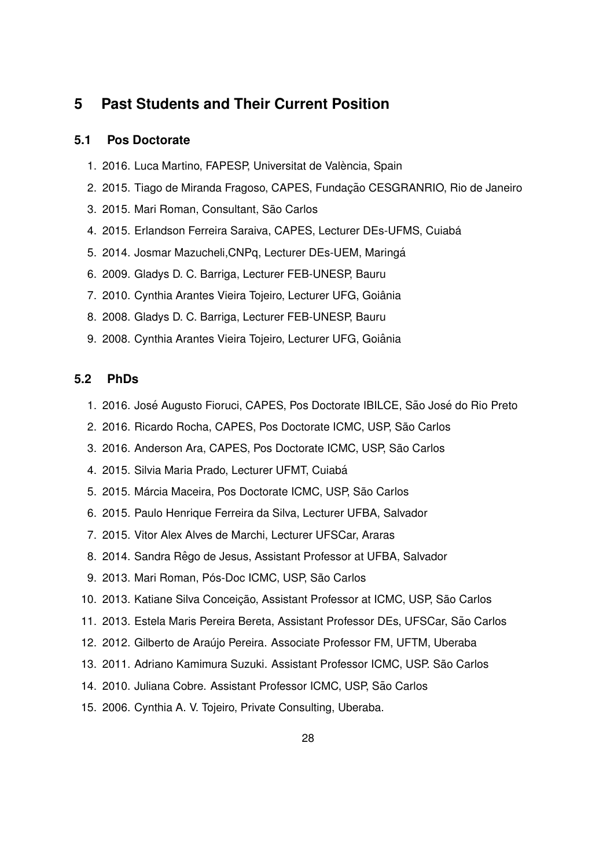# **5 Past Students and Their Current Position**

## **5.1 Pos Doctorate**

- 1. 2016. Luca Martino, FAPESP, Universitat de València, Spain
- 2. 2015. Tiago de Miranda Fragoso, CAPES, Fundação CESGRANRIO, Rio de Janeiro
- 3. 2015. Mari Roman, Consultant, São Carlos
- 4. 2015. Erlandson Ferreira Saraiva, CAPES, Lecturer DEs-UFMS, Cuiabá
- 5. 2014. Josmar Mazucheli,CNPq, Lecturer DEs-UEM, Maringa´
- 6. 2009. Gladys D. C. Barriga, Lecturer FEB-UNESP, Bauru
- 7. 2010. Cynthia Arantes Vieira Tojeiro, Lecturer UFG, Goiânia
- 8. 2008. Gladys D. C. Barriga, Lecturer FEB-UNESP, Bauru
- 9. 2008. Cynthia Arantes Vieira Tojeiro, Lecturer UFG, Goiânia

# **5.2 PhDs**

- 1. 2016. José Augusto Fioruci, CAPES, Pos Doctorate IBILCE, São José do Rio Preto
- 2. 2016. Ricardo Rocha, CAPES, Pos Doctorate ICMC, USP, São Carlos
- 3. 2016. Anderson Ara, CAPES, Pos Doctorate ICMC, USP, São Carlos
- 4. 2015. Silvia Maria Prado, Lecturer UFMT, Cuiabá
- 5. 2015. Márcia Maceira, Pos Doctorate ICMC, USP, São Carlos
- 6. 2015. Paulo Henrique Ferreira da Silva, Lecturer UFBA, Salvador
- 7. 2015. Vitor Alex Alves de Marchi, Lecturer UFSCar, Araras
- 8. 2014. Sandra Rêgo de Jesus, Assistant Professor at UFBA, Salvador
- 9. 2013. Mari Roman, Pós-Doc ICMC, USP, São Carlos
- 10. 2013. Katiane Silva Conceição, Assistant Professor at ICMC, USP, São Carlos
- 11. 2013. Estela Maris Pereira Bereta, Assistant Professor DEs, UFSCar, Sao Carlos ˜
- 12. 2012. Gilberto de Araújo Pereira. Associate Professor FM, UFTM, Uberaba
- 13. 2011. Adriano Kamimura Suzuki. Assistant Professor ICMC, USP. Sao Carlos ˜
- 14. 2010. Juliana Cobre. Assistant Professor ICMC, USP, São Carlos
- 15. 2006. Cynthia A. V. Tojeiro, Private Consulting, Uberaba.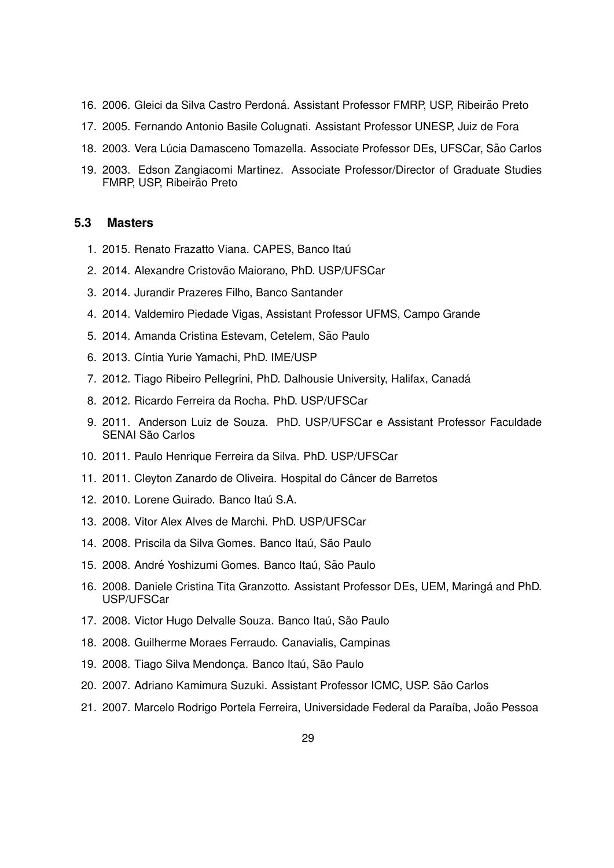- 16. 2006. Gleici da Silva Castro Perdoná. Assistant Professor FMRP, USP, Ribeirão Preto
- 17. 2005. Fernando Antonio Basile Colugnati. Assistant Professor UNESP, Juiz de Fora
- 18. 2003. Vera Lúcia Damasceno Tomazella. Associate Professor DEs, UFSCar, São Carlos
- 19. 2003. Edson Zangiacomi Martinez. Associate Professor/Director of Graduate Studies FMRP, USP, Ribeirão Preto

### **5.3 Masters**

- 1. 2015. Renato Frazatto Viana, CAPES, Banco Itaú
- 2. 2014. Alexandre Cristovão Maiorano, PhD. USP/UFSCar
- 3. 2014. Jurandir Prazeres Filho, Banco Santander
- 4. 2014. Valdemiro Piedade Vigas, Assistant Professor UFMS, Campo Grande
- 5. 2014. Amanda Cristina Estevam, Cetelem, São Paulo
- 6. 2013. Cíntia Yurie Yamachi, PhD. IME/USP
- 7. 2012. Tiago Ribeiro Pellegrini, PhD. Dalhousie University, Halifax, Canada´
- 8. 2012. Ricardo Ferreira da Rocha. PhD. USP/UFSCar
- 9. 2011. Anderson Luiz de Souza. PhD. USP/UFSCar e Assistant Professor Faculdade SENAI São Carlos
- 10. 2011. Paulo Henrique Ferreira da Silva. PhD. USP/UFSCar
- 11. 2011. Cleyton Zanardo de Oliveira. Hospital do Câncer de Barretos
- 12. 2010. Lorene Guirado. Banco Itaú S.A.
- 13. 2008. Vitor Alex Alves de Marchi. PhD. USP/UFSCar
- 14. 2008. Priscila da Silva Gomes. Banco Itaú, São Paulo
- 15. 2008. André Yoshizumi Gomes. Banco Itaú, São Paulo
- 16. 2008. Daniele Cristina Tita Granzotto. Assistant Professor DEs, UEM, Maringá and PhD. USP/UFSCar
- 17. 2008. Victor Hugo Delvalle Souza. Banco Itaú, São Paulo
- 18. 2008. Guilherme Moraes Ferraudo. Canavialis, Campinas
- 19. 2008. Tiago Silva Mendonça. Banco Itaú, São Paulo
- 20. 2007. Adriano Kamimura Suzuki. Assistant Professor ICMC, USP. Sao Carlos ˜
- 21. 2007. Marcelo Rodrigo Portela Ferreira, Universidade Federal da Paraíba, João Pessoa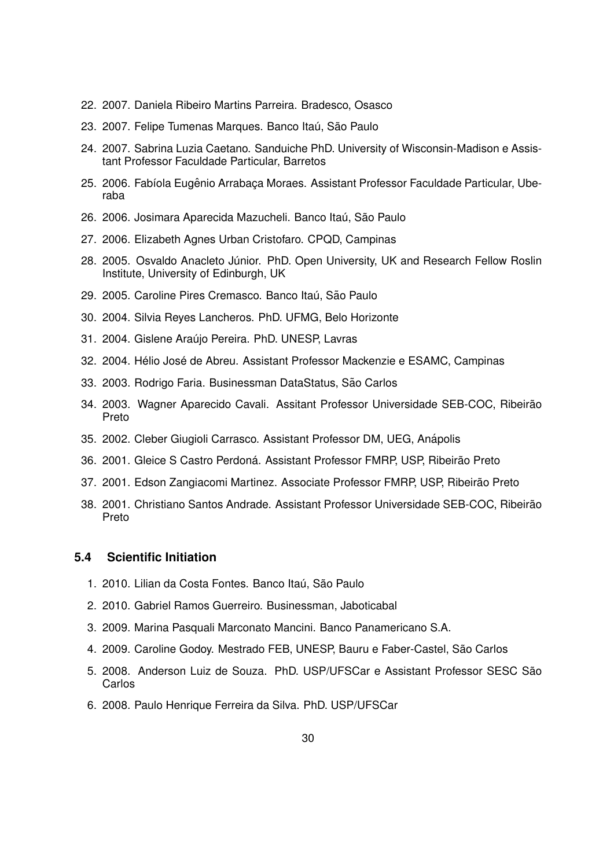- 22. 2007. Daniela Ribeiro Martins Parreira. Bradesco, Osasco
- 23. 2007. Felipe Tumenas Marques. Banco Itaú, São Paulo
- 24. 2007. Sabrina Luzia Caetano. Sanduiche PhD. University of Wisconsin-Madison e Assistant Professor Faculdade Particular, Barretos
- 25. 2006. Fabíola Eugênio Arrabaça Moraes. Assistant Professor Faculdade Particular, Uberaba
- 26. 2006. Josimara Aparecida Mazucheli. Banco Itaú, São Paulo
- 27. 2006. Elizabeth Agnes Urban Cristofaro. CPQD, Campinas
- 28. 2005. Osvaldo Anacleto Júnior. PhD. Open University, UK and Research Fellow Roslin Institute, University of Edinburgh, UK
- 29. 2005. Caroline Pires Cremasco. Banco Itaú, São Paulo
- 30. 2004. Silvia Reyes Lancheros. PhD. UFMG, Belo Horizonte
- 31. 2004. Gislene Araújo Pereira. PhD. UNESP, Lavras
- 32. 2004. Hélio José de Abreu. Assistant Professor Mackenzie e ESAMC, Campinas
- 33. 2003. Rodrigo Faria. Businessman DataStatus, São Carlos
- 34. 2003. Wagner Aparecido Cavali. Assitant Professor Universidade SEB-COC, Ribeirão Preto
- 35. 2002. Cleber Giugioli Carrasco. Assistant Professor DM, UEG, Anapolis ´
- 36. 2001. Gleice S Castro Perdoná. Assistant Professor FMRP, USP, Ribeirão Preto
- 37. 2001. Edson Zangiacomi Martinez. Associate Professor FMRP, USP, Ribeirao Preto ˜
- 38. 2001. Christiano Santos Andrade. Assistant Professor Universidade SEB-COC, Ribeirão Preto

# **5.4 Scientific Initiation**

- 1. 2010. Lilian da Costa Fontes. Banco Itaú, São Paulo
- 2. 2010. Gabriel Ramos Guerreiro. Businessman, Jaboticabal
- 3. 2009. Marina Pasquali Marconato Mancini. Banco Panamericano S.A.
- 4. 2009. Caroline Godoy. Mestrado FEB, UNESP, Bauru e Faber-Castel, São Carlos
- 5. 2008. Anderson Luiz de Souza. PhD. USP/UFSCar e Assistant Professor SESC São **Carlos**
- 6. 2008. Paulo Henrique Ferreira da Silva. PhD. USP/UFSCar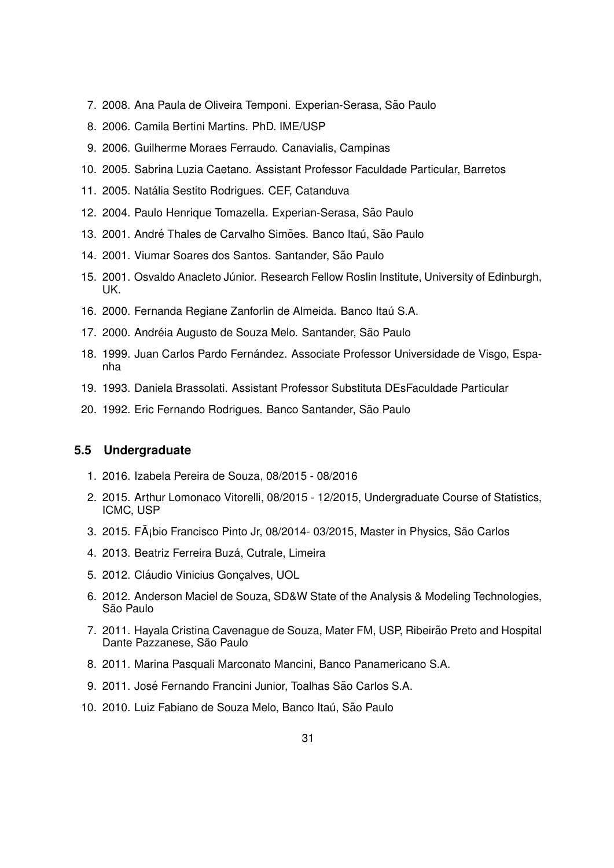- 7. 2008. Ana Paula de Oliveira Temponi. Experian-Serasa, São Paulo
- 8. 2006. Camila Bertini Martins. PhD. IME/USP
- 9. 2006. Guilherme Moraes Ferraudo. Canavialis, Campinas
- 10. 2005. Sabrina Luzia Caetano. Assistant Professor Faculdade Particular, Barretos
- 11. 2005. Natalia Sestito Rodrigues. CEF, Catanduva ´
- 12. 2004. Paulo Henrique Tomazella. Experian-Serasa, São Paulo
- 13. 2001. André Thales de Carvalho Simões. Banco Itaú, São Paulo
- 14. 2001. Viumar Soares dos Santos. Santander, São Paulo
- 15. 2001. Osvaldo Anacleto Júnior. Research Fellow Roslin Institute, University of Edinburgh, UK.
- 16. 2000. Fernanda Regiane Zanforlin de Almeida. Banco Itaú S.A.
- 17. 2000. Andréia Augusto de Souza Melo. Santander, São Paulo
- 18. 1999. Juan Carlos Pardo Fernández. Associate Professor Universidade de Visgo, Espanha
- 19. 1993. Daniela Brassolati. Assistant Professor Substituta DEsFaculdade Particular
- 20. 1992. Eric Fernando Rodrigues. Banco Santander, São Paulo

## **5.5 Undergraduate**

- 1. 2016. Izabela Pereira de Souza, 08/2015 08/2016
- 2. 2015. Arthur Lomonaco Vitorelli, 08/2015 12/2015, Undergraduate Course of Statistics, ICMC, USP
- 3. 2015. FA¡bio Francisco Pinto Jr, 08/2014- 03/2015, Master in Physics, São Carlos
- 4. 2013. Beatriz Ferreira Buzá, Cutrale, Limeira
- 5. 2012. Cláudio Vinicius Gonçalves, UOL
- 6. 2012. Anderson Maciel de Souza, SD&W State of the Analysis & Modeling Technologies, São Paulo
- 7. 2011. Hayala Cristina Cavenague de Souza, Mater FM, USP, Ribeirao Preto and Hospital ˜ Dante Pazzanese, São Paulo
- 8. 2011. Marina Pasquali Marconato Mancini, Banco Panamericano S.A.
- 9. 2011. José Fernando Francini Junior, Toalhas São Carlos S.A.
- 10. 2010. Luiz Fabiano de Souza Melo, Banco Itaú, São Paulo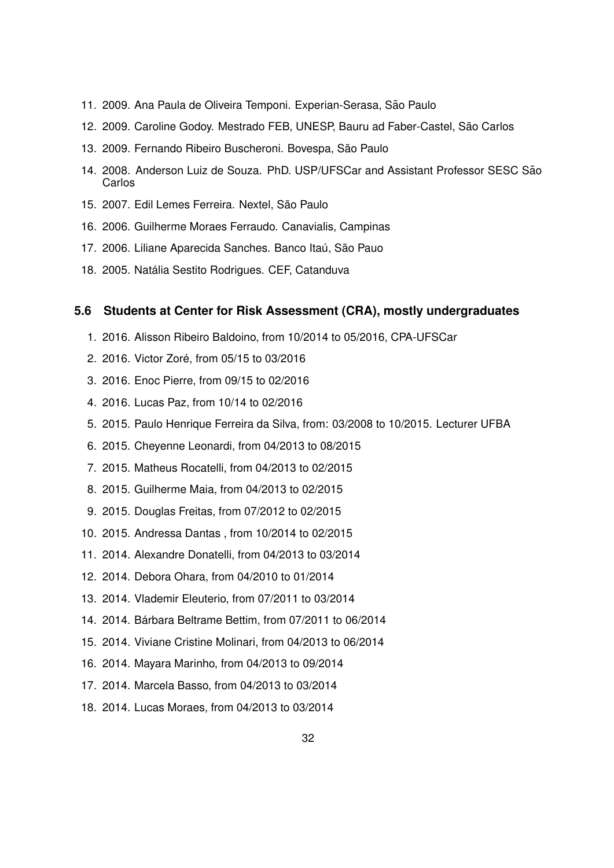- 11. 2009. Ana Paula de Oliveira Temponi. Experian-Serasa, São Paulo
- 12. 2009. Caroline Godoy. Mestrado FEB, UNESP, Bauru ad Faber-Castel, São Carlos
- 13. 2009. Fernando Ribeiro Buscheroni. Bovespa, São Paulo
- 14. 2008. Anderson Luiz de Souza. PhD. USP/UFSCar and Assistant Professor SESC Sao˜ Carlos
- 15. 2007. Edil Lemes Ferreira. Nextel, São Paulo
- 16. 2006. Guilherme Moraes Ferraudo. Canavialis, Campinas
- 17. 2006. Liliane Aparecida Sanches. Banco Itaú, São Pauo
- 18. 2005. Natália Sestito Rodrigues. CEF, Catanduva

## **5.6 Students at Center for Risk Assessment (CRA), mostly undergraduates**

- 1. 2016. Alisson Ribeiro Baldoino, from 10/2014 to 05/2016, CPA-UFSCar
- 2. 2016. Victor Zoré, from 05/15 to 03/2016
- 3. 2016. Enoc Pierre, from 09/15 to 02/2016
- 4. 2016. Lucas Paz, from 10/14 to 02/2016
- 5. 2015. Paulo Henrique Ferreira da Silva, from: 03/2008 to 10/2015. Lecturer UFBA
- 6. 2015. Cheyenne Leonardi, from 04/2013 to 08/2015
- 7. 2015. Matheus Rocatelli, from 04/2013 to 02/2015
- 8. 2015. Guilherme Maia, from 04/2013 to 02/2015
- 9. 2015. Douglas Freitas, from 07/2012 to 02/2015
- 10. 2015. Andressa Dantas , from 10/2014 to 02/2015
- 11. 2014. Alexandre Donatelli, from 04/2013 to 03/2014
- 12. 2014. Debora Ohara, from 04/2010 to 01/2014
- 13. 2014. Vlademir Eleuterio, from 07/2011 to 03/2014
- 14. 2014. Barbara Beltrame Bettim, from 07/2011 to 06/2014 ´
- 15. 2014. Viviane Cristine Molinari, from 04/2013 to 06/2014
- 16. 2014. Mayara Marinho, from 04/2013 to 09/2014
- 17. 2014. Marcela Basso, from 04/2013 to 03/2014
- 18. 2014. Lucas Moraes, from 04/2013 to 03/2014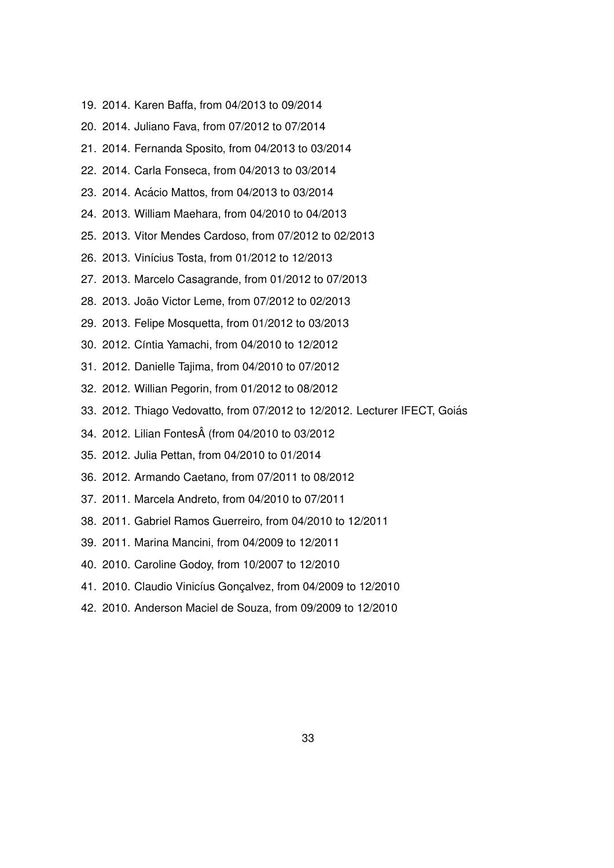- 19. 2014. Karen Baffa, from 04/2013 to 09/2014
- 20. 2014. Juliano Fava, from 07/2012 to 07/2014
- 21. 2014. Fernanda Sposito, from 04/2013 to 03/2014
- 22. 2014. Carla Fonseca, from 04/2013 to 03/2014
- 23. 2014. Acácio Mattos, from 04/2013 to 03/2014
- 24. 2013. William Maehara, from 04/2010 to 04/2013
- 25. 2013. Vitor Mendes Cardoso, from 07/2012 to 02/2013
- 26. 2013. Vinícius Tosta, from 01/2012 to 12/2013
- 27. 2013. Marcelo Casagrande, from 01/2012 to 07/2013
- 28. 2013. João Victor Leme, from 07/2012 to 02/2013
- 29. 2013. Felipe Mosquetta, from 01/2012 to 03/2013
- 30. 2012. Cíntia Yamachi, from 04/2010 to 12/2012
- 31. 2012. Danielle Tajima, from 04/2010 to 07/2012
- 32. 2012. Willian Pegorin, from 01/2012 to 08/2012
- 33. 2012. Thiago Vedovatto, from 07/2012 to 12/2012. Lecturer IFECT, Goias´
- 34. 2012. Lilian Fontes (from 04/2010 to 03/2012
- 35. 2012. Julia Pettan, from 04/2010 to 01/2014
- 36. 2012. Armando Caetano, from 07/2011 to 08/2012
- 37. 2011. Marcela Andreto, from 04/2010 to 07/2011
- 38. 2011. Gabriel Ramos Guerreiro, from 04/2010 to 12/2011
- 39. 2011. Marina Mancini, from 04/2009 to 12/2011
- 40. 2010. Caroline Godoy, from 10/2007 to 12/2010
- 41. 2010. Claudio Vinicíus Goncalvez, from 04/2009 to 12/2010
- 42. 2010. Anderson Maciel de Souza, from 09/2009 to 12/2010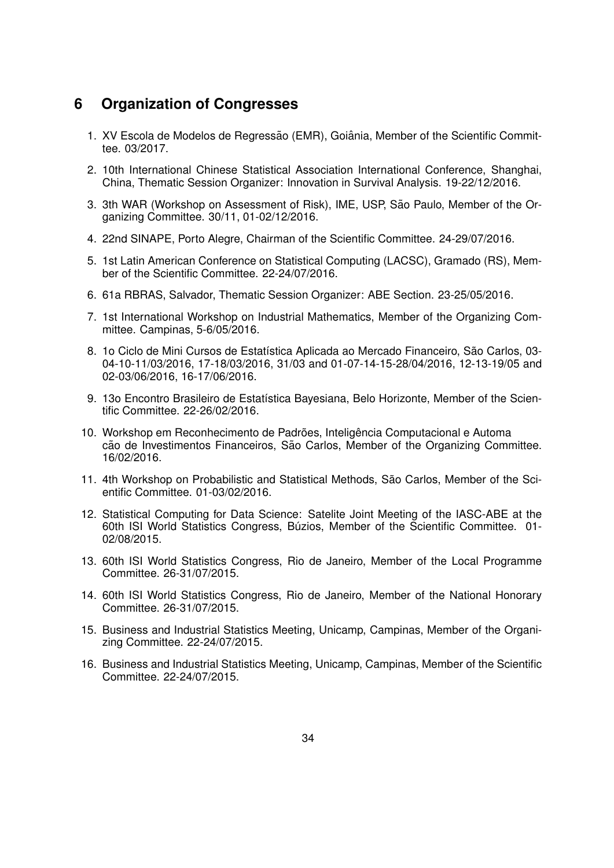# **6 Organization of Congresses**

- 1. XV Escola de Modelos de Regressão (EMR), Goiânia, Member of the Scientific Committee. 03/2017.
- 2. 10th International Chinese Statistical Association International Conference, Shanghai, China, Thematic Session Organizer: Innovation in Survival Analysis. 19-22/12/2016.
- 3. 3th WAR (Workshop on Assessment of Risk), IME, USP, São Paulo, Member of the Organizing Committee. 30/11, 01-02/12/2016.
- 4. 22nd SINAPE, Porto Alegre, Chairman of the Scientific Committee. 24-29/07/2016.
- 5. 1st Latin American Conference on Statistical Computing (LACSC), Gramado (RS), Member of the Scientific Committee. 22-24/07/2016.
- 6. 61a RBRAS, Salvador, Thematic Session Organizer: ABE Section. 23-25/05/2016.
- 7. 1st International Workshop on Industrial Mathematics, Member of the Organizing Committee. Campinas, 5-6/05/2016.
- 8. 1o Ciclo de Mini Cursos de Estatística Aplicada ao Mercado Financeiro, São Carlos, 03-04-10-11/03/2016, 17-18/03/2016, 31/03 and 01-07-14-15-28/04/2016, 12-13-19/05 and 02-03/06/2016, 16-17/06/2016.
- 9. 13o Encontro Brasileiro de Estatística Bayesiana, Belo Horizonte, Member of the Scientific Committee. 22-26/02/2016.
- 10. Workshop em Reconhecimento de Padrões, Inteligência Computacional e Automa cão de Investimentos Financeiros, São Carlos, Member of the Organizing Committee. 16/02/2016.
- 11. 4th Workshop on Probabilistic and Statistical Methods, São Carlos, Member of the Scientific Committee. 01-03/02/2016.
- 12. Statistical Computing for Data Science: Satelite Joint Meeting of the IASC-ABE at the 60th ISI World Statistics Congress, Buzios, Member of the Scientific Committee. 01- ´ 02/08/2015.
- 13. 60th ISI World Statistics Congress, Rio de Janeiro, Member of the Local Programme Committee. 26-31/07/2015.
- 14. 60th ISI World Statistics Congress, Rio de Janeiro, Member of the National Honorary Committee. 26-31/07/2015.
- 15. Business and Industrial Statistics Meeting, Unicamp, Campinas, Member of the Organizing Committee. 22-24/07/2015.
- 16. Business and Industrial Statistics Meeting, Unicamp, Campinas, Member of the Scientific Committee. 22-24/07/2015.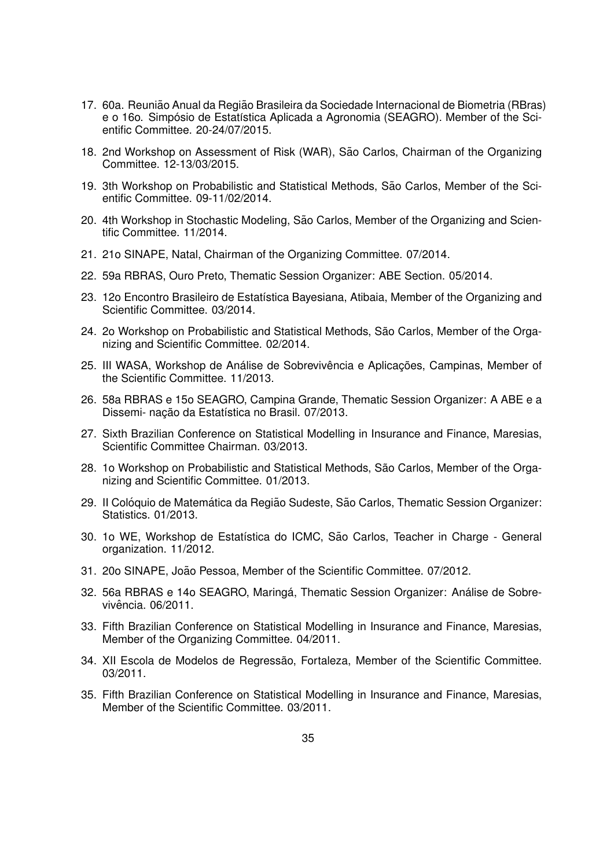- 17. 60a. Reunião Anual da Região Brasileira da Sociedade Internacional de Biometria (RBras) e o 16o. Simpósio de Estatística Aplicada a Agronomia (SEAGRO). Member of the Scientific Committee. 20-24/07/2015.
- 18. 2nd Workshop on Assessment of Risk (WAR), São Carlos, Chairman of the Organizing Committee. 12-13/03/2015.
- 19. 3th Workshop on Probabilistic and Statistical Methods, São Carlos, Member of the Scientific Committee. 09-11/02/2014.
- 20. 4th Workshop in Stochastic Modeling, São Carlos, Member of the Organizing and Scientific Committee. 11/2014.
- 21. 21o SINAPE, Natal, Chairman of the Organizing Committee. 07/2014.
- 22. 59a RBRAS, Ouro Preto, Thematic Session Organizer: ABE Section. 05/2014.
- 23. 12o Encontro Brasileiro de Estatística Bayesiana, Atibaia, Member of the Organizing and Scientific Committee. 03/2014.
- 24. 2o Workshop on Probabilistic and Statistical Methods, São Carlos, Member of the Organizing and Scientific Committee. 02/2014.
- 25. III WASA, Workshop de Análise de Sobrevivência e Aplicações, Campinas, Member of the Scientific Committee. 11/2013.
- 26. 58a RBRAS e 15o SEAGRO, Campina Grande, Thematic Session Organizer: A ABE e a Dissemi- nacão da Estatística no Brasil. 07/2013.
- 27. Sixth Brazilian Conference on Statistical Modelling in Insurance and Finance, Maresias, Scientific Committee Chairman. 03/2013.
- 28. 1o Workshop on Probabilistic and Statistical Methods, São Carlos, Member of the Organizing and Scientific Committee. 01/2013.
- 29. Il Colóquio de Matemática da Região Sudeste, São Carlos, Thematic Session Organizer: Statistics. 01/2013.
- 30. 1o WE, Workshop de Estatística do ICMC, São Carlos, Teacher in Charge General organization. 11/2012.
- 31. 20o SINAPE, Joao Pessoa, Member of the Scientific Committee. 07/2012. ˜
- 32. 56a RBRAS e 14o SEAGRO, Maringá, Thematic Session Organizer: Análise de Sobrevivência. 06/2011.
- 33. Fifth Brazilian Conference on Statistical Modelling in Insurance and Finance, Maresias, Member of the Organizing Committee. 04/2011.
- 34. XII Escola de Modelos de Regressão, Fortaleza, Member of the Scientific Committee. 03/2011.
- 35. Fifth Brazilian Conference on Statistical Modelling in Insurance and Finance, Maresias, Member of the Scientific Committee. 03/2011.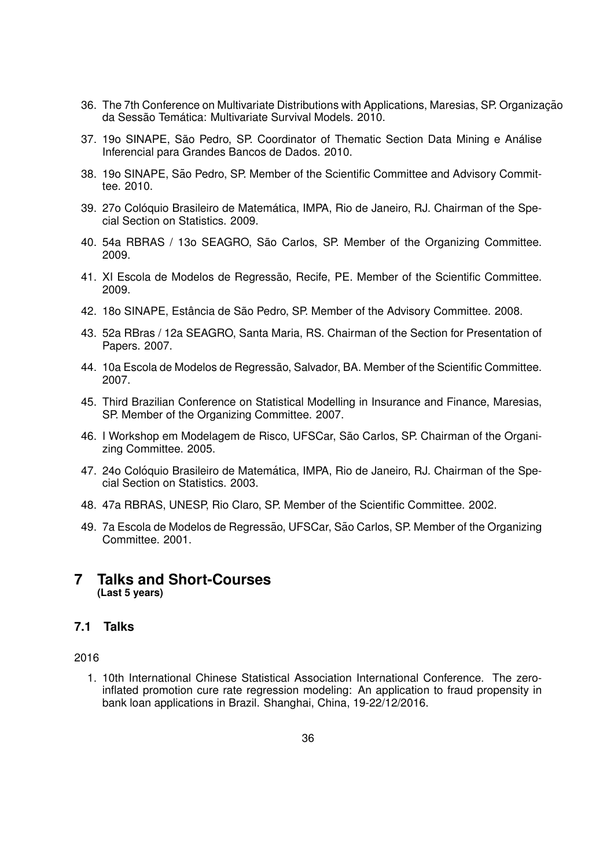- 36. The 7th Conference on Multivariate Distributions with Applications, Maresias, SP. Organização da Sessão Temática: Multivariate Survival Models. 2010.
- 37. 19o SINAPE, São Pedro, SP. Coordinator of Thematic Section Data Mining e Análise Inferencial para Grandes Bancos de Dados. 2010.
- 38. 19o SINAPE, São Pedro, SP. Member of the Scientific Committee and Advisory Committee. 2010.
- 39. 27º Colóquio Brasileiro de Matemática, IMPA, Rio de Janeiro, RJ. Chairman of the Special Section on Statistics. 2009.
- 40. 54a RBRAS / 13o SEAGRO, São Carlos, SP. Member of the Organizing Committee. 2009.
- 41. XI Escola de Modelos de Regressão, Recife, PE, Member of the Scientific Committee. 2009.
- 42. 18o SINAPE, Estância de São Pedro, SP. Member of the Advisory Committee. 2008.
- 43. 52a RBras / 12a SEAGRO, Santa Maria, RS. Chairman of the Section for Presentation of Papers. 2007.
- 44. 10a Escola de Modelos de Regressão, Salvador, BA. Member of the Scientific Committee. 2007.
- 45. Third Brazilian Conference on Statistical Modelling in Insurance and Finance, Maresias, SP. Member of the Organizing Committee. 2007.
- 46. I Workshop em Modelagem de Risco, UFSCar, Sao Carlos, SP. Chairman of the Organi- ˜ zing Committee. 2005.
- 47. 24o Colóquio Brasileiro de Matemática, IMPA, Rio de Janeiro, RJ. Chairman of the Special Section on Statistics. 2003.
- 48. 47a RBRAS, UNESP, Rio Claro, SP. Member of the Scientific Committee. 2002.
- 49. 7a Escola de Modelos de Regressão, UFSCar, São Carlos, SP. Member of the Organizing Committee. 2001.

# **7 Talks and Short-Courses (Last 5 years)**

# **7.1 Talks**

## 2016

1. 10th International Chinese Statistical Association International Conference. The zeroinflated promotion cure rate regression modeling: An application to fraud propensity in bank loan applications in Brazil. Shanghai, China, 19-22/12/2016.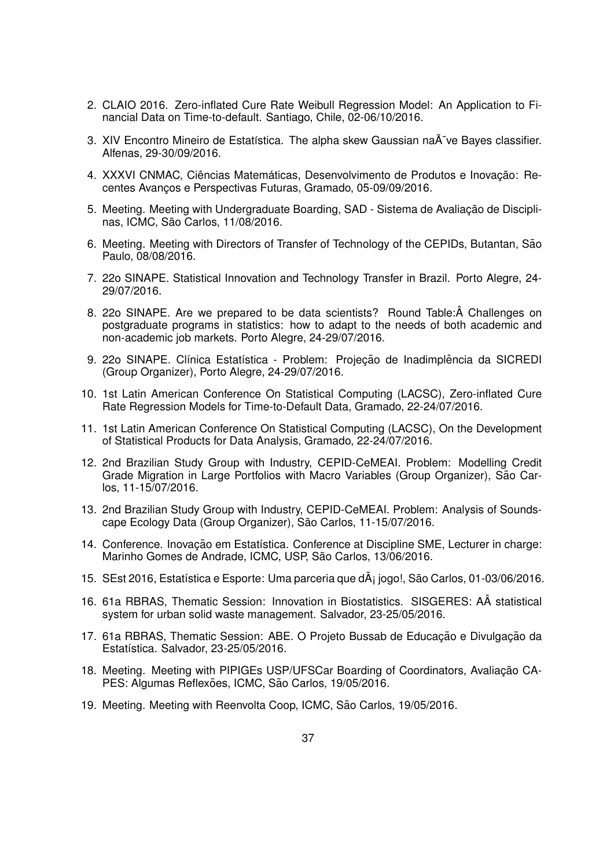- 2. CLAIO 2016. Zero-inflated Cure Rate Weibull Regression Model: An Application to Financial Data on Time-to-default. Santiago, Chile, 02-06/10/2016.
- 3. XIV Encontro Mineiro de Estatística. The alpha skew Gaussian na $\tilde{A}$  ve Bayes classifier. Alfenas, 29-30/09/2016.
- 4. XXXVI CNMAC, Ciências Matemáticas, Desenvolvimento de Produtos e Inovação: Recentes Avancos e Perspectivas Futuras, Gramado, 05-09/09/2016.
- 5. Meeting. Meeting with Undergraduate Boarding, SAD Sistema de Avaliação de Disciplinas, ICMC, São Carlos, 11/08/2016.
- 6. Meeting. Meeting with Directors of Transfer of Technology of the CEPIDs, Butantan, São Paulo, 08/08/2016.
- 7. 22o SINAPE. Statistical Innovation and Technology Transfer in Brazil. Porto Alegre, 24- 29/07/2016.
- 8. 22o SINAPE. Are we prepared to be data scientists? Round Table: Â Challenges on postgraduate programs in statistics: how to adapt to the needs of both academic and non-academic job markets. Porto Alegre, 24-29/07/2016.
- 9. 22o SINAPE. Clínica Estatística Problem: Projeção de Inadimplência da SICREDI (Group Organizer), Porto Alegre, 24-29/07/2016.
- 10. 1st Latin American Conference On Statistical Computing (LACSC), Zero-inflated Cure Rate Regression Models for Time-to-Default Data, Gramado, 22-24/07/2016.
- 11. 1st Latin American Conference On Statistical Computing (LACSC), On the Development of Statistical Products for Data Analysis, Gramado, 22-24/07/2016.
- 12. 2nd Brazilian Study Group with Industry, CEPID-CeMEAI. Problem: Modelling Credit Grade Migration in Large Portfolios with Macro Variables (Group Organizer), São Carlos, 11-15/07/2016.
- 13. 2nd Brazilian Study Group with Industry, CEPID-CeMEAI. Problem: Analysis of Soundscape Ecology Data (Group Organizer), São Carlos, 11-15/07/2016.
- 14. Conference. Inovacão em Estatística. Conference at Discipline SME, Lecturer in charge: Marinho Gomes de Andrade, ICMC, USP, São Carlos, 13/06/2016.
- 15. SEst 2016, Estatística e Esporte: Uma parceria que dÂ<sub>i</sub> jogo!, São Carlos, 01-03/06/2016.
- 16. 61a RBRAS, Thematic Session: Innovation in Biostatistics. SISGERES: AÂ statistical system for urban solid waste management. Salvador, 23-25/05/2016.
- 17. 61a RBRAS, Thematic Session: ABE. O Projeto Bussab de Educação e Divulgação da Estatística. Salvador, 23-25/05/2016.
- 18. Meeting. Meeting with PIPIGEs USP/UFSCar Boarding of Coordinators, Avaliação CA-PES: Algumas Reflexões, ICMC, São Carlos, 19/05/2016.
- 19. Meeting. Meeting with Reenvolta Coop, ICMC, São Carlos, 19/05/2016.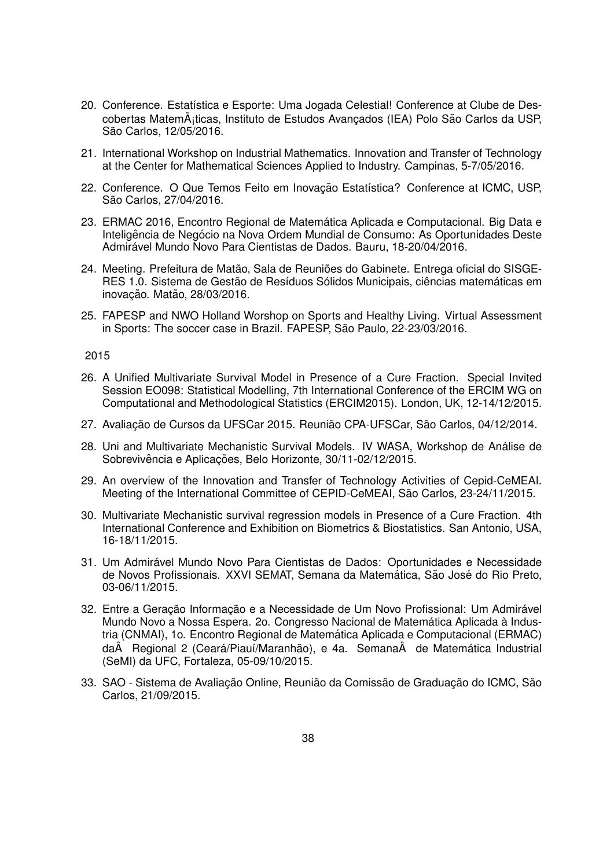- 20. Conference. Estatística e Esporte: Uma Jogada Celestial! Conference at Clube de Descobertas Matemáticas, Instituto de Estudos Avancados (IEA) Polo São Carlos da USP, São Carlos, 12/05/2016.
- 21. International Workshop on Industrial Mathematics. Innovation and Transfer of Technology at the Center for Mathematical Sciences Applied to Industry. Campinas, 5-7/05/2016.
- 22. Conference. O Que Temos Feito em Inovação Estatística? Conference at ICMC, USP, São Carlos, 27/04/2016.
- 23. ERMAC 2016, Encontro Regional de Matematica Aplicada e Computacional. Big Data e ´ Inteligência de Negócio na Nova Ordem Mundial de Consumo: As Oportunidades Deste Admirável Mundo Novo Para Cientistas de Dados. Bauru, 18-20/04/2016.
- 24. Meeting. Prefeitura de Matão, Sala de Reuniões do Gabinete. Entrega oficial do SISGE-RES 1.0. Sistema de Gestão de Resíduos Sólidos Municipais, ciências matemáticas em inovação. Matão, 28/03/2016.
- 25. FAPESP and NWO Holland Worshop on Sports and Healthy Living. Virtual Assessment in Sports: The soccer case in Brazil. FAPESP, São Paulo, 22-23/03/2016.

- 26. A Unified Multivariate Survival Model in Presence of a Cure Fraction. Special Invited Session EO098: Statistical Modelling, 7th International Conference of the ERCIM WG on Computational and Methodological Statistics (ERCIM2015). London, UK, 12-14/12/2015.
- 27. Avaliação de Cursos da UFSCar 2015. Reunião CPA-UFSCar, São Carlos, 04/12/2014.
- 28. Uni and Multivariate Mechanistic Survival Models. IV WASA, Workshop de Análise de Sobrevivência e Aplicacões, Belo Horizonte, 30/11-02/12/2015.
- 29. An overview of the Innovation and Transfer of Technology Activities of Cepid-CeMEAI. Meeting of the International Committee of CEPID-CeMEAI, São Carlos, 23-24/11/2015.
- 30. Multivariate Mechanistic survival regression models in Presence of a Cure Fraction. 4th International Conference and Exhibition on Biometrics & Biostatistics. San Antonio, USA, 16-18/11/2015.
- 31. Um Admiravel Mundo Novo Para Cientistas de Dados: Oportunidades e Necessidade ´ de Novos Profissionais. XXVI SEMAT, Semana da Matemática, São José do Rio Preto, 03-06/11/2015.
- 32. Entre a Geração Informação e a Necessidade de Um Novo Profissional: Um Admirável Mundo Novo a Nossa Espera. 2o. Congresso Nacional de Matemática Aplicada à Industria (CNMAI), 1o. Encontro Regional de Matematica Aplicada e Computacional (ERMAC) ´ da Regional 2 (Ceará/Piauí/Maranhão), e 4a. Semana de Matemática Industrial (SeMI) da UFC, Fortaleza, 05-09/10/2015.
- 33. SAO Sistema de Avaliação Online, Reunião da Comissão de Graduação do ICMC, São Carlos, 21/09/2015.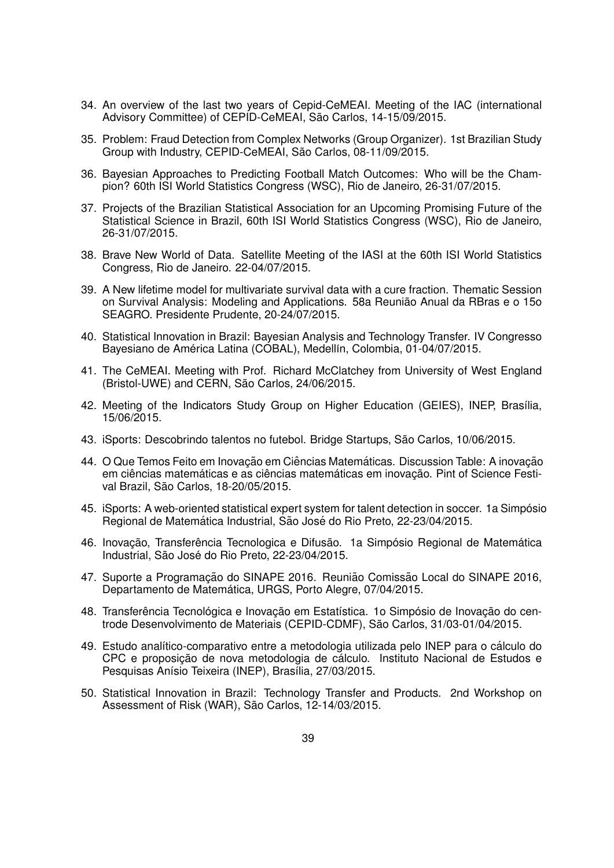- 34. An overview of the last two years of Cepid-CeMEAI. Meeting of the IAC (international Advisory Committee) of CEPID-CeMEAI, São Carlos, 14-15/09/2015.
- 35. Problem: Fraud Detection from Complex Networks (Group Organizer). 1st Brazilian Study Group with Industry, CEPID-CeMEAI, São Carlos, 08-11/09/2015.
- 36. Bayesian Approaches to Predicting Football Match Outcomes: Who will be the Champion? 60th ISI World Statistics Congress (WSC), Rio de Janeiro, 26-31/07/2015.
- 37. Projects of the Brazilian Statistical Association for an Upcoming Promising Future of the Statistical Science in Brazil, 60th ISI World Statistics Congress (WSC), Rio de Janeiro, 26-31/07/2015.
- 38. Brave New World of Data. Satellite Meeting of the IASI at the 60th ISI World Statistics Congress, Rio de Janeiro. 22-04/07/2015.
- 39. A New lifetime model for multivariate survival data with a cure fraction. Thematic Session on Survival Analysis: Modeling and Applications. 58a Reunião Anual da RBras e o 15o SEAGRO. Presidente Prudente, 20-24/07/2015.
- 40. Statistical Innovation in Brazil: Bayesian Analysis and Technology Transfer. IV Congresso Bayesiano de América Latina (COBAL), Medellín, Colombia, 01-04/07/2015.
- 41. The CeMEAI. Meeting with Prof. Richard McClatchey from University of West England (Bristol-UWE) and CERN, São Carlos, 24/06/2015.
- 42. Meeting of the Indicators Study Group on Higher Education (GEIES), INEP, Brasília, 15/06/2015.
- 43. iSports: Descobrindo talentos no futebol. Bridge Startups, São Carlos, 10/06/2015.
- 44. O Que Temos Feito em Inovação em Ciências Matemáticas. Discussion Table: A inovação em ciências matemáticas e as ciências matemáticas em inovação. Pint of Science Festival Brazil, São Carlos, 18-20/05/2015.
- 45. iSports: A web-oriented statistical expert system for talent detection in soccer. 1a Simposio ´ Regional de Matemática Industrial, São José do Rio Preto, 22-23/04/2015.
- 46. Inovação, Transferência Tecnologica e Difusão. 1a Simpósio Regional de Matemática Industrial, São José do Rio Preto, 22-23/04/2015.
- 47. Suporte a Programação do SINAPE 2016. Reunião Comissão Local do SINAPE 2016, Departamento de Matemática, URGS, Porto Alegre, 07/04/2015.
- 48. Transferência Tecnológica e Inovação em Estatística. 1o Simpósio de Inovação do centrode Desenvolvimento de Materiais (CEPID-CDMF), São Carlos, 31/03-01/04/2015.
- 49. Estudo analítico-comparativo entre a metodologia utilizada pelo INEP para o cálculo do CPC e proposição de nova metodologia de cálculo. Instituto Nacional de Estudos e Pesquisas Anísio Teixeira (INEP), Brasília, 27/03/2015.
- 50. Statistical Innovation in Brazil: Technology Transfer and Products. 2nd Workshop on Assessment of Risk (WAR), São Carlos, 12-14/03/2015.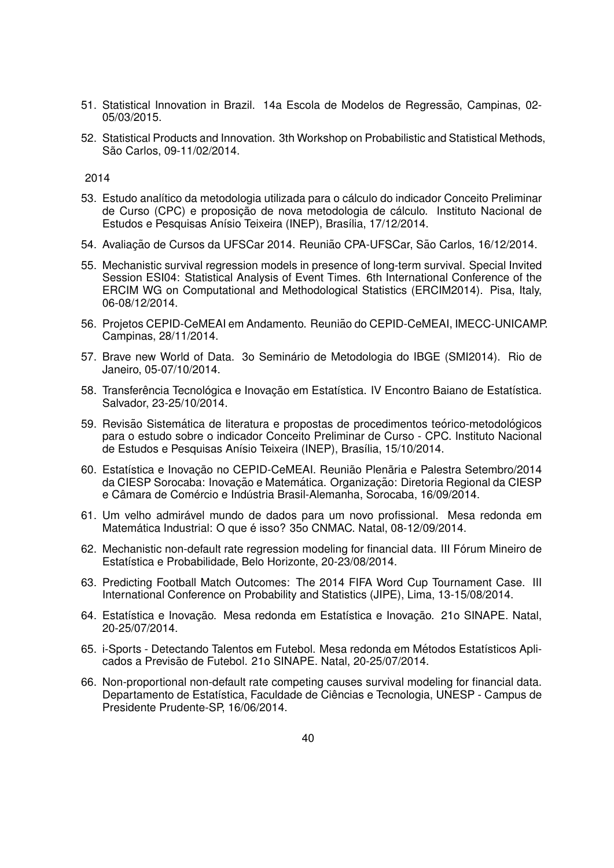- 51. Statistical Innovation in Brazil. 14a Escola de Modelos de Regressão, Campinas, 02-05/03/2015.
- 52. Statistical Products and Innovation. 3th Workshop on Probabilistic and Statistical Methods, São Carlos, 09-11/02/2014.

- 53. Estudo analítico da metodologia utilizada para o cálculo do indicador Conceito Preliminar de Curso (CPC) e proposicão de nova metodologia de cálculo. Instituto Nacional de Estudos e Pesquisas Anísio Teixeira (INEP), Brasília, 17/12/2014.
- 54. Avaliação de Cursos da UFSCar 2014. Reunião CPA-UFSCar, São Carlos, 16/12/2014.
- 55. Mechanistic survival regression models in presence of long-term survival. Special Invited Session ESI04: Statistical Analysis of Event Times. 6th International Conference of the ERCIM WG on Computational and Methodological Statistics (ERCIM2014). Pisa, Italy, 06-08/12/2014.
- 56. Projetos CEPID-CeMEAI em Andamento. Reuniao do CEPID-CeMEAI, IMECC-UNICAMP. ˜ Campinas, 28/11/2014.
- 57. Brave new World of Data. 3o Seminario de Metodologia do IBGE (SMI2014). Rio de ´ Janeiro, 05-07/10/2014.
- 58. Transferência Tecnológica e Inovação em Estatística. IV Encontro Baiano de Estatística. Salvador, 23-25/10/2014.
- 59. Revisão Sistemática de literatura e propostas de procedimentos teórico-metodológicos para o estudo sobre o indicador Conceito Preliminar de Curso - CPC. Instituto Nacional de Estudos e Pesquisas Anísio Teixeira (INEP), Brasília, 15/10/2014.
- 60. Estatística e Inovação no CEPID-CeMEAI. Reunião Plenãria e Palestra Setembro/2014 da CIESP Sorocaba: Inovação e Matemática. Organização: Diretoria Regional da CIESP e Câmara de Comércio e Indústria Brasil-Alemanha, Sorocaba, 16/09/2014.
- 61. Um velho admirável mundo de dados para um novo profissional. Mesa redonda em Matemática Industrial: O que é isso? 35o CNMAC. Natal, 08-12/09/2014.
- 62. Mechanistic non-default rate regression modeling for financial data. III Forum Mineiro de ´ Estatística e Probabilidade, Belo Horizonte, 20-23/08/2014.
- 63. Predicting Football Match Outcomes: The 2014 FIFA Word Cup Tournament Case. III International Conference on Probability and Statistics (JIPE), Lima, 13-15/08/2014.
- 64. Estatística e Inovação. Mesa redonda em Estatística e Inovação. 21o SINAPE. Natal, 20-25/07/2014.
- 65. i-Sports Detectando Talentos em Futebol. Mesa redonda em Métodos Estatísticos Aplicados a Previsão de Futebol. 21º SINAPE. Natal, 20-25/07/2014.
- 66. Non-proportional non-default rate competing causes survival modeling for financial data. Departamento de Estatística, Faculdade de Ciências e Tecnologia, UNESP - Campus de Presidente Prudente-SP, 16/06/2014.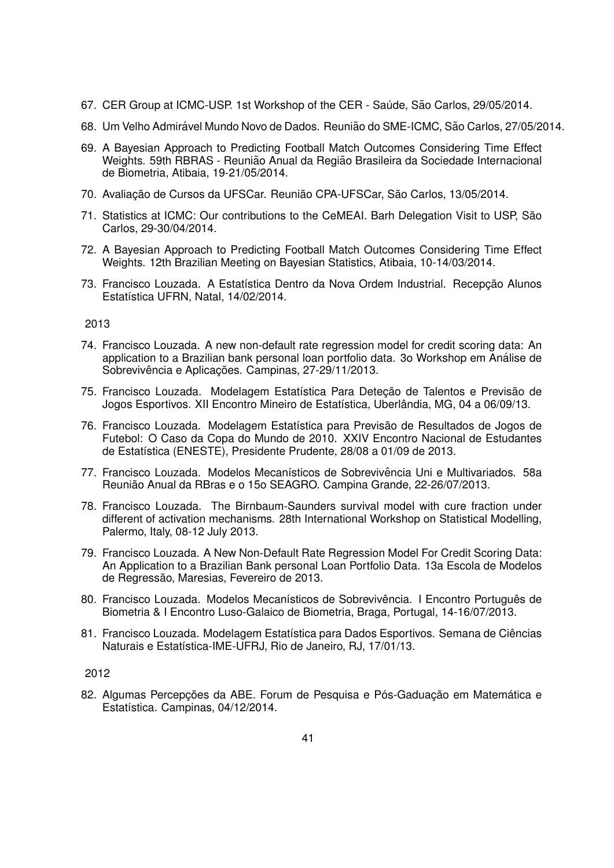- 67. CER Group at ICMC-USP. 1st Workshop of the CER Saúde, São Carlos, 29/05/2014.
- 68. Um Velho Admirável Mundo Novo de Dados. Reunião do SME-ICMC, São Carlos, 27/05/2014.
- 69. A Bayesian Approach to Predicting Football Match Outcomes Considering Time Effect Weights. 59th RBRAS - Reunião Anual da Região Brasileira da Sociedade Internacional de Biometria, Atibaia, 19-21/05/2014.
- 70. Avaliação de Cursos da UFSCar. Reunião CPA-UFSCar, São Carlos, 13/05/2014.
- 71. Statistics at ICMC: Our contributions to the CeMEAI. Barh Delegation Visit to USP, São Carlos, 29-30/04/2014.
- 72. A Bayesian Approach to Predicting Football Match Outcomes Considering Time Effect Weights. 12th Brazilian Meeting on Bayesian Statistics, Atibaia, 10-14/03/2014.
- 73. Francisco Louzada. A Estatística Dentro da Nova Ordem Industrial. Recepção Alunos Estatística UFRN, Natal, 14/02/2014.

- 74. Francisco Louzada. A new non-default rate regression model for credit scoring data: An application to a Brazilian bank personal loan portfolio data. 30 Workshop em Análise de Sobrevivência e Aplicacões. Campinas, 27-29/11/2013.
- 75. Francisco Louzada. Modelagem Estatística Para Detecão de Talentos e Previsão de Jogos Esportivos. XII Encontro Mineiro de Estatística, Uberlândia, MG, 04 a 06/09/13.
- 76. Francisco Louzada. Modelagem Estatística para Previsão de Resultados de Jogos de Futebol: O Caso da Copa do Mundo de 2010. XXIV Encontro Nacional de Estudantes de Estatística (ENESTE), Presidente Prudente, 28/08 a 01/09 de 2013.
- 77. Francisco Louzada. Modelos Mecanísticos de Sobrevivência Uni e Multivariados. 58a Reunião Anual da RBras e o 15o SEAGRO. Campina Grande, 22-26/07/2013.
- 78. Francisco Louzada. The Birnbaum-Saunders survival model with cure fraction under different of activation mechanisms. 28th International Workshop on Statistical Modelling, Palermo, Italy, 08-12 July 2013.
- 79. Francisco Louzada. A New Non-Default Rate Regression Model For Credit Scoring Data: An Application to a Brazilian Bank personal Loan Portfolio Data. 13a Escola de Modelos de Regressão, Maresias, Fevereiro de 2013.
- 80. Francisco Louzada. Modelos Mecanísticos de Sobrevivência. I Encontro Português de Biometria & I Encontro Luso-Galaico de Biometria, Braga, Portugal, 14-16/07/2013.
- 81. Francisco Louzada. Modelagem Estatística para Dados Esportivos. Semana de Ciências Naturais e Estatística-IME-UFRJ, Rio de Janeiro, RJ, 17/01/13.

## 2012

82. Algumas Percepções da ABE. Forum de Pesquisa e Pós-Gaduação em Matemática e Estatística. Campinas, 04/12/2014.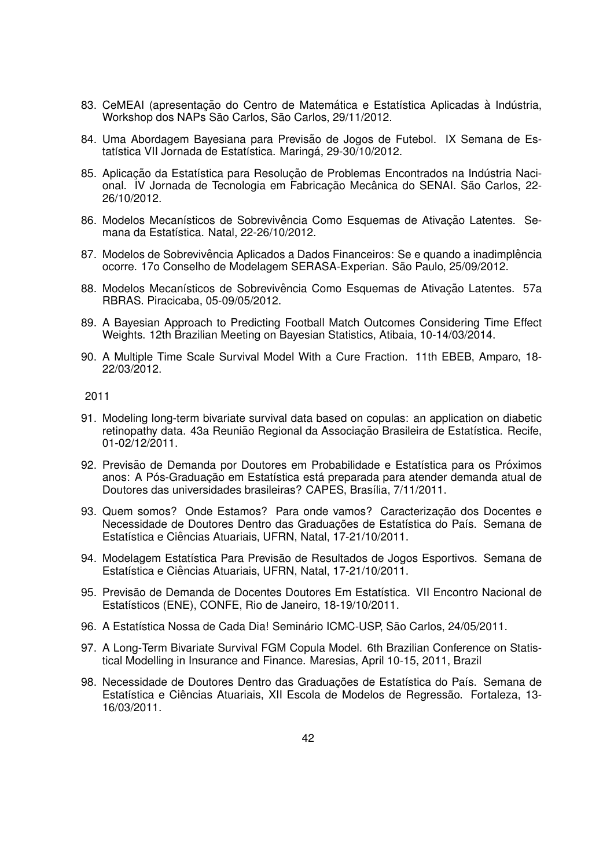- 83. CeMEAI (apresentação do Centro de Matemática e Estatística Aplicadas à Indústria, Workshop dos NAPs São Carlos, São Carlos, 29/11/2012.
- 84. Uma Abordagem Bayesiana para Previsão de Jogos de Futebol. IX Semana de Estatística VII Jornada de Estatística. Maringá, 29-30/10/2012.
- 85. Aplicação da Estatística para Resolução de Problemas Encontrados na Indústria Nacional. IV Jornada de Tecnologia em Fabricação Mecânica do SENAI. São Carlos, 22-26/10/2012.
- 86. Modelos Mecanísticos de Sobrevivência Como Esquemas de Ativação Latentes. Semana da Estatística. Natal, 22-26/10/2012.
- 87. Modelos de Sobrevivência Aplicados a Dados Financeiros: Se e quando a inadimplência ocorre. 17o Conselho de Modelagem SERASA-Experian. Sao Paulo, 25/09/2012. ˜
- 88. Modelos Mecanísticos de Sobrevivência Como Esquemas de Ativação Latentes. 57a RBRAS. Piracicaba, 05-09/05/2012.
- 89. A Bayesian Approach to Predicting Football Match Outcomes Considering Time Effect Weights. 12th Brazilian Meeting on Bayesian Statistics, Atibaia, 10-14/03/2014.
- 90. A Multiple Time Scale Survival Model With a Cure Fraction. 11th EBEB, Amparo, 18- 22/03/2012.

- 91. Modeling long-term bivariate survival data based on copulas: an application on diabetic retinopathy data. 43a Reunião Regional da Associação Brasileira de Estatística. Recife, 01-02/12/2011.
- 92. Previsão de Demanda por Doutores em Probabilidade e Estatística para os Próximos anos: A Pós-Graduação em Estatística está preparada para atender demanda atual de Doutores das universidades brasileiras? CAPES, Brasília, 7/11/2011.
- 93. Quem somos? Onde Estamos? Para onde vamos? Caracterização dos Docentes e Necessidade de Doutores Dentro das Graduações de Estatística do País. Semana de Estatística e Ciências Atuariais, UFRN, Natal, 17-21/10/2011.
- 94. Modelagem Estatística Para Previsão de Resultados de Jogos Esportivos. Semana de Estatística e Ciências Atuariais, UFRN, Natal, 17-21/10/2011.
- 95. Previsão de Demanda de Docentes Doutores Em Estatística. VII Encontro Nacional de Estatísticos (ENE), CONFE, Rio de Janeiro, 18-19/10/2011.
- 96. A Estatística Nossa de Cada Dia! Seminário ICMC-USP, São Carlos, 24/05/2011.
- 97. A Long-Term Bivariate Survival FGM Copula Model. 6th Brazilian Conference on Statistical Modelling in Insurance and Finance. Maresias, April 10-15, 2011, Brazil
- 98. Necessidade de Doutores Dentro das Graduações de Estatística do País. Semana de Estatística e Ciências Atuariais, XII Escola de Modelos de Regressão. Fortaleza, 13-16/03/2011.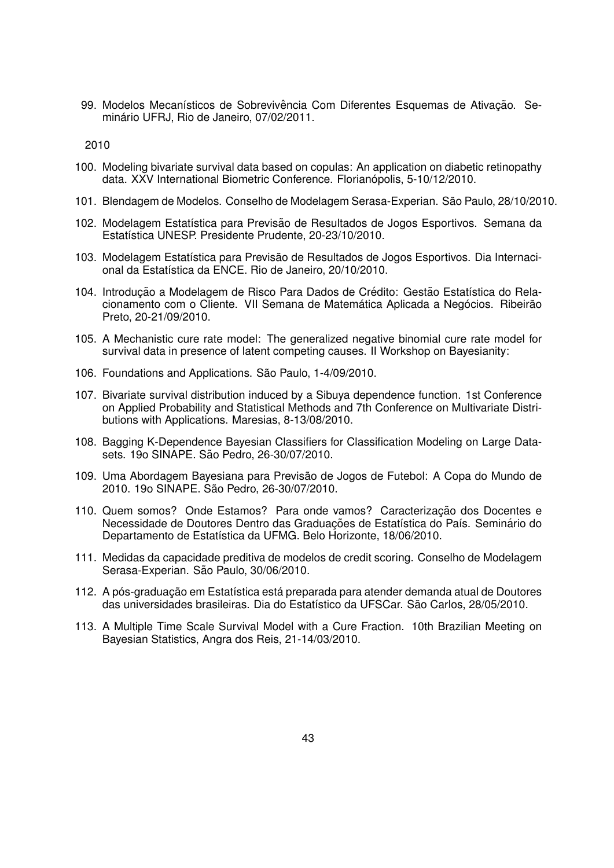99. Modelos Mecanísticos de Sobrevivência Com Diferentes Esquemas de Ativação. Seminário UFRJ, Rio de Janeiro, 07/02/2011.

- 100. Modeling bivariate survival data based on copulas: An application on diabetic retinopathy data. XXV International Biometric Conference. Florianópolis, 5-10/12/2010.
- 101. Blendagem de Modelos. Conselho de Modelagem Serasa-Experian. São Paulo, 28/10/2010.
- 102. Modelagem Estatística para Previsão de Resultados de Jogos Esportivos. Semana da Estatística UNESP. Presidente Prudente, 20-23/10/2010.
- 103. Modelagem Estatística para Previsão de Resultados de Jogos Esportivos. Dia Internacional da Estatística da ENCE. Rio de Janeiro, 20/10/2010.
- 104. Introdução a Modelagem de Risco Para Dados de Crédito: Gestão Estatística do Relacionamento com o Cliente. VII Semana de Matemática Aplicada a Negócios. Ribeirão Preto, 20-21/09/2010.
- 105. A Mechanistic cure rate model: The generalized negative binomial cure rate model for survival data in presence of latent competing causes. II Workshop on Bayesianity:
- 106. Foundations and Applications. São Paulo, 1-4/09/2010.
- 107. Bivariate survival distribution induced by a Sibuya dependence function. 1st Conference on Applied Probability and Statistical Methods and 7th Conference on Multivariate Distributions with Applications. Maresias, 8-13/08/2010.
- 108. Bagging K-Dependence Bayesian Classifiers for Classification Modeling on Large Datasets. 19o SINAPE. São Pedro, 26-30/07/2010.
- 109. Uma Abordagem Bayesiana para Previsao de Jogos de Futebol: A Copa do Mundo de ˜ 2010. 19o SINAPE. Sao Pedro, 26-30/07/2010. ˜
- 110. Quem somos? Onde Estamos? Para onde vamos? Caracterização dos Docentes e Necessidade de Doutores Dentro das Graduações de Estatística do País. Seminário do Departamento de Estatística da UFMG. Belo Horizonte, 18/06/2010.
- 111. Medidas da capacidade preditiva de modelos de credit scoring. Conselho de Modelagem Serasa-Experian. São Paulo, 30/06/2010.
- 112. A pós-graduação em Estatística está preparada para atender demanda atual de Doutores das universidades brasileiras. Dia do Estatístico da UFSCar. São Carlos, 28/05/2010.
- 113. A Multiple Time Scale Survival Model with a Cure Fraction. 10th Brazilian Meeting on Bayesian Statistics, Angra dos Reis, 21-14/03/2010.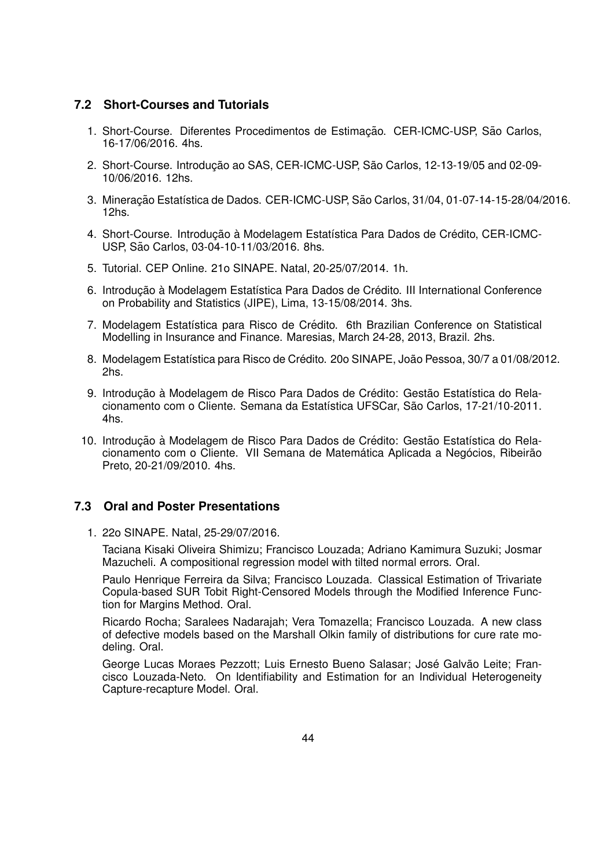# **7.2 Short-Courses and Tutorials**

- 1. Short-Course. Diferentes Procedimentos de Estimação. CER-ICMC-USP, São Carlos, 16-17/06/2016. 4hs.
- 2. Short-Course. Introdução ao SAS, CER-ICMC-USP, São Carlos, 12-13-19/05 and 02-09-10/06/2016. 12hs.
- 3. Mineração Estatística de Dados. CER-ICMC-USP, São Carlos, 31/04, 01-07-14-15-28/04/2016. 12hs.
- 4. Short-Course. Introdução à Modelagem Estatística Para Dados de Crédito, CER-ICMC-USP, São Carlos, 03-04-10-11/03/2016. 8hs.
- 5. Tutorial. CEP Online. 21o SINAPE. Natal, 20-25/07/2014. 1h.
- 6. Introducão à Modelagem Estatística Para Dados de Crédito. III International Conference on Probability and Statistics (JIPE), Lima, 13-15/08/2014. 3hs.
- 7. Modelagem Estatística para Risco de Crédito. 6th Brazilian Conference on Statistical Modelling in Insurance and Finance. Maresias, March 24-28, 2013, Brazil. 2hs.
- 8. Modelagem Estatística para Risco de Crédito. 20o SINAPE, João Pessoa, 30/7 a 01/08/2012. 2hs.
- 9. Introducão à Modelagem de Risco Para Dados de Crédito: Gestão Estatística do Relacionamento com o Cliente. Semana da Estatística UFSCar, São Carlos, 17-21/10-2011. 4hs.
- 10. Introdução à Modelagem de Risco Para Dados de Crédito: Gestão Estatística do Relacionamento com o Cliente. VII Semana de Matemática Aplicada a Negócios, Ribeirão Preto, 20-21/09/2010. 4hs.

# **7.3 Oral and Poster Presentations**

1. 22o SINAPE. Natal, 25-29/07/2016.

Taciana Kisaki Oliveira Shimizu; Francisco Louzada; Adriano Kamimura Suzuki; Josmar Mazucheli. A compositional regression model with tilted normal errors. Oral.

Paulo Henrique Ferreira da Silva; Francisco Louzada. Classical Estimation of Trivariate Copula-based SUR Tobit Right-Censored Models through the Modified Inference Function for Margins Method. Oral.

Ricardo Rocha; Saralees Nadarajah; Vera Tomazella; Francisco Louzada. A new class of defective models based on the Marshall Olkin family of distributions for cure rate modeling. Oral.

George Lucas Moraes Pezzott; Luis Ernesto Bueno Salasar; José Galvão Leite; Francisco Louzada-Neto. On Identifiability and Estimation for an Individual Heterogeneity Capture-recapture Model. Oral.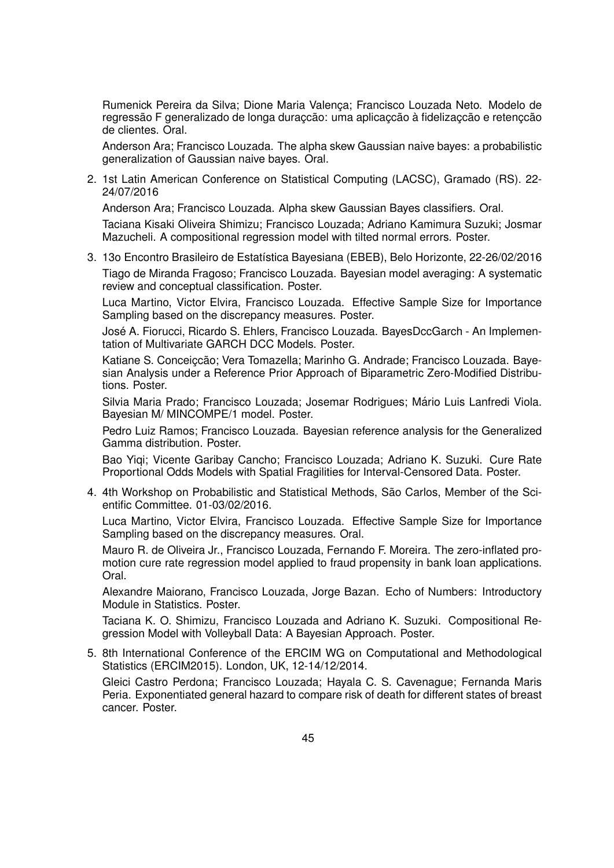Rumenick Pereira da Silva; Dione Maria Valença; Francisco Louzada Neto. Modelo de regressão F generalizado de longa duraçção: uma aplicaçção à fidelizaçção e retençção de clientes. Oral.

Anderson Ara; Francisco Louzada. The alpha skew Gaussian naive bayes: a probabilistic generalization of Gaussian naive bayes. Oral.

2. 1st Latin American Conference on Statistical Computing (LACSC), Gramado (RS). 22- 24/07/2016

Anderson Ara; Francisco Louzada. Alpha skew Gaussian Bayes classifiers. Oral.

Taciana Kisaki Oliveira Shimizu; Francisco Louzada; Adriano Kamimura Suzuki; Josmar Mazucheli. A compositional regression model with tilted normal errors. Poster.

3. 13o Encontro Brasileiro de Estatística Bayesiana (EBEB), Belo Horizonte, 22-26/02/2016 Tiago de Miranda Fragoso; Francisco Louzada. Bayesian model averaging: A systematic review and conceptual classification. Poster.

Luca Martino, Victor Elvira, Francisco Louzada. Effective Sample Size for Importance Sampling based on the discrepancy measures. Poster.

José A. Fiorucci, Ricardo S. Ehlers, Francisco Louzada. BayesDccGarch - An Implementation of Multivariate GARCH DCC Models. Poster.

Katiane S. Conceiçção; Vera Tomazella; Marinho G. Andrade; Francisco Louzada. Bayesian Analysis under a Reference Prior Approach of Biparametric Zero-Modified Distributions. Poster.

Silvia Maria Prado; Francisco Louzada; Josemar Rodrigues; Mário Luis Lanfredi Viola. Bayesian M/ MINCOMPE/1 model. Poster.

Pedro Luiz Ramos; Francisco Louzada. Bayesian reference analysis for the Generalized Gamma distribution. Poster.

Bao Yiqi; Vicente Garibay Cancho; Francisco Louzada; Adriano K. Suzuki. Cure Rate Proportional Odds Models with Spatial Fragilities for Interval-Censored Data. Poster.

4. 4th Workshop on Probabilistic and Statistical Methods, São Carlos, Member of the Scientific Committee. 01-03/02/2016.

Luca Martino, Victor Elvira, Francisco Louzada. Effective Sample Size for Importance Sampling based on the discrepancy measures. Oral.

Mauro R. de Oliveira Jr., Francisco Louzada, Fernando F. Moreira. The zero-inflated promotion cure rate regression model applied to fraud propensity in bank loan applications. Oral.

Alexandre Maiorano, Francisco Louzada, Jorge Bazan. Echo of Numbers: Introductory Module in Statistics. Poster.

Taciana K. O. Shimizu, Francisco Louzada and Adriano K. Suzuki. Compositional Regression Model with Volleyball Data: A Bayesian Approach. Poster.

5. 8th International Conference of the ERCIM WG on Computational and Methodological Statistics (ERCIM2015). London, UK, 12-14/12/2014.

Gleici Castro Perdona; Francisco Louzada; Hayala C. S. Cavenague; Fernanda Maris Peria. Exponentiated general hazard to compare risk of death for different states of breast cancer. Poster.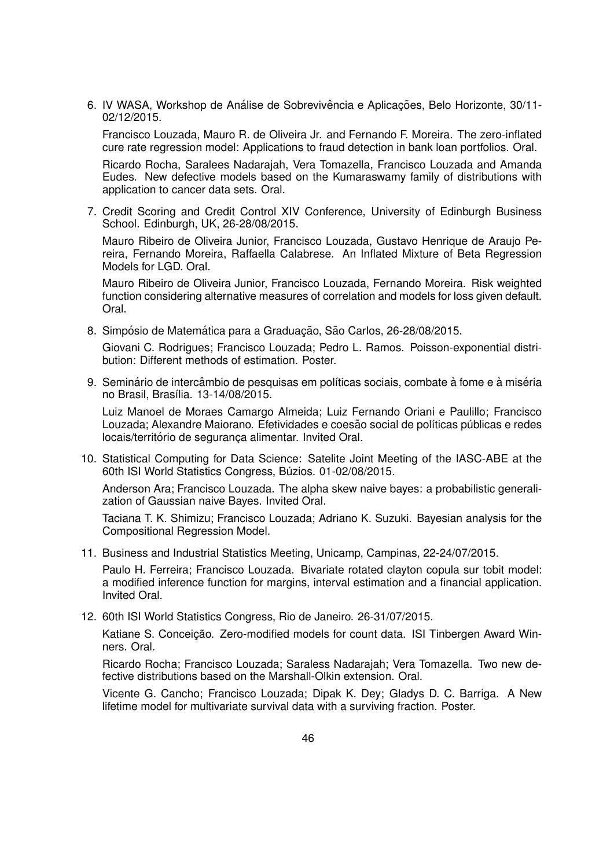6. IV WASA, Workshop de Análise de Sobrevivência e Aplicações, Belo Horizonte, 30/11-02/12/2015.

Francisco Louzada, Mauro R. de Oliveira Jr. and Fernando F. Moreira. The zero-inflated cure rate regression model: Applications to fraud detection in bank loan portfolios. Oral.

Ricardo Rocha, Saralees Nadarajah, Vera Tomazella, Francisco Louzada and Amanda Eudes. New defective models based on the Kumaraswamy family of distributions with application to cancer data sets. Oral.

7. Credit Scoring and Credit Control XIV Conference, University of Edinburgh Business School. Edinburgh, UK, 26-28/08/2015.

Mauro Ribeiro de Oliveira Junior, Francisco Louzada, Gustavo Henrique de Araujo Pereira, Fernando Moreira, Raffaella Calabrese. An Inflated Mixture of Beta Regression Models for LGD. Oral.

Mauro Ribeiro de Oliveira Junior, Francisco Louzada, Fernando Moreira. Risk weighted function considering alternative measures of correlation and models for loss given default. Oral.

8. Simpósio de Matemática para a Graduação, São Carlos, 26-28/08/2015.

Giovani C. Rodrigues; Francisco Louzada; Pedro L. Ramos. Poisson-exponential distribution: Different methods of estimation. Poster.

9. Seminário de intercâmbio de pesquisas em políticas sociais, combate à fome e à miséria no Brasil, Brasília. 13-14/08/2015.

Luiz Manoel de Moraes Camargo Almeida; Luiz Fernando Oriani e Paulillo; Francisco Louzada; Alexandre Maiorano. Efetividades e coesão social de políticas públicas e redes locais/território de segurança alimentar. Invited Oral.

10. Statistical Computing for Data Science: Satelite Joint Meeting of the IASC-ABE at the 60th ISI World Statistics Congress, Búzios. 01-02/08/2015.

Anderson Ara; Francisco Louzada. The alpha skew naive bayes: a probabilistic generalization of Gaussian naive Bayes. Invited Oral.

Taciana T. K. Shimizu; Francisco Louzada; Adriano K. Suzuki. Bayesian analysis for the Compositional Regression Model.

11. Business and Industrial Statistics Meeting, Unicamp, Campinas, 22-24/07/2015.

Paulo H. Ferreira; Francisco Louzada. Bivariate rotated clayton copula sur tobit model: a modified inference function for margins, interval estimation and a financial application. Invited Oral.

12. 60th ISI World Statistics Congress, Rio de Janeiro. 26-31/07/2015.

Katiane S. Conceição. Zero-modified models for count data. ISI Tinbergen Award Winners. Oral.

Ricardo Rocha; Francisco Louzada; Saraless Nadarajah; Vera Tomazella. Two new defective distributions based on the Marshall-Olkin extension. Oral.

Vicente G. Cancho; Francisco Louzada; Dipak K. Dey; Gladys D. C. Barriga. A New lifetime model for multivariate survival data with a surviving fraction. Poster.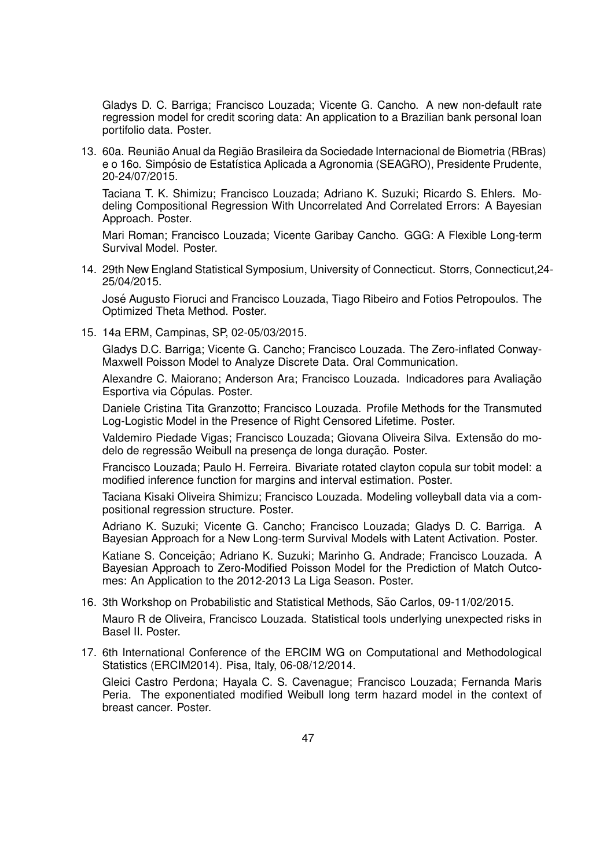Gladys D. C. Barriga; Francisco Louzada; Vicente G. Cancho. A new non-default rate regression model for credit scoring data: An application to a Brazilian bank personal loan portifolio data. Poster.

13. 60a. Reunião Anual da Região Brasileira da Sociedade Internacional de Biometria (RBras) e o 16o. Simpósio de Estatística Aplicada a Agronomia (SEAGRO), Presidente Prudente, 20-24/07/2015.

Taciana T. K. Shimizu; Francisco Louzada; Adriano K. Suzuki; Ricardo S. Ehlers. Modeling Compositional Regression With Uncorrelated And Correlated Errors: A Bayesian Approach. Poster.

Mari Roman; Francisco Louzada; Vicente Garibay Cancho. GGG: A Flexible Long-term Survival Model. Poster.

14. 29th New England Statistical Symposium, University of Connecticut. Storrs, Connecticut,24- 25/04/2015.

Jose Augusto Fioruci and Francisco Louzada, Tiago Ribeiro and Fotios Petropoulos. The ´ Optimized Theta Method. Poster.

15. 14a ERM, Campinas, SP, 02-05/03/2015.

Gladys D.C. Barriga; Vicente G. Cancho; Francisco Louzada. The Zero-inflated Conway-Maxwell Poisson Model to Analyze Discrete Data. Oral Communication.

Alexandre C. Maiorano: Anderson Ara: Francisco Louzada. Indicadores para Avaliacão Esportiva via Cópulas. Poster.

Daniele Cristina Tita Granzotto; Francisco Louzada. Profile Methods for the Transmuted Log-Logistic Model in the Presence of Right Censored Lifetime. Poster.

Valdemiro Piedade Vigas; Francisco Louzada; Giovana Oliveira Silva. Extensão do modelo de regressão Weibull na presenca de longa duração. Poster.

Francisco Louzada; Paulo H. Ferreira. Bivariate rotated clayton copula sur tobit model: a modified inference function for margins and interval estimation. Poster.

Taciana Kisaki Oliveira Shimizu; Francisco Louzada. Modeling volleyball data via a compositional regression structure. Poster.

Adriano K. Suzuki; Vicente G. Cancho; Francisco Louzada; Gladys D. C. Barriga. A Bayesian Approach for a New Long-term Survival Models with Latent Activation. Poster.

Katiane S. Conceição; Adriano K. Suzuki; Marinho G. Andrade; Francisco Louzada. A Bayesian Approach to Zero-Modified Poisson Model for the Prediction of Match Outcomes: An Application to the 2012-2013 La Liga Season. Poster.

16. 3th Workshop on Probabilistic and Statistical Methods, São Carlos, 09-11/02/2015.

Mauro R de Oliveira, Francisco Louzada. Statistical tools underlying unexpected risks in Basel II. Poster.

17. 6th International Conference of the ERCIM WG on Computational and Methodological Statistics (ERCIM2014). Pisa, Italy, 06-08/12/2014.

Gleici Castro Perdona; Hayala C. S. Cavenague; Francisco Louzada; Fernanda Maris Peria. The exponentiated modified Weibull long term hazard model in the context of breast cancer. Poster.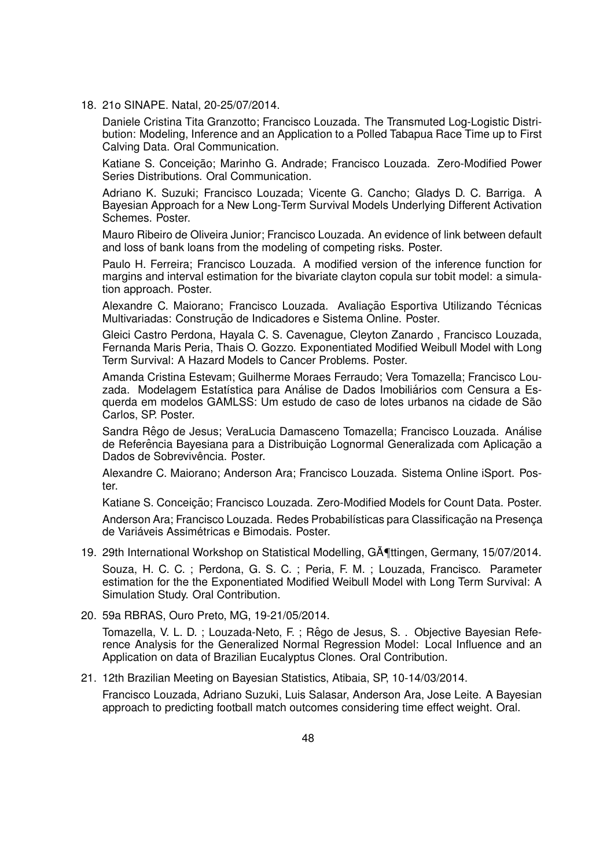18. 21o SINAPE. Natal, 20-25/07/2014.

Daniele Cristina Tita Granzotto; Francisco Louzada. The Transmuted Log-Logistic Distribution: Modeling, Inference and an Application to a Polled Tabapua Race Time up to First Calving Data. Oral Communication.

Katiane S. Conceição; Marinho G. Andrade; Francisco Louzada. Zero-Modified Power Series Distributions. Oral Communication.

Adriano K. Suzuki; Francisco Louzada; Vicente G. Cancho; Gladys D. C. Barriga. A Bayesian Approach for a New Long-Term Survival Models Underlying Different Activation Schemes. Poster.

Mauro Ribeiro de Oliveira Junior; Francisco Louzada. An evidence of link between default and loss of bank loans from the modeling of competing risks. Poster.

Paulo H. Ferreira; Francisco Louzada. A modified version of the inference function for margins and interval estimation for the bivariate clayton copula sur tobit model: a simulation approach. Poster.

Alexandre C. Maiorano; Francisco Louzada. Avaliação Esportiva Utilizando Técnicas Multivariadas: Construção de Indicadores e Sistema Online. Poster.

Gleici Castro Perdona, Hayala C. S. Cavenague, Cleyton Zanardo , Francisco Louzada, Fernanda Maris Peria, Thais O. Gozzo. Exponentiated Modified Weibull Model with Long Term Survival: A Hazard Models to Cancer Problems. Poster.

Amanda Cristina Estevam; Guilherme Moraes Ferraudo; Vera Tomazella; Francisco Louzada. Modelagem Estatística para Análise de Dados Imobiliários com Censura a Esquerda em modelos GAMLSS: Um estudo de caso de lotes urbanos na cidade de São Carlos, SP. Poster.

Sandra Rêgo de Jesus; VeraLucia Damasceno Tomazella; Francisco Louzada. Análise de Referência Bayesiana para a Distribuição Lognormal Generalizada com Aplicação a Dados de Sobrevivência. Poster.

Alexandre C. Maiorano; Anderson Ara; Francisco Louzada. Sistema Online iSport. Poster.

Katiane S. Conceicão: Francisco Louzada. Zero-Modified Models for Count Data. Poster.

Anderson Ara; Francisco Louzada. Redes Probabilísticas para Classificação na Presença de Variáveis Assimétricas e Bimodais. Poster.

19. 29th International Workshop on Statistical Modelling, GA [ttingen, Germany, 15/07/2014.

Souza, H. C. C. ; Perdona, G. S. C. ; Peria, F. M. ; Louzada, Francisco. Parameter estimation for the the Exponentiated Modified Weibull Model with Long Term Survival: A Simulation Study. Oral Contribution.

20. 59a RBRAS, Ouro Preto, MG, 19-21/05/2014.

Tomazella, V. L. D. ; Louzada-Neto, F. ; Rêgo de Jesus, S. . Objective Bayesian Reference Analysis for the Generalized Normal Regression Model: Local Influence and an Application on data of Brazilian Eucalyptus Clones. Oral Contribution.

21. 12th Brazilian Meeting on Bayesian Statistics, Atibaia, SP, 10-14/03/2014.

Francisco Louzada, Adriano Suzuki, Luis Salasar, Anderson Ara, Jose Leite. A Bayesian approach to predicting football match outcomes considering time effect weight. Oral.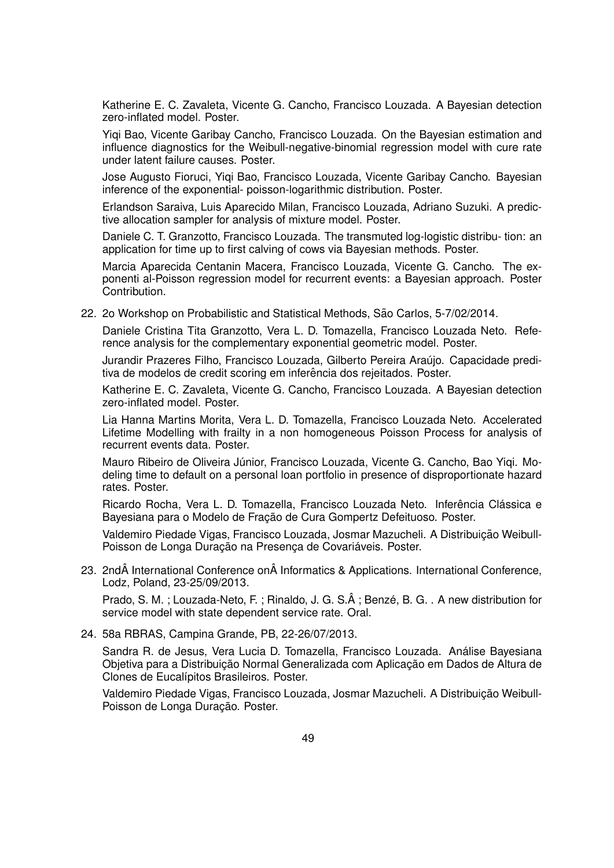Katherine E. C. Zavaleta, Vicente G. Cancho, Francisco Louzada. A Bayesian detection zero-inflated model. Poster.

Yiqi Bao, Vicente Garibay Cancho, Francisco Louzada. On the Bayesian estimation and influence diagnostics for the Weibull-negative-binomial regression model with cure rate under latent failure causes. Poster.

Jose Augusto Fioruci, Yiqi Bao, Francisco Louzada, Vicente Garibay Cancho. Bayesian inference of the exponential- poisson-logarithmic distribution. Poster.

Erlandson Saraiva, Luis Aparecido Milan, Francisco Louzada, Adriano Suzuki. A predictive allocation sampler for analysis of mixture model. Poster.

Daniele C. T. Granzotto, Francisco Louzada. The transmuted log-logistic distribu- tion: an application for time up to first calving of cows via Bayesian methods. Poster.

Marcia Aparecida Centanin Macera, Francisco Louzada, Vicente G. Cancho. The exponenti al-Poisson regression model for recurrent events: a Bayesian approach. Poster Contribution.

22. 2o Workshop on Probabilistic and Statistical Methods, São Carlos, 5-7/02/2014.

Daniele Cristina Tita Granzotto, Vera L. D. Tomazella, Francisco Louzada Neto. Reference analysis for the complementary exponential geometric model. Poster.

Jurandir Prazeres Filho, Francisco Louzada, Gilberto Pereira Araujo. Capacidade predi- ´ tiva de modelos de credit scoring em inferência dos rejeitados. Poster.

Katherine E. C. Zavaleta, Vicente G. Cancho, Francisco Louzada. A Bayesian detection zero-inflated model. Poster.

Lia Hanna Martins Morita, Vera L. D. Tomazella, Francisco Louzada Neto. Accelerated Lifetime Modelling with frailty in a non homogeneous Poisson Process for analysis of recurrent events data. Poster.

Mauro Ribeiro de Oliveira Júnior, Francisco Louzada, Vicente G. Cancho, Bao Yigi. Modeling time to default on a personal loan portfolio in presence of disproportionate hazard rates. Poster.

Ricardo Rocha, Vera L. D. Tomazella, Francisco Louzada Neto. Inferência Clássica e Bayesiana para o Modelo de Fracão de Cura Gompertz Defeituoso. Poster.

Valdemiro Piedade Vigas, Francisco Louzada, Josmar Mazucheli. A Distribuição Weibull-Poisson de Longa Duração na Presença de Covariáveis. Poster.

# 23. 2nd International Conference on Informatics & Applications. International Conference, Lodz, Poland, 23-25/09/2013.

Prado, S. M.; Louzada-Neto, F.; Rinaldo, J. G. S.Â; Benzé, B. G. . A new distribution for service model with state dependent service rate. Oral.

24. 58a RBRAS, Campina Grande, PB, 22-26/07/2013.

Sandra R. de Jesus, Vera Lucia D. Tomazella, Francisco Louzada. Analise Bayesiana ´ Objetiva para a Distribuição Normal Generalizada com Aplicação em Dados de Altura de Clones de Eucalípitos Brasileiros. Poster.

Valdemiro Piedade Vigas, Francisco Louzada, Josmar Mazucheli. A Distribuição Weibull-Poisson de Longa Duração. Poster.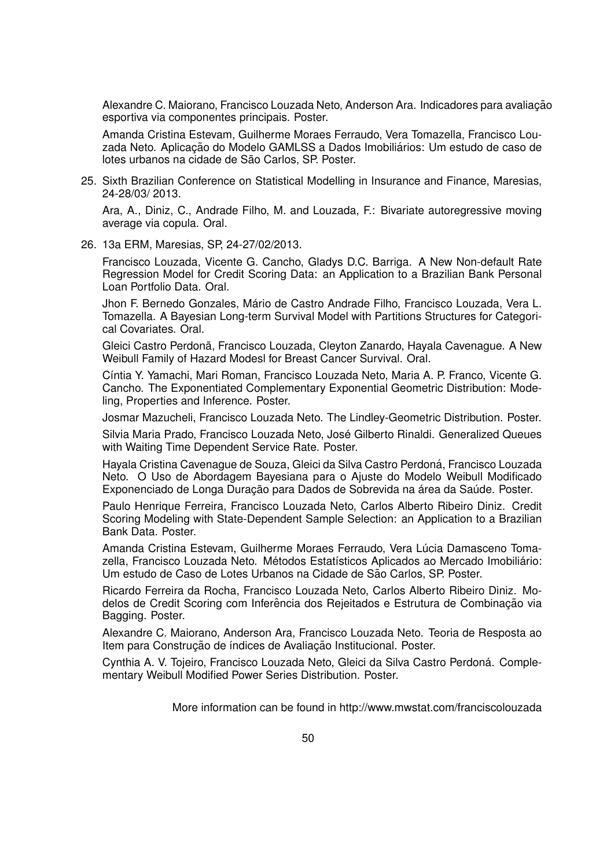Alexandre C. Maiorano, Francisco Louzada Neto, Anderson Ara. Indicadores para avaliação esportiva via componentes principais. Poster.

Amanda Cristina Estevam, Guilherme Moraes Ferraudo, Vera Tomazella, Francisco Louzada Neto. Aplicação do Modelo GAMLSS a Dados Imobiliários: Um estudo de caso de lotes urbanos na cidade de São Carlos, SP. Poster.

25. Sixth Brazilian Conference on Statistical Modelling in Insurance and Finance, Maresias, 24-28/03/ 2013.

Ara, A., Diniz, C., Andrade Filho, M. and Louzada, F.: Bivariate autoregressive moving average via copula. Oral.

26. 13a ERM, Maresias, SP, 24-27/02/2013.

Francisco Louzada, Vicente G. Cancho, Gladys D.C. Barriga. A New Non-default Rate Regression Model for Credit Scoring Data: an Application to a Brazilian Bank Personal Loan Portfolio Data. Oral.

Jhon F. Bernedo Gonzales, Mario de Castro Andrade Filho, Francisco Louzada, Vera L. ´ Tomazella. A Bayesian Long-term Survival Model with Partitions Structures for Categorical Covariates. Oral.

Gleici Castro Perdona, Francisco Louzada, Cleyton Zanardo, Hayala Cavenague. A New ˜ Weibull Family of Hazard Modesl for Breast Cancer Survival. Oral.

Cíntia Y. Yamachi, Mari Roman, Francisco Louzada Neto, Maria A. P. Franco, Vicente G. Cancho. The Exponentiated Complementary Exponential Geometric Distribution: Modeling, Properties and Inference. Poster.

Josmar Mazucheli, Francisco Louzada Neto. The Lindley-Geometric Distribution. Poster.

Silvia Maria Prado, Francisco Louzada Neto, José Gilberto Rinaldi. Generalized Queues with Waiting Time Dependent Service Rate. Poster.

Hayala Cristina Cavenague de Souza, Gleici da Silva Castro Perdoná, Francisco Louzada Neto. O Uso de Abordagem Bayesiana para o Ajuste do Modelo Weibull Modificado Exponenciado de Longa Duração para Dados de Sobrevida na área da Saúde. Poster.

Paulo Henrique Ferreira, Francisco Louzada Neto, Carlos Alberto Ribeiro Diniz. Credit Scoring Modeling with State-Dependent Sample Selection: an Application to a Brazilian Bank Data. Poster.

Amanda Cristina Estevam, Guilherme Moraes Ferraudo, Vera Lúcia Damasceno Tomazella, Francisco Louzada Neto. Métodos Estatísticos Aplicados ao Mercado Imobiliário: Um estudo de Caso de Lotes Urbanos na Cidade de São Carlos, SP. Poster.

Ricardo Ferreira da Rocha, Francisco Louzada Neto, Carlos Alberto Ribeiro Diniz. Modelos de Credit Scoring com Inferência dos Rejeitados e Estrutura de Combinação via Bagging. Poster.

Alexandre C. Maiorano, Anderson Ara, Francisco Louzada Neto. Teoria de Resposta ao Item para Construção de índices de Avaliação Institucional. Poster.

Cynthia A. V. Tojeiro, Francisco Louzada Neto, Gleici da Silva Castro Perdona. Comple- ´ mentary Weibull Modified Power Series Distribution. Poster.

More information can be found in http://www.mwstat.com/franciscolouzada